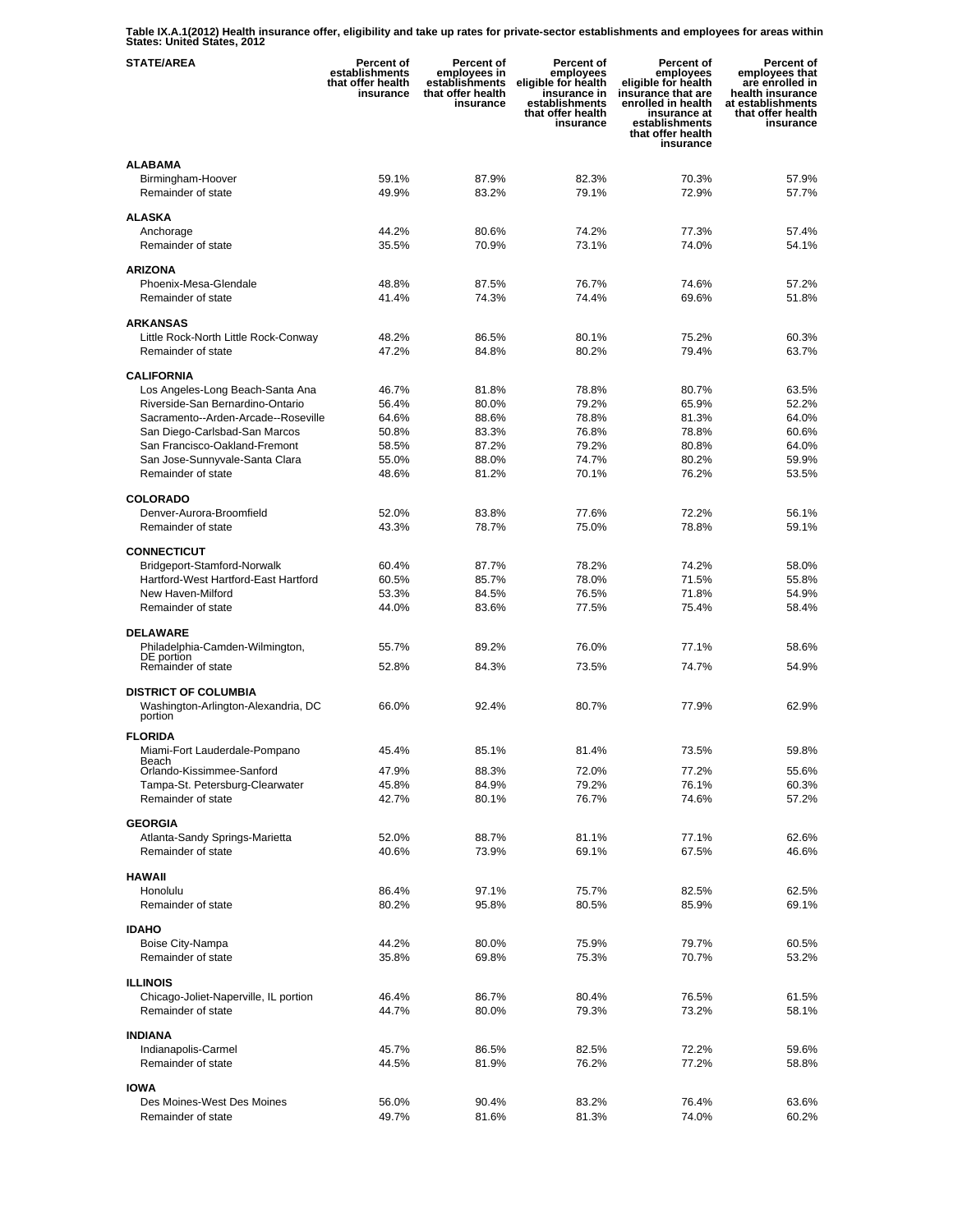**Table IX.A.1(2012) Health insurance offer, eligibility and take up rates for private-sector establishments and employees for areas within States: United States, 2012** 

| <b>STATE/AREA</b>                                                             | Percent of<br>establishments<br>that offer health<br>insurance | Percent of<br>employees in<br>establishments<br>that offer health<br>insurance | Percent of<br>employees<br>eligible for health<br>insurance in<br>establishments<br>that offer health<br>insurance | Percent of<br>employees<br>eligible for health<br>insurance that are<br>enrolled in health<br>insurance at<br>establishments<br>that offer health<br>insurance | Percent of<br>employees that<br>are enrolled in<br>health insurance<br>at establishments<br>that offer health<br>insurance |
|-------------------------------------------------------------------------------|----------------------------------------------------------------|--------------------------------------------------------------------------------|--------------------------------------------------------------------------------------------------------------------|----------------------------------------------------------------------------------------------------------------------------------------------------------------|----------------------------------------------------------------------------------------------------------------------------|
| <b>ALABAMA</b><br>Birmingham-Hoover<br>Remainder of state                     | 59.1%<br>49.9%                                                 | 87.9%<br>83.2%                                                                 | 82.3%<br>79.1%                                                                                                     | 70.3%<br>72.9%                                                                                                                                                 | 57.9%<br>57.7%                                                                                                             |
| ALASKA                                                                        |                                                                |                                                                                |                                                                                                                    |                                                                                                                                                                |                                                                                                                            |
| Anchorage<br>Remainder of state                                               | 44.2%<br>35.5%                                                 | 80.6%<br>70.9%                                                                 | 74.2%<br>73.1%                                                                                                     | 77.3%<br>74.0%                                                                                                                                                 | 57.4%<br>54.1%                                                                                                             |
| <b>ARIZONA</b>                                                                |                                                                |                                                                                |                                                                                                                    |                                                                                                                                                                |                                                                                                                            |
| Phoenix-Mesa-Glendale                                                         | 48.8%                                                          | 87.5%                                                                          | 76.7%                                                                                                              | 74.6%                                                                                                                                                          | 57.2%                                                                                                                      |
| Remainder of state                                                            | 41.4%                                                          | 74.3%                                                                          | 74.4%                                                                                                              | 69.6%                                                                                                                                                          | 51.8%                                                                                                                      |
| <b>ARKANSAS</b>                                                               |                                                                |                                                                                |                                                                                                                    |                                                                                                                                                                |                                                                                                                            |
| Little Rock-North Little Rock-Conway                                          | 48.2%                                                          | 86.5%                                                                          | 80.1%                                                                                                              | 75.2%                                                                                                                                                          | 60.3%                                                                                                                      |
| Remainder of state                                                            | 47.2%                                                          | 84.8%                                                                          | 80.2%                                                                                                              | 79.4%                                                                                                                                                          | 63.7%                                                                                                                      |
| <b>CALIFORNIA</b>                                                             |                                                                |                                                                                |                                                                                                                    |                                                                                                                                                                |                                                                                                                            |
| Los Angeles-Long Beach-Santa Ana                                              | 46.7%                                                          | 81.8%                                                                          | 78.8%                                                                                                              | 80.7%                                                                                                                                                          | 63.5%                                                                                                                      |
| Riverside-San Bernardino-Ontario                                              | 56.4%                                                          | 80.0%                                                                          | 79.2%                                                                                                              | 65.9%                                                                                                                                                          | 52.2%                                                                                                                      |
| Sacramento--Arden-Arcade--Roseville                                           | 64.6%<br>50.8%                                                 | 88.6%<br>83.3%                                                                 | 78.8%<br>76.8%                                                                                                     | 81.3%<br>78.8%                                                                                                                                                 | 64.0%<br>60.6%                                                                                                             |
| San Diego-Carlsbad-San Marcos<br>San Francisco-Oakland-Fremont                | 58.5%                                                          | 87.2%                                                                          | 79.2%                                                                                                              | 80.8%                                                                                                                                                          | 64.0%                                                                                                                      |
| San Jose-Sunnyvale-Santa Clara                                                | 55.0%                                                          | 88.0%                                                                          | 74.7%                                                                                                              | 80.2%                                                                                                                                                          | 59.9%                                                                                                                      |
| Remainder of state                                                            | 48.6%                                                          | 81.2%                                                                          | 70.1%                                                                                                              | 76.2%                                                                                                                                                          | 53.5%                                                                                                                      |
| <b>COLORADO</b>                                                               |                                                                |                                                                                |                                                                                                                    |                                                                                                                                                                |                                                                                                                            |
| Denver-Aurora-Broomfield                                                      | 52.0%                                                          | 83.8%                                                                          | 77.6%                                                                                                              | 72.2%                                                                                                                                                          | 56.1%                                                                                                                      |
| Remainder of state                                                            | 43.3%                                                          | 78.7%                                                                          | 75.0%                                                                                                              | 78.8%                                                                                                                                                          | 59.1%                                                                                                                      |
|                                                                               |                                                                |                                                                                |                                                                                                                    |                                                                                                                                                                |                                                                                                                            |
| <b>CONNECTICUT</b><br>Bridgeport-Stamford-Norwalk                             | 60.4%                                                          | 87.7%                                                                          | 78.2%                                                                                                              | 74.2%                                                                                                                                                          | 58.0%                                                                                                                      |
| Hartford-West Hartford-East Hartford                                          | 60.5%                                                          | 85.7%                                                                          | 78.0%                                                                                                              | 71.5%                                                                                                                                                          | 55.8%                                                                                                                      |
| New Haven-Milford                                                             | 53.3%                                                          | 84.5%                                                                          | 76.5%                                                                                                              | 71.8%                                                                                                                                                          | 54.9%                                                                                                                      |
| Remainder of state                                                            | 44.0%                                                          | 83.6%                                                                          | 77.5%                                                                                                              | 75.4%                                                                                                                                                          | 58.4%                                                                                                                      |
| <b>DELAWARE</b>                                                               |                                                                |                                                                                |                                                                                                                    |                                                                                                                                                                |                                                                                                                            |
| Philadelphia-Camden-Wilmington,                                               | 55.7%                                                          | 89.2%                                                                          | 76.0%                                                                                                              | 77.1%                                                                                                                                                          | 58.6%                                                                                                                      |
| DE portion<br>Remainder of state                                              | 52.8%                                                          | 84.3%                                                                          | 73.5%                                                                                                              | 74.7%                                                                                                                                                          | 54.9%                                                                                                                      |
|                                                                               |                                                                |                                                                                |                                                                                                                    |                                                                                                                                                                |                                                                                                                            |
| <b>DISTRICT OF COLUMBIA</b><br>Washington-Arlington-Alexandria, DC<br>portion | 66.0%                                                          | 92.4%                                                                          | 80.7%                                                                                                              | 77.9%                                                                                                                                                          | 62.9%                                                                                                                      |
| <b>FLORIDA</b>                                                                |                                                                |                                                                                |                                                                                                                    |                                                                                                                                                                |                                                                                                                            |
| Miami-Fort Lauderdale-Pompano                                                 | 45.4%                                                          | 85.1%                                                                          | 81.4%                                                                                                              | 73.5%                                                                                                                                                          | 59.8%                                                                                                                      |
| Beach<br>Orlando-Kissimmee-Sanford                                            | 47.9%                                                          | 88.3%                                                                          | 72.0%                                                                                                              | 77.2%                                                                                                                                                          | 55.6%                                                                                                                      |
| Tampa-St. Petersburg-Clearwater                                               | 45.8%                                                          | 84.9%                                                                          | 79.2%                                                                                                              | 76.1%                                                                                                                                                          | 60.3%                                                                                                                      |
| Remainder of state                                                            | 42.7%                                                          | 80.1%                                                                          | 76.7%                                                                                                              | 74.6%                                                                                                                                                          | 57.2%                                                                                                                      |
| <b>GEORGIA</b>                                                                |                                                                |                                                                                |                                                                                                                    |                                                                                                                                                                |                                                                                                                            |
| Atlanta-Sandy Springs-Marietta                                                | 52.0%                                                          | 88.7%                                                                          | 81.1%                                                                                                              | 77.1%                                                                                                                                                          | 62.6%                                                                                                                      |
| Remainder of state                                                            | 40.6%                                                          | 73.9%                                                                          | 69.1%                                                                                                              | 67.5%                                                                                                                                                          | 46.6%                                                                                                                      |
| <b>HAWAII</b>                                                                 |                                                                |                                                                                |                                                                                                                    |                                                                                                                                                                |                                                                                                                            |
| Honolulu                                                                      | 86.4%                                                          | 97.1%                                                                          | 75.7%                                                                                                              | 82.5%                                                                                                                                                          | 62.5%                                                                                                                      |
| Remainder of state                                                            | 80.2%                                                          | 95.8%                                                                          | 80.5%                                                                                                              | 85.9%                                                                                                                                                          | 69.1%                                                                                                                      |
|                                                                               |                                                                |                                                                                |                                                                                                                    |                                                                                                                                                                |                                                                                                                            |
| <b>IDAHO</b><br>Boise City-Nampa                                              | 44.2%                                                          | 80.0%                                                                          | 75.9%                                                                                                              | 79.7%                                                                                                                                                          | 60.5%                                                                                                                      |
| Remainder of state                                                            | 35.8%                                                          | 69.8%                                                                          | 75.3%                                                                                                              | 70.7%                                                                                                                                                          | 53.2%                                                                                                                      |
|                                                                               |                                                                |                                                                                |                                                                                                                    |                                                                                                                                                                |                                                                                                                            |
| <b>ILLINOIS</b>                                                               |                                                                |                                                                                |                                                                                                                    |                                                                                                                                                                |                                                                                                                            |
| Chicago-Joliet-Naperville, IL portion<br>Remainder of state                   | 46.4%<br>44.7%                                                 | 86.7%<br>80.0%                                                                 | 80.4%<br>79.3%                                                                                                     | 76.5%<br>73.2%                                                                                                                                                 | 61.5%<br>58.1%                                                                                                             |
|                                                                               |                                                                |                                                                                |                                                                                                                    |                                                                                                                                                                |                                                                                                                            |
| <b>INDIANA</b>                                                                |                                                                |                                                                                |                                                                                                                    |                                                                                                                                                                |                                                                                                                            |
| Indianapolis-Carmel                                                           | 45.7%                                                          | 86.5%                                                                          | 82.5%                                                                                                              | 72.2%                                                                                                                                                          | 59.6%                                                                                                                      |
| Remainder of state                                                            | 44.5%                                                          | 81.9%                                                                          | 76.2%                                                                                                              | 77.2%                                                                                                                                                          | 58.8%                                                                                                                      |
| <b>IOWA</b>                                                                   |                                                                |                                                                                |                                                                                                                    |                                                                                                                                                                |                                                                                                                            |
| Des Moines-West Des Moines                                                    | 56.0%                                                          | 90.4%                                                                          | 83.2%                                                                                                              | 76.4%                                                                                                                                                          | 63.6%                                                                                                                      |
| Remainder of state                                                            | 49.7%                                                          | 81.6%                                                                          | 81.3%                                                                                                              | 74.0%                                                                                                                                                          | 60.2%                                                                                                                      |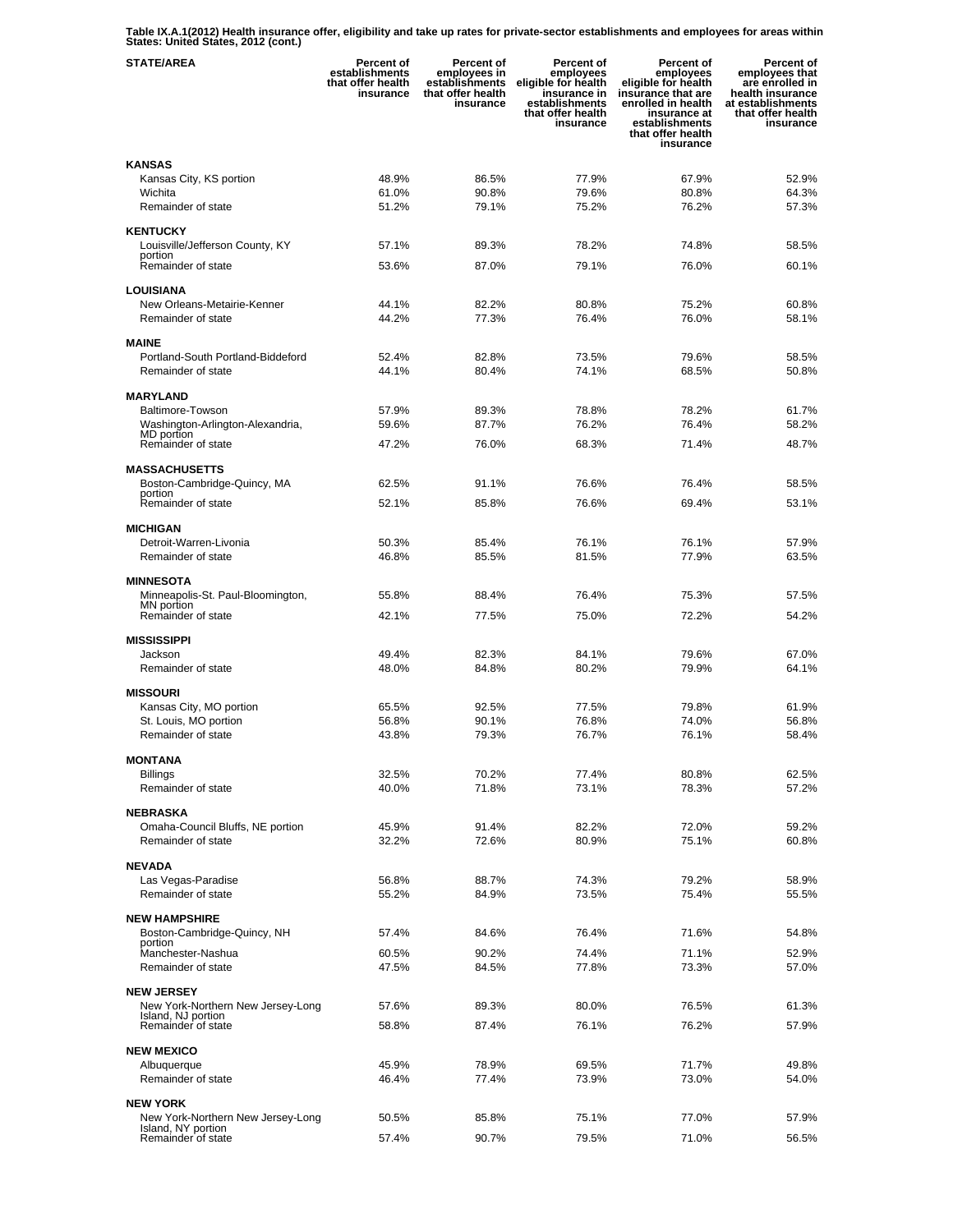**Table IX.A.1(2012) Health insurance offer, eligibility and take up rates for private-sector establishments and employees for areas within States: United States, 2012 (cont.)** 

| <b>STATE/AREA</b>                                       | Percent of<br>establishments<br>that offer health<br>insurance | Percent of<br>employees in<br>establishments<br>that offer health<br>insurance | Percent of<br>employees<br>eligible for health<br>insurance in<br>establishments<br>that offer health<br>insurance | <b>Percent of</b><br>employees<br>eligible for health<br>insurance that are<br>enrolled in health<br>insurance at<br>establishments<br>that offer health<br>insurance | Percent of<br>employees that<br>are enrolled in<br>health insurance<br>at establishments<br>that offer health<br>insurance |
|---------------------------------------------------------|----------------------------------------------------------------|--------------------------------------------------------------------------------|--------------------------------------------------------------------------------------------------------------------|-----------------------------------------------------------------------------------------------------------------------------------------------------------------------|----------------------------------------------------------------------------------------------------------------------------|
| <b>KANSAS</b>                                           |                                                                |                                                                                |                                                                                                                    |                                                                                                                                                                       |                                                                                                                            |
| Kansas City, KS portion                                 | 48.9%                                                          | 86.5%                                                                          | 77.9%                                                                                                              | 67.9%                                                                                                                                                                 | 52.9%                                                                                                                      |
| Wichita                                                 | 61.0%                                                          | 90.8%                                                                          | 79.6%                                                                                                              | 80.8%                                                                                                                                                                 | 64.3%                                                                                                                      |
| Remainder of state                                      | 51.2%                                                          | 79.1%                                                                          | 75.2%                                                                                                              | 76.2%                                                                                                                                                                 | 57.3%                                                                                                                      |
| <b>KENTUCKY</b>                                         |                                                                |                                                                                |                                                                                                                    |                                                                                                                                                                       |                                                                                                                            |
| Louisville/Jefferson County, KY                         | 57.1%                                                          | 89.3%                                                                          | 78.2%                                                                                                              | 74.8%                                                                                                                                                                 | 58.5%                                                                                                                      |
| portion<br>Remainder of state                           | 53.6%                                                          | 87.0%                                                                          | 79.1%                                                                                                              | 76.0%                                                                                                                                                                 | 60.1%                                                                                                                      |
|                                                         |                                                                |                                                                                |                                                                                                                    |                                                                                                                                                                       |                                                                                                                            |
| <b>LOUISIANA</b>                                        |                                                                |                                                                                |                                                                                                                    |                                                                                                                                                                       |                                                                                                                            |
| New Orleans-Metairie-Kenner<br>Remainder of state       | 44.1%<br>44.2%                                                 | 82.2%<br>77.3%                                                                 | 80.8%<br>76.4%                                                                                                     | 75.2%<br>76.0%                                                                                                                                                        | 60.8%<br>58.1%                                                                                                             |
|                                                         |                                                                |                                                                                |                                                                                                                    |                                                                                                                                                                       |                                                                                                                            |
| <b>MAINE</b>                                            |                                                                |                                                                                |                                                                                                                    |                                                                                                                                                                       |                                                                                                                            |
| Portland-South Portland-Biddeford                       | 52.4%                                                          | 82.8%                                                                          | 73.5%                                                                                                              | 79.6%                                                                                                                                                                 | 58.5%                                                                                                                      |
| Remainder of state                                      | 44.1%                                                          | 80.4%                                                                          | 74.1%                                                                                                              | 68.5%                                                                                                                                                                 | 50.8%                                                                                                                      |
| <b>MARYLAND</b>                                         |                                                                |                                                                                |                                                                                                                    |                                                                                                                                                                       |                                                                                                                            |
| <b>Baltimore-Towson</b>                                 | 57.9%                                                          | 89.3%                                                                          | 78.8%                                                                                                              | 78.2%                                                                                                                                                                 | 61.7%                                                                                                                      |
| Washington-Arlington-Alexandria,                        | 59.6%                                                          | 87.7%                                                                          | 76.2%                                                                                                              | 76.4%                                                                                                                                                                 | 58.2%                                                                                                                      |
| MD portion<br>Remainder of state                        | 47.2%                                                          | 76.0%                                                                          | 68.3%                                                                                                              | 71.4%                                                                                                                                                                 | 48.7%                                                                                                                      |
|                                                         |                                                                |                                                                                |                                                                                                                    |                                                                                                                                                                       |                                                                                                                            |
| <b>MASSACHUSETTS</b>                                    |                                                                |                                                                                |                                                                                                                    |                                                                                                                                                                       |                                                                                                                            |
| Boston-Cambridge-Quincy, MA<br>portion                  | 62.5%                                                          | 91.1%                                                                          | 76.6%                                                                                                              | 76.4%                                                                                                                                                                 | 58.5%                                                                                                                      |
| Remainder of state                                      | 52.1%                                                          | 85.8%                                                                          | 76.6%                                                                                                              | 69.4%                                                                                                                                                                 | 53.1%                                                                                                                      |
| <b>MICHIGAN</b>                                         |                                                                |                                                                                |                                                                                                                    |                                                                                                                                                                       |                                                                                                                            |
| Detroit-Warren-Livonia                                  | 50.3%                                                          | 85.4%                                                                          | 76.1%                                                                                                              | 76.1%                                                                                                                                                                 | 57.9%                                                                                                                      |
| Remainder of state                                      | 46.8%                                                          | 85.5%                                                                          | 81.5%                                                                                                              | 77.9%                                                                                                                                                                 | 63.5%                                                                                                                      |
|                                                         |                                                                |                                                                                |                                                                                                                    |                                                                                                                                                                       |                                                                                                                            |
| <b>MINNESOTA</b><br>Minneapolis-St. Paul-Bloomington,   | 55.8%                                                          | 88.4%                                                                          | 76.4%                                                                                                              | 75.3%                                                                                                                                                                 | 57.5%                                                                                                                      |
| MN portion                                              |                                                                |                                                                                |                                                                                                                    |                                                                                                                                                                       |                                                                                                                            |
| Remainder of state                                      | 42.1%                                                          | 77.5%                                                                          | 75.0%                                                                                                              | 72.2%                                                                                                                                                                 | 54.2%                                                                                                                      |
| <b>MISSISSIPPI</b>                                      |                                                                |                                                                                |                                                                                                                    |                                                                                                                                                                       |                                                                                                                            |
| Jackson                                                 | 49.4%                                                          | 82.3%                                                                          | 84.1%                                                                                                              | 79.6%                                                                                                                                                                 | 67.0%                                                                                                                      |
| Remainder of state                                      | 48.0%                                                          | 84.8%                                                                          | 80.2%                                                                                                              | 79.9%                                                                                                                                                                 | 64.1%                                                                                                                      |
| <b>MISSOURI</b>                                         |                                                                |                                                                                |                                                                                                                    |                                                                                                                                                                       |                                                                                                                            |
| Kansas City, MO portion                                 | 65.5%                                                          | 92.5%                                                                          | 77.5%                                                                                                              | 79.8%                                                                                                                                                                 | 61.9%                                                                                                                      |
| St. Louis, MO portion                                   | 56.8%                                                          | 90.1%                                                                          | 76.8%                                                                                                              | 74.0%                                                                                                                                                                 | 56.8%                                                                                                                      |
| Remainder of state                                      | 43.8%                                                          | 79.3%                                                                          | 76.7%                                                                                                              | 76.1%                                                                                                                                                                 | 58.4%                                                                                                                      |
| <b>MONTANA</b>                                          |                                                                |                                                                                |                                                                                                                    |                                                                                                                                                                       |                                                                                                                            |
| Billings                                                | 32.5%                                                          | 70.2%                                                                          | 77.4%                                                                                                              | 80.8%                                                                                                                                                                 | 62.5%                                                                                                                      |
| Remainder of state                                      | 40.0%                                                          | 71.8%                                                                          | 73.1%                                                                                                              | 78.3%                                                                                                                                                                 | 57.2%                                                                                                                      |
|                                                         |                                                                |                                                                                |                                                                                                                    |                                                                                                                                                                       |                                                                                                                            |
| <b>NEBRASKA</b><br>Omaha-Council Bluffs, NE portion     | 45.9%                                                          | 91.4%                                                                          | 82.2%                                                                                                              | 72.0%                                                                                                                                                                 | 59.2%                                                                                                                      |
| Remainder of state                                      | 32.2%                                                          | 72.6%                                                                          | 80.9%                                                                                                              | 75.1%                                                                                                                                                                 | 60.8%                                                                                                                      |
|                                                         |                                                                |                                                                                |                                                                                                                    |                                                                                                                                                                       |                                                                                                                            |
| <b>NEVADA</b>                                           |                                                                |                                                                                |                                                                                                                    |                                                                                                                                                                       |                                                                                                                            |
| Las Vegas-Paradise<br>Remainder of state                | 56.8%<br>55.2%                                                 | 88.7%<br>84.9%                                                                 | 74.3%<br>73.5%                                                                                                     | 79.2%<br>75.4%                                                                                                                                                        | 58.9%<br>55.5%                                                                                                             |
|                                                         |                                                                |                                                                                |                                                                                                                    |                                                                                                                                                                       |                                                                                                                            |
| <b>NEW HAMPSHIRE</b>                                    |                                                                |                                                                                |                                                                                                                    |                                                                                                                                                                       |                                                                                                                            |
| Boston-Cambridge-Quincy, NH<br>portion                  | 57.4%                                                          | 84.6%                                                                          | 76.4%                                                                                                              | 71.6%                                                                                                                                                                 | 54.8%                                                                                                                      |
| Manchester-Nashua                                       | 60.5%                                                          | 90.2%                                                                          | 74.4%                                                                                                              | 71.1%                                                                                                                                                                 | 52.9%                                                                                                                      |
| Remainder of state                                      | 47.5%                                                          | 84.5%                                                                          | 77.8%                                                                                                              | 73.3%                                                                                                                                                                 | 57.0%                                                                                                                      |
| <b>NEW JERSEY</b>                                       |                                                                |                                                                                |                                                                                                                    |                                                                                                                                                                       |                                                                                                                            |
| New York-Northern New Jersey-Long                       | 57.6%                                                          | 89.3%                                                                          | 80.0%                                                                                                              | 76.5%                                                                                                                                                                 | 61.3%                                                                                                                      |
| Island, NJ portion<br>Remainder of state                | 58.8%                                                          | 87.4%                                                                          | 76.1%                                                                                                              | 76.2%                                                                                                                                                                 | 57.9%                                                                                                                      |
|                                                         |                                                                |                                                                                |                                                                                                                    |                                                                                                                                                                       |                                                                                                                            |
| <b>NEW MEXICO</b>                                       |                                                                |                                                                                |                                                                                                                    |                                                                                                                                                                       |                                                                                                                            |
| Albuquerque                                             | 45.9%                                                          | 78.9%                                                                          | 69.5%                                                                                                              | 71.7%                                                                                                                                                                 | 49.8%                                                                                                                      |
| Remainder of state                                      | 46.4%                                                          | 77.4%                                                                          | 73.9%                                                                                                              | 73.0%                                                                                                                                                                 | 54.0%                                                                                                                      |
| <b>NEW YORK</b>                                         |                                                                |                                                                                |                                                                                                                    |                                                                                                                                                                       |                                                                                                                            |
| New York-Northern New Jersey-Long<br>Island, NY portion | 50.5%                                                          | 85.8%                                                                          | 75.1%                                                                                                              | 77.0%                                                                                                                                                                 | 57.9%                                                                                                                      |
| Remainder of state                                      | 57.4%                                                          | 90.7%                                                                          | 79.5%                                                                                                              | 71.0%                                                                                                                                                                 | 56.5%                                                                                                                      |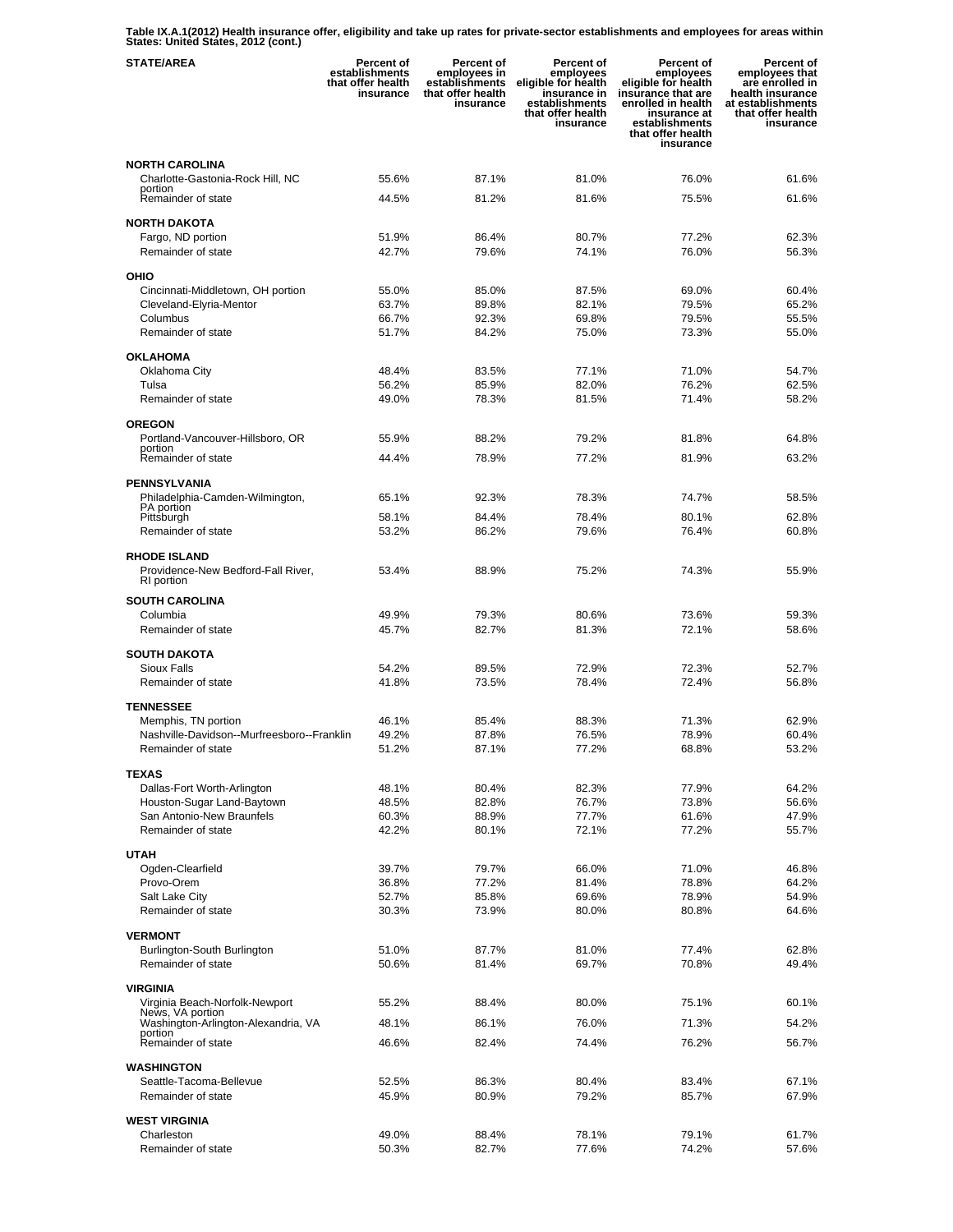**Table IX.A.1(2012) Health insurance offer, eligibility and take up rates for private-sector establishments and employees for areas within States: United States, 2012 (cont.)** 

| <b>STATE/AREA</b>                                                | Percent of<br>establishments<br>that offer health<br>insurance | <b>Percent of</b><br>employees in<br>establishments<br>that offer health<br>insurance | Percent of<br>employees<br>eligible for health<br>insurance in<br>establishments<br>that offer health<br>insurance | Percent of<br>employees<br>eligible for health<br>insurance that are<br>enrolled in health<br>insurance at<br>establishments<br>that offer health<br>insurance | Percent of<br>employees that<br>are enrolled in<br>health insurance<br>at establishments<br>that offer health<br>insurance |
|------------------------------------------------------------------|----------------------------------------------------------------|---------------------------------------------------------------------------------------|--------------------------------------------------------------------------------------------------------------------|----------------------------------------------------------------------------------------------------------------------------------------------------------------|----------------------------------------------------------------------------------------------------------------------------|
| <b>NORTH CAROLINA</b>                                            |                                                                |                                                                                       |                                                                                                                    |                                                                                                                                                                |                                                                                                                            |
| Charlotte-Gastonia-Rock Hill, NC                                 | 55.6%                                                          | 87.1%                                                                                 | 81.0%                                                                                                              | 76.0%                                                                                                                                                          | 61.6%                                                                                                                      |
| portion<br>Remainder of state                                    | 44.5%                                                          | 81.2%                                                                                 | 81.6%                                                                                                              | 75.5%                                                                                                                                                          | 61.6%                                                                                                                      |
| <b>NORTH DAKOTA</b>                                              |                                                                |                                                                                       |                                                                                                                    |                                                                                                                                                                |                                                                                                                            |
| Fargo, ND portion                                                | 51.9%                                                          | 86.4%                                                                                 | 80.7%                                                                                                              | 77.2%                                                                                                                                                          | 62.3%                                                                                                                      |
| Remainder of state                                               | 42.7%                                                          | 79.6%                                                                                 | 74.1%                                                                                                              | 76.0%                                                                                                                                                          | 56.3%                                                                                                                      |
|                                                                  |                                                                |                                                                                       |                                                                                                                    |                                                                                                                                                                |                                                                                                                            |
| OHIO<br>Cincinnati-Middletown, OH portion                        | 55.0%                                                          | 85.0%                                                                                 | 87.5%                                                                                                              | 69.0%                                                                                                                                                          | 60.4%                                                                                                                      |
| Cleveland-Elyria-Mentor                                          | 63.7%                                                          | 89.8%                                                                                 | 82.1%                                                                                                              | 79.5%                                                                                                                                                          | 65.2%                                                                                                                      |
| Columbus                                                         | 66.7%                                                          | 92.3%                                                                                 | 69.8%                                                                                                              | 79.5%                                                                                                                                                          | 55.5%                                                                                                                      |
| Remainder of state                                               | 51.7%                                                          | 84.2%                                                                                 | 75.0%                                                                                                              | 73.3%                                                                                                                                                          | 55.0%                                                                                                                      |
| <b>OKLAHOMA</b>                                                  |                                                                |                                                                                       |                                                                                                                    |                                                                                                                                                                |                                                                                                                            |
| Oklahoma City                                                    | 48.4%                                                          | 83.5%                                                                                 | 77.1%                                                                                                              | 71.0%                                                                                                                                                          | 54.7%                                                                                                                      |
| Tulsa                                                            | 56.2%                                                          | 85.9%                                                                                 | 82.0%                                                                                                              | 76.2%                                                                                                                                                          | 62.5%                                                                                                                      |
| Remainder of state                                               | 49.0%                                                          | 78.3%                                                                                 | 81.5%                                                                                                              | 71.4%                                                                                                                                                          | 58.2%                                                                                                                      |
| <b>OREGON</b>                                                    |                                                                |                                                                                       |                                                                                                                    |                                                                                                                                                                |                                                                                                                            |
| Portland-Vancouver-Hillsboro, OR<br>portion                      | 55.9%                                                          | 88.2%                                                                                 | 79.2%                                                                                                              | 81.8%                                                                                                                                                          | 64.8%                                                                                                                      |
| Remainder of state                                               | 44.4%                                                          | 78.9%                                                                                 | 77.2%                                                                                                              | 81.9%                                                                                                                                                          | 63.2%                                                                                                                      |
| <b>PENNSYLVANIA</b>                                              |                                                                |                                                                                       |                                                                                                                    |                                                                                                                                                                |                                                                                                                            |
| Philadelphia-Camden-Wilmington,                                  | 65.1%                                                          | 92.3%                                                                                 | 78.3%                                                                                                              | 74.7%                                                                                                                                                          | 58.5%                                                                                                                      |
| PA portion<br>Pittsburgh                                         | 58.1%                                                          | 84.4%                                                                                 | 78.4%                                                                                                              | 80.1%                                                                                                                                                          | 62.8%                                                                                                                      |
| Remainder of state                                               | 53.2%                                                          | 86.2%                                                                                 | 79.6%                                                                                                              | 76.4%                                                                                                                                                          | 60.8%                                                                                                                      |
|                                                                  |                                                                |                                                                                       |                                                                                                                    |                                                                                                                                                                |                                                                                                                            |
| <b>RHODE ISLAND</b><br>Providence-New Bedford-Fall River,        | 53.4%                                                          | 88.9%                                                                                 | 75.2%                                                                                                              | 74.3%                                                                                                                                                          | 55.9%                                                                                                                      |
| RI portion                                                       |                                                                |                                                                                       |                                                                                                                    |                                                                                                                                                                |                                                                                                                            |
| <b>SOUTH CAROLINA</b>                                            |                                                                |                                                                                       |                                                                                                                    |                                                                                                                                                                |                                                                                                                            |
| Columbia                                                         | 49.9%                                                          | 79.3%                                                                                 | 80.6%                                                                                                              | 73.6%                                                                                                                                                          | 59.3%                                                                                                                      |
| Remainder of state                                               | 45.7%                                                          | 82.7%                                                                                 | 81.3%                                                                                                              | 72.1%                                                                                                                                                          | 58.6%                                                                                                                      |
| <b>SOUTH DAKOTA</b>                                              |                                                                |                                                                                       |                                                                                                                    |                                                                                                                                                                |                                                                                                                            |
| <b>Sioux Falls</b>                                               | 54.2%                                                          | 89.5%                                                                                 | 72.9%                                                                                                              | 72.3%                                                                                                                                                          | 52.7%                                                                                                                      |
| Remainder of state                                               | 41.8%                                                          | 73.5%                                                                                 | 78.4%                                                                                                              | 72.4%                                                                                                                                                          | 56.8%                                                                                                                      |
| <b>TENNESSEE</b>                                                 |                                                                |                                                                                       |                                                                                                                    |                                                                                                                                                                |                                                                                                                            |
| Memphis, TN portion                                              | 46.1%                                                          | 85.4%                                                                                 | 88.3%                                                                                                              | 71.3%                                                                                                                                                          | 62.9%                                                                                                                      |
| Nashville-Davidson--Murfreesboro--Franklin<br>Remainder of state | 49.2%<br>51.2%                                                 | 87.8%<br>87.1%                                                                        | 76.5%<br>77.2%                                                                                                     | 78.9%<br>68.8%                                                                                                                                                 | 60.4%<br>53.2%                                                                                                             |
|                                                                  |                                                                |                                                                                       |                                                                                                                    |                                                                                                                                                                |                                                                                                                            |
| <b>TEXAS</b>                                                     |                                                                |                                                                                       |                                                                                                                    |                                                                                                                                                                |                                                                                                                            |
| Dallas-Fort Worth-Arlington<br>Houston-Sugar Land-Baytown        | 48.1%<br>48.5%                                                 | 80.4%<br>82.8%                                                                        | 82.3%<br>76.7%                                                                                                     | 77.9%<br>73.8%                                                                                                                                                 | 64.2%<br>56.6%                                                                                                             |
| San Antonio-New Braunfels                                        | 60.3%                                                          | 88.9%                                                                                 | 77.7%                                                                                                              | 61.6%                                                                                                                                                          | 47.9%                                                                                                                      |
| Remainder of state                                               | 42.2%                                                          | 80.1%                                                                                 | 72.1%                                                                                                              | 77.2%                                                                                                                                                          | 55.7%                                                                                                                      |
| <b>UTAH</b>                                                      |                                                                |                                                                                       |                                                                                                                    |                                                                                                                                                                |                                                                                                                            |
| Ogden-Clearfield                                                 | 39.7%                                                          | 79.7%                                                                                 | 66.0%                                                                                                              | 71.0%                                                                                                                                                          | 46.8%                                                                                                                      |
| Provo-Orem                                                       | 36.8%                                                          | 77.2%                                                                                 | 81.4%                                                                                                              | 78.8%                                                                                                                                                          | 64.2%                                                                                                                      |
| Salt Lake City                                                   | 52.7%                                                          | 85.8%                                                                                 | 69.6%                                                                                                              | 78.9%                                                                                                                                                          | 54.9%                                                                                                                      |
| Remainder of state                                               | 30.3%                                                          | 73.9%                                                                                 | 80.0%                                                                                                              | 80.8%                                                                                                                                                          | 64.6%                                                                                                                      |
| <b>VERMONT</b>                                                   |                                                                |                                                                                       |                                                                                                                    |                                                                                                                                                                |                                                                                                                            |
| Burlington-South Burlington                                      | 51.0%                                                          | 87.7%                                                                                 | 81.0%                                                                                                              | 77.4%                                                                                                                                                          | 62.8%                                                                                                                      |
| Remainder of state                                               | 50.6%                                                          | 81.4%                                                                                 | 69.7%                                                                                                              | 70.8%                                                                                                                                                          | 49.4%                                                                                                                      |
| <b>VIRGINIA</b>                                                  |                                                                |                                                                                       |                                                                                                                    |                                                                                                                                                                |                                                                                                                            |
| Virginia Beach-Norfolk-Newport                                   | 55.2%                                                          | 88.4%                                                                                 | 80.0%                                                                                                              | 75.1%                                                                                                                                                          | 60.1%                                                                                                                      |
| News, VA portion<br>Washington-Arlington-Alexandria, VA          | 48.1%                                                          | 86.1%                                                                                 | 76.0%                                                                                                              | 71.3%                                                                                                                                                          | 54.2%                                                                                                                      |
| portion<br>Remainder of state                                    | 46.6%                                                          | 82.4%                                                                                 | 74.4%                                                                                                              | 76.2%                                                                                                                                                          | 56.7%                                                                                                                      |
|                                                                  |                                                                |                                                                                       |                                                                                                                    |                                                                                                                                                                |                                                                                                                            |
| <b>WASHINGTON</b><br>Seattle-Tacoma-Bellevue                     | 52.5%                                                          | 86.3%                                                                                 | 80.4%                                                                                                              | 83.4%                                                                                                                                                          | 67.1%                                                                                                                      |
| Remainder of state                                               | 45.9%                                                          | 80.9%                                                                                 | 79.2%                                                                                                              | 85.7%                                                                                                                                                          | 67.9%                                                                                                                      |
|                                                                  |                                                                |                                                                                       |                                                                                                                    |                                                                                                                                                                |                                                                                                                            |
| <b>WEST VIRGINIA</b><br>Charleston                               | 49.0%                                                          | 88.4%                                                                                 | 78.1%                                                                                                              | 79.1%                                                                                                                                                          | 61.7%                                                                                                                      |
| Remainder of state                                               | 50.3%                                                          | 82.7%                                                                                 | 77.6%                                                                                                              | 74.2%                                                                                                                                                          | 57.6%                                                                                                                      |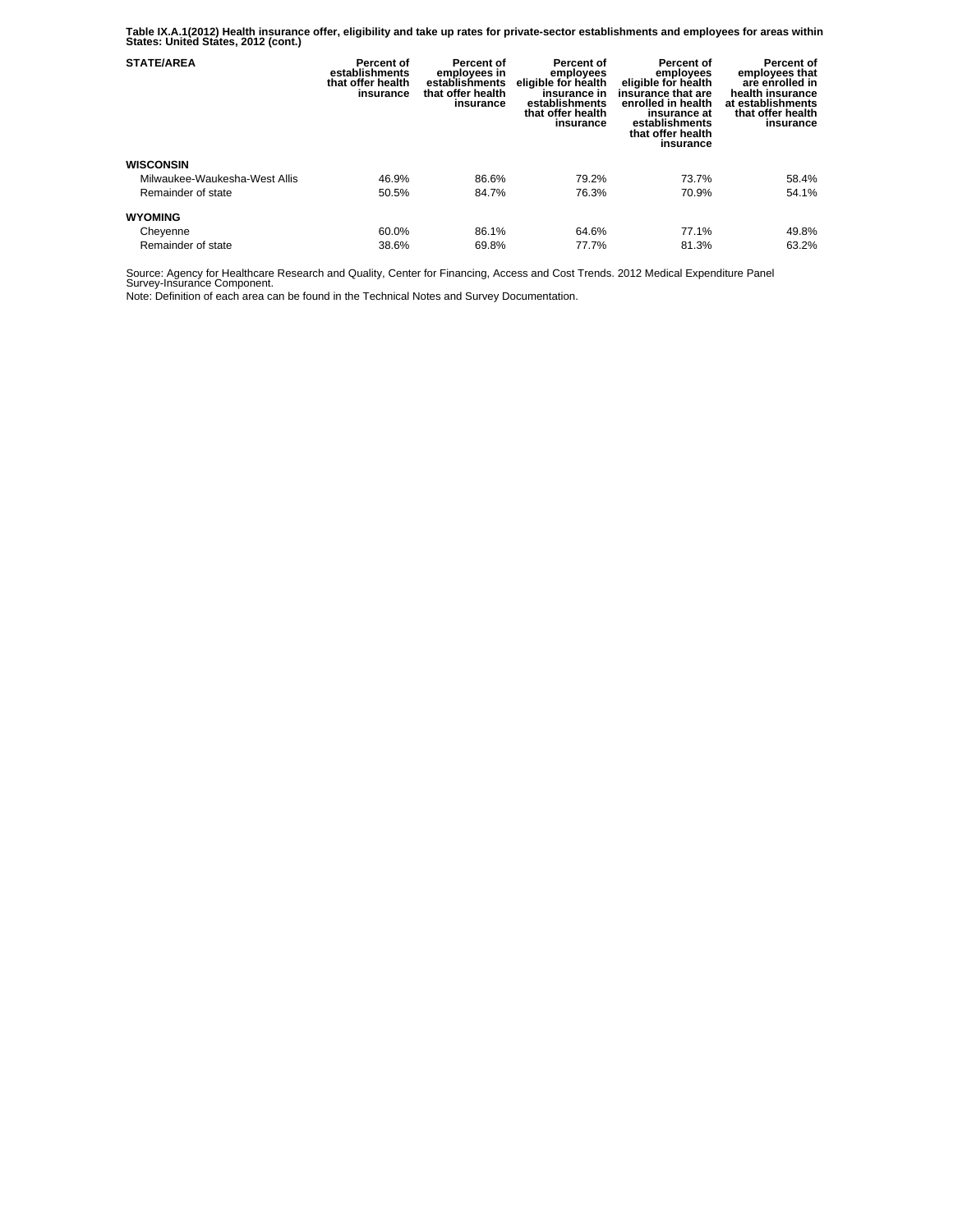**Table IX.A.1(2012) Health insurance offer, eligibility and take up rates for private-sector establishments and employees for areas within States: United States, 2012 (cont.)** 

| <b>STATE/AREA</b>             | Percent of<br>establishments<br>that offer health<br>insurance | Percent of<br>employees in<br>establishments<br>that offer health<br>insurance | Percent of<br>employees<br>eligible for health<br>insurance in<br>establishments<br>that offer health<br>insurance | Percent of<br>employees<br>eligible for health<br>insurance that are<br>enrolled in health<br>insurance at<br>establishments<br>that offer health<br>insurance | Percent of<br>employees that<br>are enrolled in<br>health insurance<br>at establishments<br>that offer health<br>insurance |
|-------------------------------|----------------------------------------------------------------|--------------------------------------------------------------------------------|--------------------------------------------------------------------------------------------------------------------|----------------------------------------------------------------------------------------------------------------------------------------------------------------|----------------------------------------------------------------------------------------------------------------------------|
| <b>WISCONSIN</b>              |                                                                |                                                                                |                                                                                                                    |                                                                                                                                                                |                                                                                                                            |
| Milwaukee-Waukesha-West Allis | 46.9%                                                          | 86.6%                                                                          | 79.2%                                                                                                              | 73.7%                                                                                                                                                          | 58.4%                                                                                                                      |
| Remainder of state            | 50.5%                                                          | 84.7%                                                                          | 76.3%                                                                                                              | 70.9%                                                                                                                                                          | 54.1%                                                                                                                      |
| <b>WYOMING</b>                |                                                                |                                                                                |                                                                                                                    |                                                                                                                                                                |                                                                                                                            |
| Cheyenne                      | 60.0%                                                          | 86.1%                                                                          | 64.6%                                                                                                              | 77.1%                                                                                                                                                          | 49.8%                                                                                                                      |
| Remainder of state            | 38.6%                                                          | 69.8%                                                                          | 77.7%                                                                                                              | 81.3%                                                                                                                                                          | 63.2%                                                                                                                      |

Source: Agency for Healthcare Research and Quality, Center for Financing, Access and Cost Trends. 2012 Medical Expenditure Panel Survey-Insurance Component.

Note: Definition of each area can be found in the Technical Notes and Survey Documentation.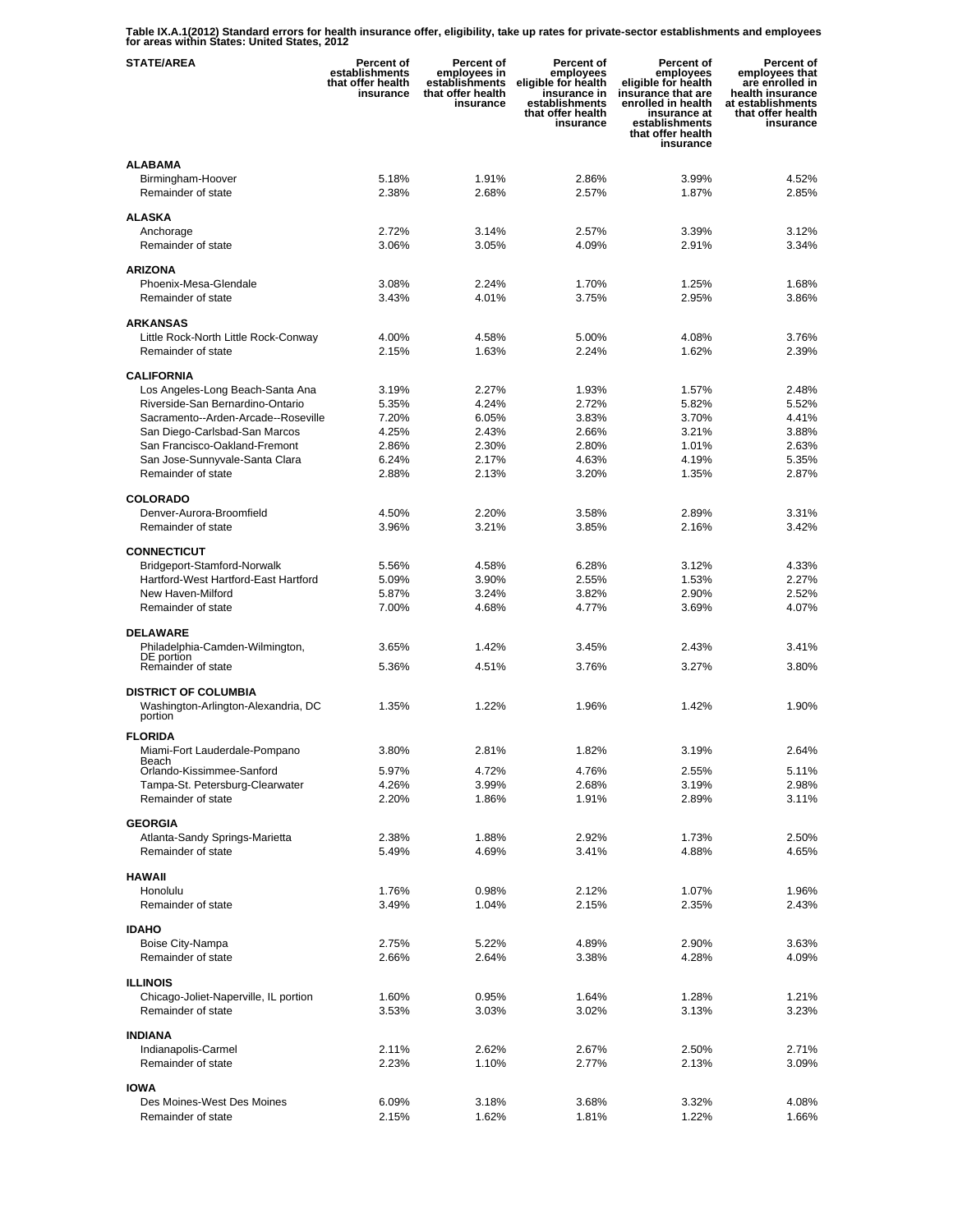**Table IX.A.1(2012) Standard errors for health insurance offer, eligibility, take up rates for private-sector establishments and employees for areas within States: United States, 2012** 

| <b>STATE/AREA</b>                              | <b>Percent of</b><br>establishments<br>that offer health<br>insurance | Percent of<br>employees in<br>establishments<br>that offer health<br>insurance | Percent of<br>employees<br>eligible for health<br>insurance in<br>establishments<br>that offer health<br>insurance | <b>Percent of</b><br>employees<br>eligible for health<br>insurance that are<br>enrolled in health<br>insurance at<br>establishments<br>that offer health<br>insurance | Percent of<br>employees that<br>are enrolled in<br>health insurance<br>at establishments<br>that offer health<br>insurance |
|------------------------------------------------|-----------------------------------------------------------------------|--------------------------------------------------------------------------------|--------------------------------------------------------------------------------------------------------------------|-----------------------------------------------------------------------------------------------------------------------------------------------------------------------|----------------------------------------------------------------------------------------------------------------------------|
| <b>ALABAMA</b>                                 |                                                                       |                                                                                |                                                                                                                    |                                                                                                                                                                       |                                                                                                                            |
| Birmingham-Hoover                              | 5.18%                                                                 | 1.91%                                                                          | 2.86%                                                                                                              | 3.99%                                                                                                                                                                 | 4.52%                                                                                                                      |
| Remainder of state                             | 2.38%                                                                 | 2.68%                                                                          | 2.57%                                                                                                              | 1.87%                                                                                                                                                                 | 2.85%                                                                                                                      |
|                                                |                                                                       |                                                                                |                                                                                                                    |                                                                                                                                                                       |                                                                                                                            |
| <b>ALASKA</b>                                  |                                                                       |                                                                                |                                                                                                                    |                                                                                                                                                                       |                                                                                                                            |
| Anchorage<br>Remainder of state                | 2.72%                                                                 | 3.14%                                                                          | 2.57%                                                                                                              | 3.39%                                                                                                                                                                 | 3.12%                                                                                                                      |
|                                                | 3.06%                                                                 | 3.05%                                                                          | 4.09%                                                                                                              | 2.91%                                                                                                                                                                 | 3.34%                                                                                                                      |
| <b>ARIZONA</b>                                 |                                                                       |                                                                                |                                                                                                                    |                                                                                                                                                                       |                                                                                                                            |
| Phoenix-Mesa-Glendale                          | 3.08%                                                                 | 2.24%                                                                          | 1.70%                                                                                                              | 1.25%                                                                                                                                                                 | 1.68%                                                                                                                      |
| Remainder of state                             | 3.43%                                                                 | 4.01%                                                                          | 3.75%                                                                                                              | 2.95%                                                                                                                                                                 | 3.86%                                                                                                                      |
|                                                |                                                                       |                                                                                |                                                                                                                    |                                                                                                                                                                       |                                                                                                                            |
| <b>ARKANSAS</b>                                |                                                                       |                                                                                |                                                                                                                    |                                                                                                                                                                       |                                                                                                                            |
| Little Rock-North Little Rock-Conway           | 4.00%                                                                 | 4.58%                                                                          | 5.00%                                                                                                              | 4.08%                                                                                                                                                                 | 3.76%                                                                                                                      |
| Remainder of state                             | 2.15%                                                                 | 1.63%                                                                          | 2.24%                                                                                                              | 1.62%                                                                                                                                                                 | 2.39%                                                                                                                      |
| <b>CALIFORNIA</b>                              |                                                                       |                                                                                |                                                                                                                    |                                                                                                                                                                       |                                                                                                                            |
| Los Angeles-Long Beach-Santa Ana               | 3.19%                                                                 | 2.27%                                                                          | 1.93%                                                                                                              | 1.57%                                                                                                                                                                 | 2.48%                                                                                                                      |
| Riverside-San Bernardino-Ontario               | 5.35%                                                                 | 4.24%                                                                          | 2.72%                                                                                                              | 5.82%                                                                                                                                                                 | 5.52%                                                                                                                      |
| Sacramento--Arden-Arcade--Roseville            | 7.20%                                                                 | 6.05%                                                                          | 3.83%                                                                                                              | 3.70%                                                                                                                                                                 | 4.41%                                                                                                                      |
| San Diego-Carlsbad-San Marcos                  | 4.25%                                                                 | 2.43%                                                                          | 2.66%                                                                                                              | 3.21%                                                                                                                                                                 | 3.88%                                                                                                                      |
| San Francisco-Oakland-Fremont                  | 2.86%                                                                 | 2.30%                                                                          | 2.80%                                                                                                              | 1.01%                                                                                                                                                                 | 2.63%                                                                                                                      |
| San Jose-Sunnyvale-Santa Clara                 | 6.24%                                                                 | 2.17%                                                                          | 4.63%                                                                                                              | 4.19%                                                                                                                                                                 | 5.35%                                                                                                                      |
| Remainder of state                             | 2.88%                                                                 | 2.13%                                                                          | 3.20%                                                                                                              | 1.35%                                                                                                                                                                 | 2.87%                                                                                                                      |
|                                                |                                                                       |                                                                                |                                                                                                                    |                                                                                                                                                                       |                                                                                                                            |
| <b>COLORADO</b>                                |                                                                       |                                                                                |                                                                                                                    |                                                                                                                                                                       |                                                                                                                            |
| Denver-Aurora-Broomfield<br>Remainder of state | 4.50%<br>3.96%                                                        | 2.20%<br>3.21%                                                                 | 3.58%<br>3.85%                                                                                                     | 2.89%<br>2.16%                                                                                                                                                        | 3.31%<br>3.42%                                                                                                             |
|                                                |                                                                       |                                                                                |                                                                                                                    |                                                                                                                                                                       |                                                                                                                            |
| <b>CONNECTICUT</b>                             |                                                                       |                                                                                |                                                                                                                    |                                                                                                                                                                       |                                                                                                                            |
| Bridgeport-Stamford-Norwalk                    | 5.56%                                                                 | 4.58%                                                                          | 6.28%                                                                                                              | 3.12%                                                                                                                                                                 | 4.33%                                                                                                                      |
| Hartford-West Hartford-East Hartford           | 5.09%                                                                 | 3.90%                                                                          | 2.55%                                                                                                              | 1.53%                                                                                                                                                                 | 2.27%                                                                                                                      |
| New Haven-Milford                              | 5.87%                                                                 | 3.24%                                                                          | 3.82%                                                                                                              | 2.90%                                                                                                                                                                 | 2.52%                                                                                                                      |
| Remainder of state                             | 7.00%                                                                 | 4.68%                                                                          | 4.77%                                                                                                              | 3.69%                                                                                                                                                                 | 4.07%                                                                                                                      |
|                                                |                                                                       |                                                                                |                                                                                                                    |                                                                                                                                                                       |                                                                                                                            |
| <b>DELAWARE</b>                                |                                                                       |                                                                                |                                                                                                                    |                                                                                                                                                                       |                                                                                                                            |
| Philadelphia-Camden-Wilmington,<br>DE portion  | 3.65%                                                                 | 1.42%                                                                          | 3.45%                                                                                                              | 2.43%                                                                                                                                                                 | 3.41%                                                                                                                      |
| Remainder of state                             | 5.36%                                                                 | 4.51%                                                                          | 3.76%                                                                                                              | 3.27%                                                                                                                                                                 | 3.80%                                                                                                                      |
|                                                |                                                                       |                                                                                |                                                                                                                    |                                                                                                                                                                       |                                                                                                                            |
| <b>DISTRICT OF COLUMBIA</b>                    |                                                                       |                                                                                |                                                                                                                    |                                                                                                                                                                       |                                                                                                                            |
| Washington-Arlington-Alexandria, DC<br>portion | 1.35%                                                                 | 1.22%                                                                          | 1.96%                                                                                                              | 1.42%                                                                                                                                                                 | 1.90%                                                                                                                      |
| <b>FLORIDA</b>                                 |                                                                       |                                                                                |                                                                                                                    |                                                                                                                                                                       |                                                                                                                            |
|                                                |                                                                       |                                                                                |                                                                                                                    |                                                                                                                                                                       |                                                                                                                            |
| Miami-Fort Lauderdale-Pompano<br>Beach         | 3.80%                                                                 | 2.81%                                                                          | 1.82%                                                                                                              | 3.19%                                                                                                                                                                 | 2.64%                                                                                                                      |
| Orlando-Kissimmee-Sanford                      | 5.97%                                                                 | 4.72%                                                                          | 4.76%                                                                                                              | 2.55%                                                                                                                                                                 | 5.11%                                                                                                                      |
| Tampa-St. Petersburg-Clearwater                | 4.26%                                                                 | 3.99%                                                                          | 2.68%                                                                                                              | 3.19%                                                                                                                                                                 | 2.98%                                                                                                                      |
| Remainder of state                             | 2.20%                                                                 | 1.86%                                                                          | 1.91%                                                                                                              | 2.89%                                                                                                                                                                 | 3.11%                                                                                                                      |
| <b>GEORGIA</b>                                 |                                                                       |                                                                                |                                                                                                                    |                                                                                                                                                                       |                                                                                                                            |
| Atlanta-Sandy Springs-Marietta                 | 2.38%                                                                 | 1.88%                                                                          | 2.92%                                                                                                              | 1.73%                                                                                                                                                                 | 2.50%                                                                                                                      |
| Remainder of state                             | 5.49%                                                                 | 4.69%                                                                          | 3.41%                                                                                                              | 4.88%                                                                                                                                                                 | 4.65%                                                                                                                      |
|                                                |                                                                       |                                                                                |                                                                                                                    |                                                                                                                                                                       |                                                                                                                            |
| <b>HAWAII</b>                                  |                                                                       |                                                                                |                                                                                                                    |                                                                                                                                                                       |                                                                                                                            |
| Honolulu                                       | 1.76%                                                                 | 0.98%                                                                          | 2.12%                                                                                                              | 1.07%                                                                                                                                                                 | 1.96%                                                                                                                      |
| Remainder of state                             | 3.49%                                                                 | 1.04%                                                                          | 2.15%                                                                                                              | 2.35%                                                                                                                                                                 | 2.43%                                                                                                                      |
| <b>IDAHO</b>                                   |                                                                       |                                                                                |                                                                                                                    |                                                                                                                                                                       |                                                                                                                            |
| Boise City-Nampa                               | 2.75%                                                                 | 5.22%                                                                          | 4.89%                                                                                                              | 2.90%                                                                                                                                                                 | 3.63%                                                                                                                      |
| Remainder of state                             | 2.66%                                                                 | 2.64%                                                                          | 3.38%                                                                                                              | 4.28%                                                                                                                                                                 | 4.09%                                                                                                                      |
|                                                |                                                                       |                                                                                |                                                                                                                    |                                                                                                                                                                       |                                                                                                                            |
| <b>ILLINOIS</b>                                |                                                                       |                                                                                |                                                                                                                    |                                                                                                                                                                       |                                                                                                                            |
| Chicago-Joliet-Naperville, IL portion          | 1.60%                                                                 | 0.95%                                                                          | 1.64%                                                                                                              | 1.28%                                                                                                                                                                 | 1.21%                                                                                                                      |
| Remainder of state                             | 3.53%                                                                 | 3.03%                                                                          | 3.02%                                                                                                              | 3.13%                                                                                                                                                                 | 3.23%                                                                                                                      |
|                                                |                                                                       |                                                                                |                                                                                                                    |                                                                                                                                                                       |                                                                                                                            |
| <b>INDIANA</b>                                 |                                                                       |                                                                                |                                                                                                                    |                                                                                                                                                                       |                                                                                                                            |
| Indianapolis-Carmel<br>Remainder of state      | 2.11%<br>2.23%                                                        | 2.62%                                                                          | 2.67%<br>2.77%                                                                                                     | 2.50%<br>2.13%                                                                                                                                                        | 2.71%<br>3.09%                                                                                                             |
|                                                |                                                                       | 1.10%                                                                          |                                                                                                                    |                                                                                                                                                                       |                                                                                                                            |
| <b>IOWA</b>                                    |                                                                       |                                                                                |                                                                                                                    |                                                                                                                                                                       |                                                                                                                            |
| Des Moines-West Des Moines                     | 6.09%                                                                 | 3.18%                                                                          | 3.68%                                                                                                              | 3.32%                                                                                                                                                                 | 4.08%                                                                                                                      |
| Remainder of state                             | 2.15%                                                                 | 1.62%                                                                          | 1.81%                                                                                                              | 1.22%                                                                                                                                                                 | 1.66%                                                                                                                      |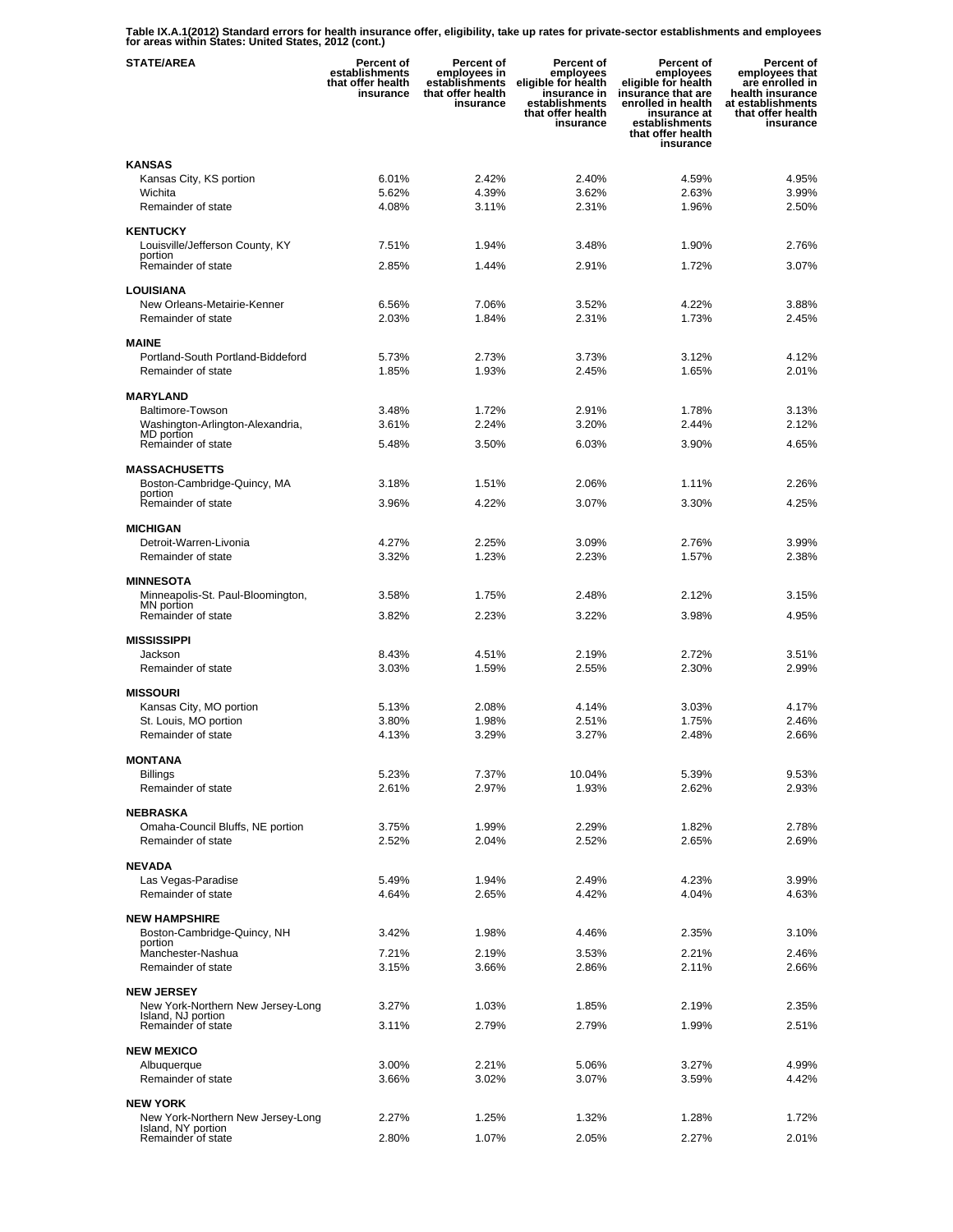**Table IX.A.1(2012) Standard errors for health insurance offer, eligibility, take up rates for private-sector establishments and employees for areas within States: United States, 2012 (cont.)** 

| <b>STATE/AREA</b>                                       | Percent of<br>establishments<br>that offer health<br>insurance | <b>Percent of</b><br>employees in<br>establishments<br>that offer health<br>insurance | Percent of<br>employees<br>eligible for health<br>insurance in<br>establishments<br>that offer health<br>insurance | Percent of<br>employees<br>eligible for health<br>insurance that are<br>enrolled in health<br>insurance at<br>establishments<br>that offer health<br>insurance | Percent of<br>employees that<br>are enrolled in<br>health insurance<br>at establishments<br>that offer health<br>insurance |
|---------------------------------------------------------|----------------------------------------------------------------|---------------------------------------------------------------------------------------|--------------------------------------------------------------------------------------------------------------------|----------------------------------------------------------------------------------------------------------------------------------------------------------------|----------------------------------------------------------------------------------------------------------------------------|
| <b>KANSAS</b>                                           |                                                                |                                                                                       |                                                                                                                    |                                                                                                                                                                |                                                                                                                            |
| Kansas City, KS portion                                 | 6.01%                                                          | 2.42%                                                                                 | 2.40%                                                                                                              | 4.59%                                                                                                                                                          | 4.95%                                                                                                                      |
| Wichita                                                 | 5.62%<br>4.08%                                                 | 4.39%                                                                                 | 3.62%                                                                                                              | 2.63%<br>1.96%                                                                                                                                                 | 3.99%<br>2.50%                                                                                                             |
| Remainder of state                                      |                                                                | 3.11%                                                                                 | 2.31%                                                                                                              |                                                                                                                                                                |                                                                                                                            |
| <b>KENTUCKY</b>                                         |                                                                |                                                                                       |                                                                                                                    |                                                                                                                                                                |                                                                                                                            |
| Louisville/Jefferson County, KY<br>portion              | 7.51%                                                          | 1.94%                                                                                 | 3.48%                                                                                                              | 1.90%                                                                                                                                                          | 2.76%                                                                                                                      |
| Remainder of state                                      | 2.85%                                                          | 1.44%                                                                                 | 2.91%                                                                                                              | 1.72%                                                                                                                                                          | 3.07%                                                                                                                      |
| <b>LOUISIANA</b>                                        |                                                                |                                                                                       |                                                                                                                    |                                                                                                                                                                |                                                                                                                            |
| New Orleans-Metairie-Kenner                             | 6.56%                                                          | 7.06%                                                                                 | 3.52%                                                                                                              | 4.22%                                                                                                                                                          | 3.88%                                                                                                                      |
| Remainder of state                                      | 2.03%                                                          | 1.84%                                                                                 | 2.31%                                                                                                              | 1.73%                                                                                                                                                          | 2.45%                                                                                                                      |
| <b>MAINE</b>                                            |                                                                |                                                                                       |                                                                                                                    |                                                                                                                                                                |                                                                                                                            |
| Portland-South Portland-Biddeford                       | 5.73%                                                          | 2.73%                                                                                 | 3.73%                                                                                                              | 3.12%                                                                                                                                                          | 4.12%                                                                                                                      |
| Remainder of state                                      | 1.85%                                                          | 1.93%                                                                                 | 2.45%                                                                                                              | 1.65%                                                                                                                                                          | 2.01%                                                                                                                      |
| <b>MARYLAND</b>                                         |                                                                |                                                                                       |                                                                                                                    |                                                                                                                                                                |                                                                                                                            |
| Baltimore-Towson                                        | 3.48%                                                          | 1.72%                                                                                 | 2.91%                                                                                                              | 1.78%                                                                                                                                                          | 3.13%                                                                                                                      |
| Washington-Arlington-Alexandria,                        | 3.61%                                                          | 2.24%                                                                                 | 3.20%                                                                                                              | 2.44%                                                                                                                                                          | 2.12%                                                                                                                      |
| MD portion<br>Remainder of state                        | 5.48%                                                          | 3.50%                                                                                 | 6.03%                                                                                                              | 3.90%                                                                                                                                                          | 4.65%                                                                                                                      |
|                                                         |                                                                |                                                                                       |                                                                                                                    |                                                                                                                                                                |                                                                                                                            |
| <b>MASSACHUSETTS</b><br>Boston-Cambridge-Quincy, MA     | 3.18%                                                          | 1.51%                                                                                 | 2.06%                                                                                                              | 1.11%                                                                                                                                                          | 2.26%                                                                                                                      |
| portion                                                 |                                                                |                                                                                       |                                                                                                                    |                                                                                                                                                                |                                                                                                                            |
| Remainder of state                                      | 3.96%                                                          | 4.22%                                                                                 | 3.07%                                                                                                              | 3.30%                                                                                                                                                          | 4.25%                                                                                                                      |
| <b>MICHIGAN</b>                                         |                                                                |                                                                                       |                                                                                                                    |                                                                                                                                                                |                                                                                                                            |
| Detroit-Warren-Livonia                                  | 4.27%                                                          | 2.25%                                                                                 | 3.09%                                                                                                              | 2.76%                                                                                                                                                          | 3.99%                                                                                                                      |
| Remainder of state                                      | 3.32%                                                          | 1.23%                                                                                 | 2.23%                                                                                                              | 1.57%                                                                                                                                                          | 2.38%                                                                                                                      |
| <b>MINNESOTA</b>                                        |                                                                |                                                                                       |                                                                                                                    |                                                                                                                                                                |                                                                                                                            |
| Minneapolis-St. Paul-Bloomington,<br>MN portion         | 3.58%                                                          | 1.75%                                                                                 | 2.48%                                                                                                              | 2.12%                                                                                                                                                          | 3.15%                                                                                                                      |
| Remainder of state                                      | 3.82%                                                          | 2.23%                                                                                 | 3.22%                                                                                                              | 3.98%                                                                                                                                                          | 4.95%                                                                                                                      |
| <b>MISSISSIPPI</b>                                      |                                                                |                                                                                       |                                                                                                                    |                                                                                                                                                                |                                                                                                                            |
| Jackson                                                 | 8.43%                                                          | 4.51%                                                                                 | 2.19%                                                                                                              | 2.72%                                                                                                                                                          | 3.51%                                                                                                                      |
| Remainder of state                                      | 3.03%                                                          | 1.59%                                                                                 | 2.55%                                                                                                              | 2.30%                                                                                                                                                          | 2.99%                                                                                                                      |
| <b>MISSOURI</b>                                         |                                                                |                                                                                       |                                                                                                                    |                                                                                                                                                                |                                                                                                                            |
| Kansas City, MO portion                                 | 5.13%                                                          | 2.08%                                                                                 | 4.14%                                                                                                              | 3.03%                                                                                                                                                          | 4.17%                                                                                                                      |
| St. Louis, MO portion                                   | 3.80%                                                          | 1.98%                                                                                 | 2.51%                                                                                                              | 1.75%                                                                                                                                                          | 2.46%                                                                                                                      |
| Remainder of state                                      | 4.13%                                                          | 3.29%                                                                                 | 3.27%                                                                                                              | 2.48%                                                                                                                                                          | 2.66%                                                                                                                      |
| <b>MONTANA</b>                                          |                                                                |                                                                                       |                                                                                                                    |                                                                                                                                                                |                                                                                                                            |
| Billings                                                | 5.23%                                                          | 7.37%                                                                                 | 10.04%                                                                                                             | 5.39%                                                                                                                                                          | 9.53%                                                                                                                      |
| Remainder of state                                      | 2.61%                                                          | 2.97%                                                                                 | 1.93%                                                                                                              | 2.62%                                                                                                                                                          | 2.93%                                                                                                                      |
| <b>NEBRASKA</b>                                         |                                                                |                                                                                       |                                                                                                                    |                                                                                                                                                                |                                                                                                                            |
| Omaha-Council Bluffs, NE portion                        | 3.75%                                                          | 1.99%                                                                                 | 2.29%                                                                                                              | 1.82%                                                                                                                                                          | 2.78%                                                                                                                      |
| Remainder of state                                      | 2.52%                                                          | 2.04%                                                                                 | 2.52%                                                                                                              | 2.65%                                                                                                                                                          | 2.69%                                                                                                                      |
| <b>NEVADA</b>                                           |                                                                |                                                                                       |                                                                                                                    |                                                                                                                                                                |                                                                                                                            |
| Las Vegas-Paradise                                      | 5.49%                                                          | 1.94%                                                                                 | 2.49%                                                                                                              | 4.23%                                                                                                                                                          | 3.99%                                                                                                                      |
| Remainder of state                                      | 4.64%                                                          | 2.65%                                                                                 | 4.42%                                                                                                              | 4.04%                                                                                                                                                          | 4.63%                                                                                                                      |
| <b>NEW HAMPSHIRE</b>                                    |                                                                |                                                                                       |                                                                                                                    |                                                                                                                                                                |                                                                                                                            |
| Boston-Cambridge-Quincy, NH                             | 3.42%                                                          | 1.98%                                                                                 | 4.46%                                                                                                              | 2.35%                                                                                                                                                          | 3.10%                                                                                                                      |
| portion<br>Manchester-Nashua                            | 7.21%                                                          | 2.19%                                                                                 | 3.53%                                                                                                              | 2.21%                                                                                                                                                          | 2.46%                                                                                                                      |
| Remainder of state                                      | 3.15%                                                          | 3.66%                                                                                 | 2.86%                                                                                                              | 2.11%                                                                                                                                                          | 2.66%                                                                                                                      |
| <b>NEW JERSEY</b>                                       |                                                                |                                                                                       |                                                                                                                    |                                                                                                                                                                |                                                                                                                            |
| New York-Northern New Jersey-Long                       | 3.27%                                                          | 1.03%                                                                                 | 1.85%                                                                                                              | 2.19%                                                                                                                                                          | 2.35%                                                                                                                      |
| Island, NJ portion<br>Remainder of state                | 3.11%                                                          | 2.79%                                                                                 | 2.79%                                                                                                              | 1.99%                                                                                                                                                          | 2.51%                                                                                                                      |
|                                                         |                                                                |                                                                                       |                                                                                                                    |                                                                                                                                                                |                                                                                                                            |
| <b>NEW MEXICO</b>                                       |                                                                | 2.21%                                                                                 | 5.06%                                                                                                              | 3.27%                                                                                                                                                          | 4.99%                                                                                                                      |
| Albuquerque<br>Remainder of state                       | 3.00%<br>3.66%                                                 | 3.02%                                                                                 | 3.07%                                                                                                              | 3.59%                                                                                                                                                          | 4.42%                                                                                                                      |
|                                                         |                                                                |                                                                                       |                                                                                                                    |                                                                                                                                                                |                                                                                                                            |
| <b>NEW YORK</b>                                         |                                                                |                                                                                       |                                                                                                                    |                                                                                                                                                                |                                                                                                                            |
| New York-Northern New Jersey-Long<br>Island, NY portion | 2.27%                                                          | 1.25%                                                                                 | 1.32%                                                                                                              | 1.28%                                                                                                                                                          | 1.72%                                                                                                                      |
| Remainder of state                                      | 2.80%                                                          | 1.07%                                                                                 | 2.05%                                                                                                              | 2.27%                                                                                                                                                          | 2.01%                                                                                                                      |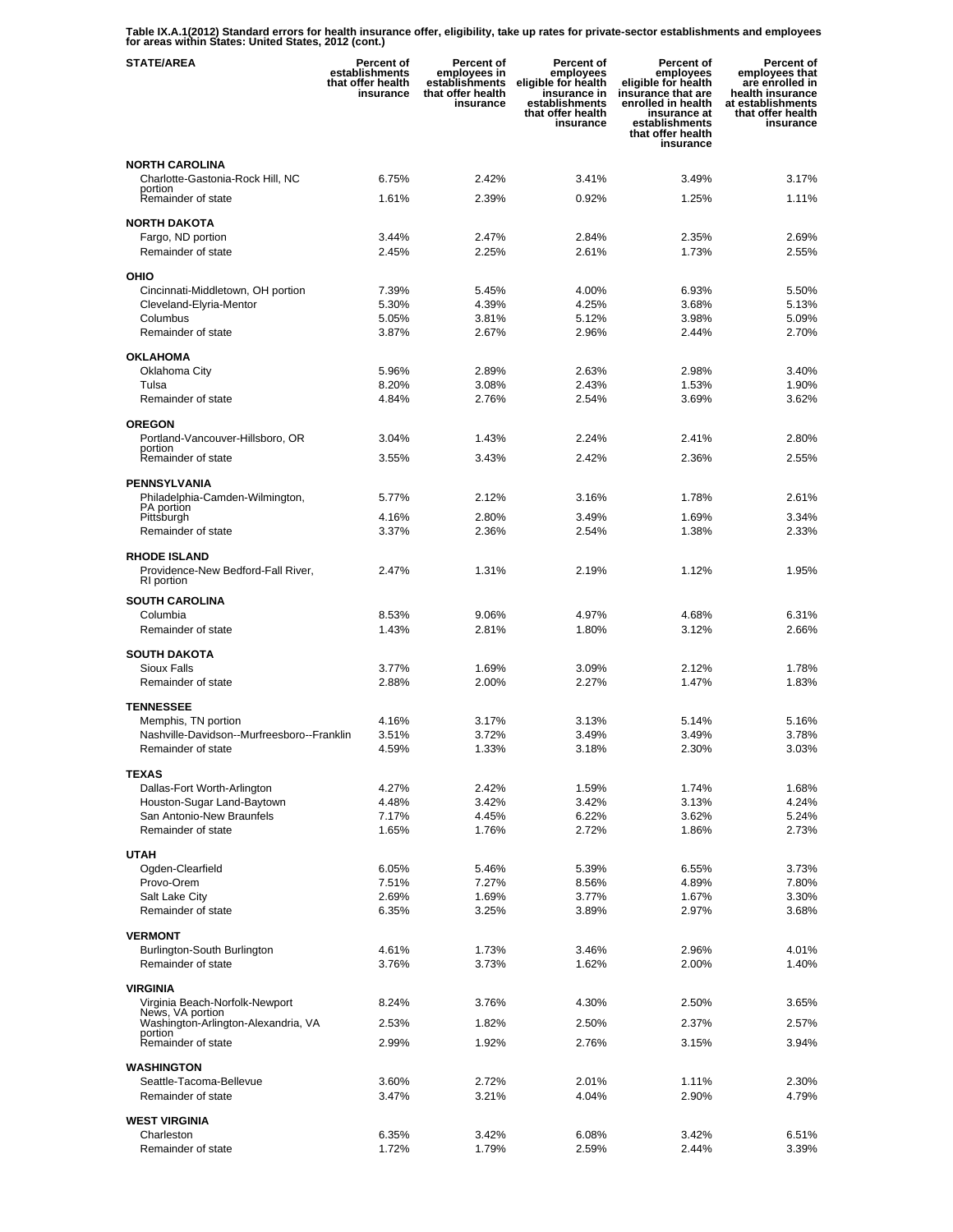**Table IX.A.1(2012) Standard errors for health insurance offer, eligibility, take up rates for private-sector establishments and employees for areas within States: United States, 2012 (cont.)** 

| <b>STATE/AREA</b>                                         | <b>Percent of</b><br>establishments<br>that offer health<br>insurance | Percent of<br>employees in<br>establishments<br>that offer health<br>insurance | Percent of<br>employees<br>eligible for health<br>insurance in<br>establishments<br>that offer health<br>insurance | <b>Percent of</b><br>employees<br>eligible for health<br>insurance that are<br>enrolled in health<br>insurance at<br>establishments<br>that offer health<br>insurance | Percent of<br>employees that<br>are enrolled in<br>health insurance<br>at establishments<br>that offer health<br>insurance |
|-----------------------------------------------------------|-----------------------------------------------------------------------|--------------------------------------------------------------------------------|--------------------------------------------------------------------------------------------------------------------|-----------------------------------------------------------------------------------------------------------------------------------------------------------------------|----------------------------------------------------------------------------------------------------------------------------|
| <b>NORTH CAROLINA</b>                                     |                                                                       |                                                                                |                                                                                                                    |                                                                                                                                                                       |                                                                                                                            |
| Charlotte-Gastonia-Rock Hill, NC<br>portion               | 6.75%                                                                 | 2.42%                                                                          | 3.41%                                                                                                              | 3.49%                                                                                                                                                                 | 3.17%                                                                                                                      |
| Remainder of state                                        | 1.61%                                                                 | 2.39%                                                                          | 0.92%                                                                                                              | 1.25%                                                                                                                                                                 | 1.11%                                                                                                                      |
| <b>NORTH DAKOTA</b>                                       |                                                                       |                                                                                |                                                                                                                    |                                                                                                                                                                       |                                                                                                                            |
| Fargo, ND portion                                         | 3.44%                                                                 | 2.47%                                                                          | 2.84%                                                                                                              | 2.35%                                                                                                                                                                 | 2.69%                                                                                                                      |
| Remainder of state                                        | 2.45%                                                                 | 2.25%                                                                          | 2.61%                                                                                                              | 1.73%                                                                                                                                                                 | 2.55%                                                                                                                      |
| OHIO                                                      |                                                                       |                                                                                |                                                                                                                    |                                                                                                                                                                       |                                                                                                                            |
| Cincinnati-Middletown, OH portion                         | 7.39%                                                                 | 5.45%                                                                          | 4.00%                                                                                                              | 6.93%                                                                                                                                                                 | 5.50%                                                                                                                      |
| Cleveland-Elyria-Mentor<br>Columbus                       | 5.30%<br>5.05%                                                        | 4.39%<br>3.81%                                                                 | 4.25%<br>5.12%                                                                                                     | 3.68%<br>3.98%                                                                                                                                                        | 5.13%<br>5.09%                                                                                                             |
| Remainder of state                                        | 3.87%                                                                 | 2.67%                                                                          | 2.96%                                                                                                              | 2.44%                                                                                                                                                                 | 2.70%                                                                                                                      |
| <b>OKLAHOMA</b>                                           |                                                                       |                                                                                |                                                                                                                    |                                                                                                                                                                       |                                                                                                                            |
| Oklahoma City                                             | 5.96%                                                                 | 2.89%                                                                          | 2.63%                                                                                                              | 2.98%                                                                                                                                                                 | 3.40%                                                                                                                      |
| Tulsa                                                     | 8.20%                                                                 | 3.08%                                                                          | 2.43%                                                                                                              | 1.53%                                                                                                                                                                 | 1.90%                                                                                                                      |
| Remainder of state                                        | 4.84%                                                                 | 2.76%                                                                          | 2.54%                                                                                                              | 3.69%                                                                                                                                                                 | 3.62%                                                                                                                      |
| <b>OREGON</b>                                             |                                                                       |                                                                                |                                                                                                                    |                                                                                                                                                                       |                                                                                                                            |
| Portland-Vancouver-Hillsboro, OR<br>portion               | 3.04%                                                                 | 1.43%                                                                          | 2.24%                                                                                                              | 2.41%                                                                                                                                                                 | 2.80%                                                                                                                      |
| Remainder of state                                        | 3.55%                                                                 | 3.43%                                                                          | 2.42%                                                                                                              | 2.36%                                                                                                                                                                 | 2.55%                                                                                                                      |
| <b>PENNSYLVANIA</b>                                       |                                                                       |                                                                                |                                                                                                                    |                                                                                                                                                                       |                                                                                                                            |
| Philadelphia-Camden-Wilmington,                           | 5.77%                                                                 | 2.12%                                                                          | 3.16%                                                                                                              | 1.78%                                                                                                                                                                 | 2.61%                                                                                                                      |
| <b>PA</b> portion<br>Pittsburgh                           | 4.16%                                                                 | 2.80%                                                                          | 3.49%                                                                                                              | 1.69%                                                                                                                                                                 | 3.34%                                                                                                                      |
| Remainder of state                                        | 3.37%                                                                 | 2.36%                                                                          | 2.54%                                                                                                              | 1.38%                                                                                                                                                                 | 2.33%                                                                                                                      |
| <b>RHODE ISLAND</b>                                       |                                                                       |                                                                                |                                                                                                                    |                                                                                                                                                                       |                                                                                                                            |
| Providence-New Bedford-Fall River,                        | 2.47%                                                                 | 1.31%                                                                          | 2.19%                                                                                                              | 1.12%                                                                                                                                                                 | 1.95%                                                                                                                      |
| RI portion                                                |                                                                       |                                                                                |                                                                                                                    |                                                                                                                                                                       |                                                                                                                            |
| <b>SOUTH CAROLINA</b><br>Columbia                         | 8.53%                                                                 | 9.06%                                                                          | 4.97%                                                                                                              | 4.68%                                                                                                                                                                 | 6.31%                                                                                                                      |
| Remainder of state                                        | 1.43%                                                                 | 2.81%                                                                          | 1.80%                                                                                                              | 3.12%                                                                                                                                                                 | 2.66%                                                                                                                      |
| <b>SOUTH DAKOTA</b>                                       |                                                                       |                                                                                |                                                                                                                    |                                                                                                                                                                       |                                                                                                                            |
| <b>Sioux Falls</b>                                        | 3.77%                                                                 | 1.69%                                                                          | 3.09%                                                                                                              | 2.12%                                                                                                                                                                 | 1.78%                                                                                                                      |
| Remainder of state                                        | 2.88%                                                                 | 2.00%                                                                          | 2.27%                                                                                                              | 1.47%                                                                                                                                                                 | 1.83%                                                                                                                      |
| <b>TENNESSEE</b>                                          |                                                                       |                                                                                |                                                                                                                    |                                                                                                                                                                       |                                                                                                                            |
| Memphis, TN portion                                       | 4.16%                                                                 | 3.17%                                                                          | 3.13%                                                                                                              | 5.14%                                                                                                                                                                 | 5.16%                                                                                                                      |
| Nashville-Davidson--Murfreesboro--Franklin                | 3.51%                                                                 | 3.72%                                                                          | 3.49%                                                                                                              | 3.49%                                                                                                                                                                 | 3.78%                                                                                                                      |
| Remainder of state                                        | 4.59%                                                                 | 1.33%                                                                          | 3.18%                                                                                                              | 2.30%                                                                                                                                                                 | 3.03%                                                                                                                      |
| <b>TEXAS</b>                                              |                                                                       |                                                                                |                                                                                                                    |                                                                                                                                                                       |                                                                                                                            |
| Dallas-Fort Worth-Arlington<br>Houston-Sugar Land-Baytown | 4.27%<br>4.48%                                                        | 2.42%<br>3.42%                                                                 | 1.59%<br>3.42%                                                                                                     | 1.74%<br>3.13%                                                                                                                                                        | 1.68%<br>4.24%                                                                                                             |
| San Antonio-New Braunfels                                 | 7.17%                                                                 | 4.45%                                                                          | 6.22%                                                                                                              | 3.62%                                                                                                                                                                 | 5.24%                                                                                                                      |
| Remainder of state                                        | 1.65%                                                                 | 1.76%                                                                          | 2.72%                                                                                                              | 1.86%                                                                                                                                                                 | 2.73%                                                                                                                      |
| <b>UTAH</b>                                               |                                                                       |                                                                                |                                                                                                                    |                                                                                                                                                                       |                                                                                                                            |
| Ogden-Clearfield                                          | 6.05%                                                                 | 5.46%                                                                          | 5.39%                                                                                                              | 6.55%                                                                                                                                                                 | 3.73%                                                                                                                      |
| Provo-Orem                                                | 7.51%                                                                 | 7.27%                                                                          | 8.56%                                                                                                              | 4.89%                                                                                                                                                                 | 7.80%                                                                                                                      |
| Salt Lake City<br>Remainder of state                      | 2.69%<br>6.35%                                                        | 1.69%<br>3.25%                                                                 | 3.77%<br>3.89%                                                                                                     | 1.67%<br>2.97%                                                                                                                                                        | 3.30%<br>3.68%                                                                                                             |
|                                                           |                                                                       |                                                                                |                                                                                                                    |                                                                                                                                                                       |                                                                                                                            |
| <b>VERMONT</b><br>Burlington-South Burlington             | 4.61%                                                                 | 1.73%                                                                          | 3.46%                                                                                                              | 2.96%                                                                                                                                                                 | 4.01%                                                                                                                      |
| Remainder of state                                        | 3.76%                                                                 | 3.73%                                                                          | 1.62%                                                                                                              | 2.00%                                                                                                                                                                 | 1.40%                                                                                                                      |
| VIRGINIA                                                  |                                                                       |                                                                                |                                                                                                                    |                                                                                                                                                                       |                                                                                                                            |
| Virginia Beach-Norfolk-Newport<br>News, VA portion        | 8.24%                                                                 | 3.76%                                                                          | 4.30%                                                                                                              | 2.50%                                                                                                                                                                 | 3.65%                                                                                                                      |
| Washington-Arlington-Alexandria, VA                       | 2.53%                                                                 | 1.82%                                                                          | 2.50%                                                                                                              | 2.37%                                                                                                                                                                 | 2.57%                                                                                                                      |
| portion<br>Remainder of state                             | 2.99%                                                                 | 1.92%                                                                          | 2.76%                                                                                                              | 3.15%                                                                                                                                                                 | 3.94%                                                                                                                      |
|                                                           |                                                                       |                                                                                |                                                                                                                    |                                                                                                                                                                       |                                                                                                                            |
| <b>WASHINGTON</b><br>Seattle-Tacoma-Bellevue              | 3.60%                                                                 | 2.72%                                                                          | 2.01%                                                                                                              | 1.11%                                                                                                                                                                 | 2.30%                                                                                                                      |
| Remainder of state                                        | 3.47%                                                                 | 3.21%                                                                          | 4.04%                                                                                                              | 2.90%                                                                                                                                                                 | 4.79%                                                                                                                      |
| <b>WEST VIRGINIA</b>                                      |                                                                       |                                                                                |                                                                                                                    |                                                                                                                                                                       |                                                                                                                            |
| Charleston                                                | 6.35%                                                                 | 3.42%                                                                          | 6.08%                                                                                                              | 3.42%                                                                                                                                                                 | 6.51%                                                                                                                      |
| Remainder of state                                        | 1.72%                                                                 | 1.79%                                                                          | 2.59%                                                                                                              | 2.44%                                                                                                                                                                 | 3.39%                                                                                                                      |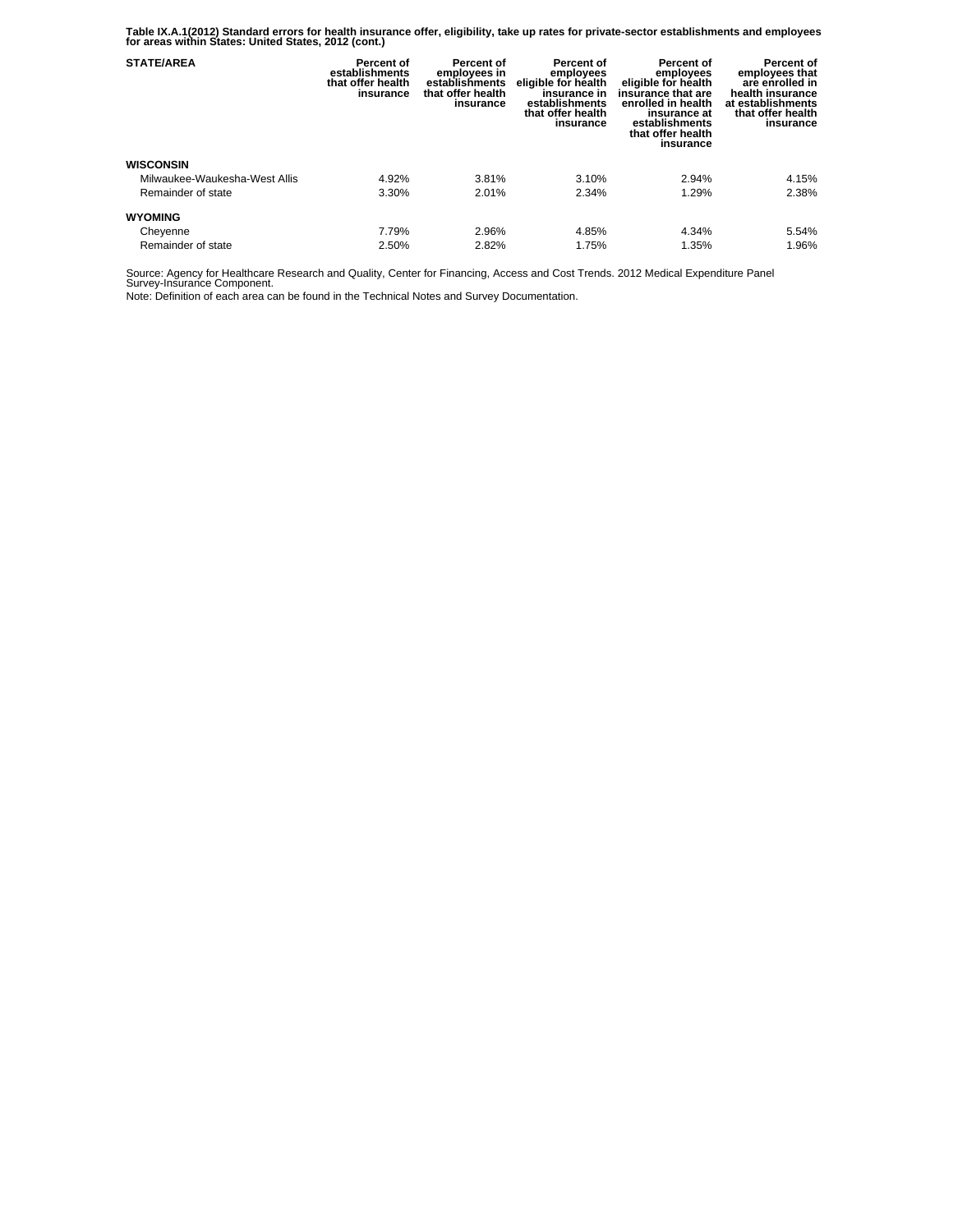**Table IX.A.1(2012) Standard errors for health insurance offer, eligibility, take up rates for private-sector establishments and employees for areas within States: United States, 2012 (cont.)** 

| <b>STATE/AREA</b>             | Percent of<br>establishments<br>that offer health<br>insurance | Percent of<br>employees in<br>establishments<br>that offer health<br>insurance | Percent of<br>employees<br>eligible for health<br>insurance in<br>establishments<br>that offer health<br>insurance | <b>Percent of</b><br>employees<br>eligible for health<br>insurance that are<br>enrolled in health<br>insurance at<br>establishments<br>that offer health<br>insurance | Percent of<br>employees that<br>are enrolled in<br>health insurance<br>at establishments<br>that offer health<br>insurance |
|-------------------------------|----------------------------------------------------------------|--------------------------------------------------------------------------------|--------------------------------------------------------------------------------------------------------------------|-----------------------------------------------------------------------------------------------------------------------------------------------------------------------|----------------------------------------------------------------------------------------------------------------------------|
| <b>WISCONSIN</b>              |                                                                |                                                                                |                                                                                                                    |                                                                                                                                                                       |                                                                                                                            |
| Milwaukee-Waukesha-West Allis | 4.92%                                                          | 3.81%                                                                          | 3.10%                                                                                                              | 2.94%                                                                                                                                                                 | 4.15%                                                                                                                      |
| Remainder of state            | 3.30%                                                          | 2.01%                                                                          | 2.34%                                                                                                              | 1.29%                                                                                                                                                                 | 2.38%                                                                                                                      |
| <b>WYOMING</b>                |                                                                |                                                                                |                                                                                                                    |                                                                                                                                                                       |                                                                                                                            |
| Cheyenne                      | 7.79%                                                          | 2.96%                                                                          | 4.85%                                                                                                              | 4.34%                                                                                                                                                                 | 5.54%                                                                                                                      |
| Remainder of state            | 2.50%                                                          | 2.82%                                                                          | 1.75%                                                                                                              | 1.35%                                                                                                                                                                 | 1.96%                                                                                                                      |

Source: Agency for Healthcare Research and Quality, Center for Financing, Access and Cost Trends. 2012 Medical Expenditure Panel Survey-Insurance Component.

Note: Definition of each area can be found in the Technical Notes and Survey Documentation.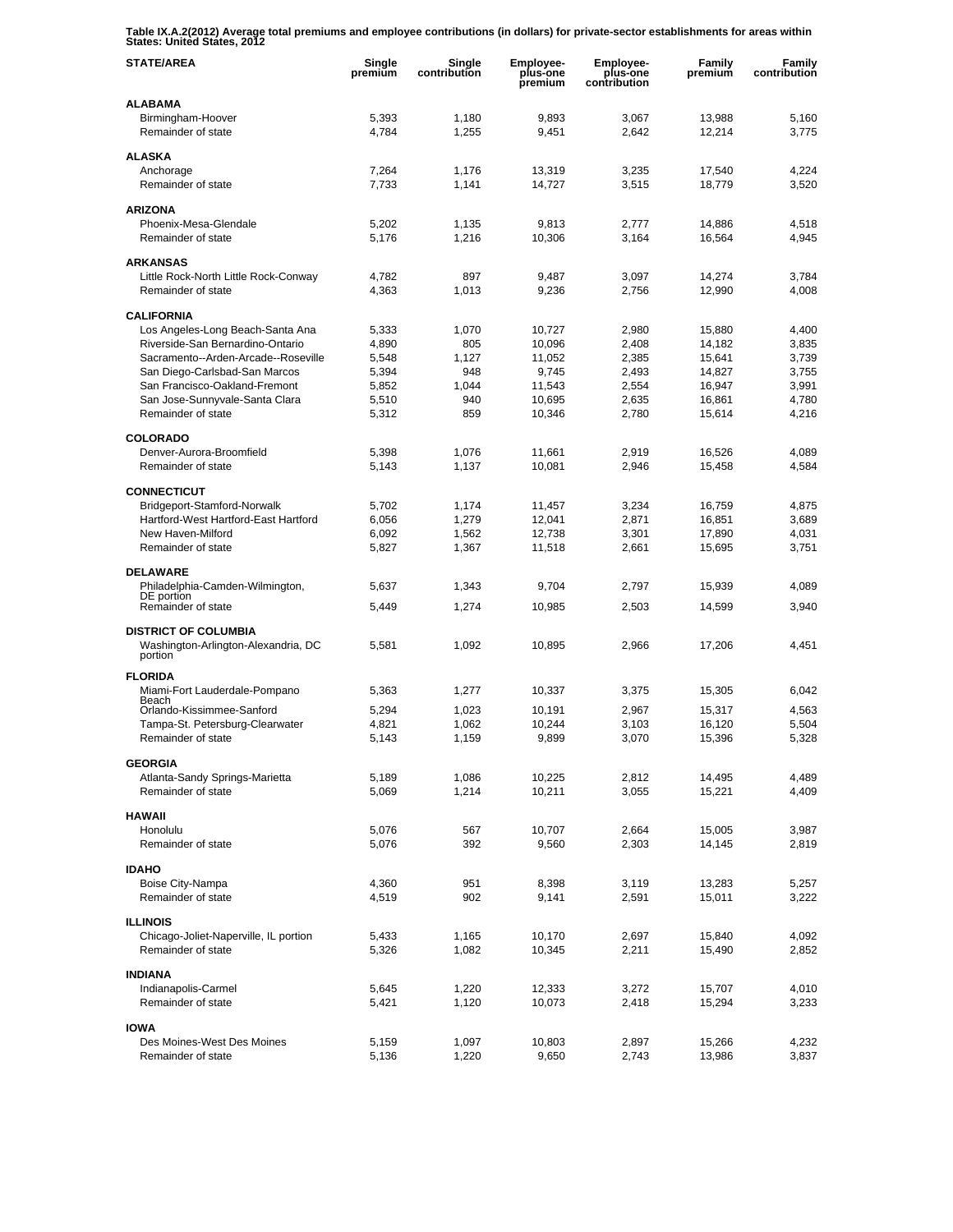**Table IX.A.2(2012) Average total premiums and employee contributions (in dollars) for private-sector establishments for areas within States: United States, 2012** 

| <b>STATE/AREA</b>                                     | Single<br>premium | Single<br>contribution | Employee-<br>plus-one<br>premium | <b>Employee-</b><br>plus-one<br>contribution | Family<br>premium | Family<br>contribution |
|-------------------------------------------------------|-------------------|------------------------|----------------------------------|----------------------------------------------|-------------------|------------------------|
| <b>ALABAMA</b>                                        |                   |                        |                                  |                                              |                   |                        |
| Birmingham-Hoover                                     | 5,393             | 1,180                  | 9,893                            | 3,067                                        | 13,988            | 5,160                  |
| Remainder of state                                    | 4,784             | 1,255                  | 9,451                            | 2,642                                        | 12.214            | 3,775                  |
| <b>ALASKA</b>                                         |                   |                        |                                  |                                              |                   |                        |
| Anchorage                                             | 7,264             | 1,176                  | 13,319                           | 3,235                                        | 17,540            | 4,224                  |
| Remainder of state                                    | 7,733             | 1,141                  | 14,727                           | 3,515                                        | 18,779            | 3,520                  |
| <b>ARIZONA</b>                                        |                   |                        |                                  |                                              |                   |                        |
| Phoenix-Mesa-Glendale                                 | 5,202             | 1.135                  | 9,813                            | 2,777                                        | 14,886            | 4,518                  |
| Remainder of state                                    | 5,176             | 1,216                  | 10,306                           | 3,164                                        | 16,564            | 4,945                  |
| <b>ARKANSAS</b>                                       |                   |                        |                                  |                                              |                   |                        |
| Little Rock-North Little Rock-Conway                  | 4,782             | 897                    | 9,487                            | 3,097                                        | 14,274            | 3,784                  |
| Remainder of state                                    | 4,363             | 1,013                  | 9,236                            | 2,756                                        | 12,990            | 4,008                  |
|                                                       |                   |                        |                                  |                                              |                   |                        |
| <b>CALIFORNIA</b><br>Los Angeles-Long Beach-Santa Ana | 5,333             | 1,070                  | 10,727                           | 2,980                                        | 15,880            | 4,400                  |
| Riverside-San Bernardino-Ontario                      | 4,890             | 805                    | 10,096                           | 2,408                                        | 14,182            | 3,835                  |
| Sacramento--Arden-Arcade--Roseville                   | 5,548             | 1,127                  | 11,052                           | 2,385                                        | 15,641            | 3,739                  |
| San Diego-Carlsbad-San Marcos                         | 5,394             | 948                    | 9,745                            | 2,493                                        | 14,827            | 3,755                  |
| San Francisco-Oakland-Fremont                         | 5.852             | 1,044                  | 11,543                           | 2,554                                        | 16,947            | 3,991                  |
| San Jose-Sunnyvale-Santa Clara                        | 5,510             | 940                    | 10,695                           | 2,635                                        | 16,861            | 4,780                  |
| Remainder of state                                    | 5,312             | 859                    | 10,346                           | 2,780                                        | 15,614            | 4,216                  |
| <b>COLORADO</b>                                       |                   |                        |                                  |                                              |                   |                        |
| Denver-Aurora-Broomfield                              | 5,398             | 1.076                  | 11,661                           | 2,919                                        | 16,526            | 4,089                  |
| Remainder of state                                    | 5,143             | 1,137                  | 10,081                           | 2,946                                        | 15,458            | 4,584                  |
|                                                       |                   |                        |                                  |                                              |                   |                        |
| <b>CONNECTICUT</b><br>Bridgeport-Stamford-Norwalk     | 5,702             | 1,174                  | 11,457                           | 3,234                                        | 16,759            | 4,875                  |
| Hartford-West Hartford-East Hartford                  | 6,056             | 1,279                  | 12,041                           | 2,871                                        | 16,851            | 3,689                  |
| New Haven-Milford                                     | 6,092             | 1,562                  | 12,738                           | 3,301                                        | 17,890            | 4,031                  |
| Remainder of state                                    | 5,827             | 1,367                  | 11,518                           | 2,661                                        | 15,695            | 3,751                  |
| <b>DELAWARE</b>                                       |                   |                        |                                  |                                              |                   |                        |
| Philadelphia-Camden-Wilmington,                       | 5,637             | 1,343                  | 9,704                            | 2,797                                        | 15,939            | 4,089                  |
| DE portion                                            |                   |                        |                                  |                                              |                   |                        |
| Remainder of state                                    | 5,449             | 1,274                  | 10,985                           | 2,503                                        | 14,599            | 3,940                  |
| <b>DISTRICT OF COLUMBIA</b>                           |                   |                        |                                  |                                              |                   |                        |
| Washington-Arlington-Alexandria, DC                   | 5,581             | 1,092                  | 10,895                           | 2,966                                        | 17,206            | 4,451                  |
| portion                                               |                   |                        |                                  |                                              |                   |                        |
| <b>FLORIDA</b>                                        |                   |                        |                                  |                                              |                   |                        |
| Miami-Fort Lauderdale-Pompano<br>Beach                | 5,363             | 1,277                  | 10,337                           | 3,375                                        | 15.305            | 6,042                  |
| Orlando-Kissimmee-Sanford                             | 5,294             | 1,023                  | 10.191                           | 2,967                                        | 15,317            | 4.563                  |
| Tampa-St. Petersburg-Clearwater                       | 4,821             | 1,062                  | 10,244                           | 3.103                                        | 16,120            | 5,504                  |
| Remainder of state                                    | 5,143             | 1,159                  | 9,899                            | 3,070                                        | 15,396            | 5,328                  |
| <b>GEORGIA</b>                                        |                   |                        |                                  |                                              |                   |                        |
| Atlanta-Sandy Springs-Marietta                        | 5,189             | 1,086                  | 10,225                           | 2,812                                        | 14,495            | 4,489                  |
| Remainder of state                                    | 5,069             | 1,214                  | 10,211                           | 3,055                                        | 15,221            | 4,409                  |
| <b>HAWAII</b>                                         |                   |                        |                                  |                                              |                   |                        |
| Honolulu                                              | 5,076             | 567                    | 10,707                           | 2,664                                        | 15,005            | 3,987                  |
| Remainder of state                                    | 5,076             | 392                    | 9,560                            | 2,303                                        | 14,145            | 2,819                  |
|                                                       |                   |                        |                                  |                                              |                   |                        |
| <b>IDAHO</b>                                          |                   | 951                    |                                  |                                              |                   |                        |
| Boise City-Nampa<br>Remainder of state                | 4,360<br>4,519    | 902                    | 8,398<br>9,141                   | 3,119<br>2,591                               | 13,283<br>15,011  | 5,257<br>3,222         |
|                                                       |                   |                        |                                  |                                              |                   |                        |
| <b>ILLINOIS</b>                                       |                   |                        |                                  |                                              |                   |                        |
| Chicago-Joliet-Naperville, IL portion                 | 5,433             | 1,165                  | 10,170                           | 2,697                                        | 15,840            | 4,092                  |
| Remainder of state                                    | 5,326             | 1,082                  | 10,345                           | 2,211                                        | 15,490            | 2,852                  |
| <b>INDIANA</b>                                        |                   |                        |                                  |                                              |                   |                        |
| Indianapolis-Carmel                                   | 5,645             | 1,220                  | 12,333                           | 3,272                                        | 15,707            | 4,010                  |
| Remainder of state                                    | 5,421             | 1,120                  | 10,073                           | 2,418                                        | 15,294            | 3,233                  |
| <b>IOWA</b>                                           |                   |                        |                                  |                                              |                   |                        |
| Des Moines-West Des Moines                            | 5,159             | 1,097                  | 10,803                           | 2,897                                        | 15,266            | 4,232                  |
| Remainder of state                                    | 5,136             | 1,220                  | 9,650                            | 2,743                                        | 13,986            | 3,837                  |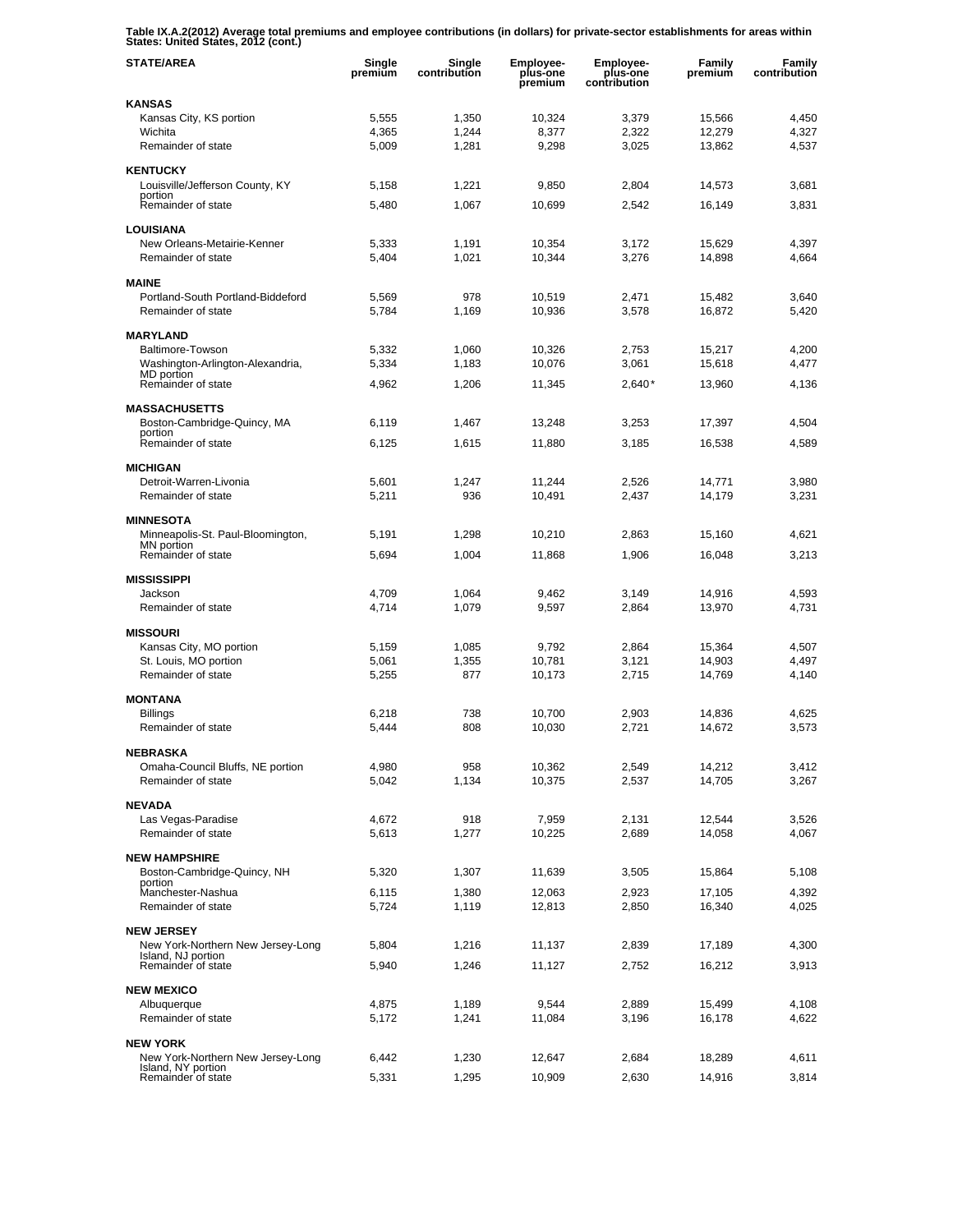**Table IX.A.2(2012) Average total premiums and employee contributions (in dollars) for private-sector establishments for areas within States: United States, 2012 (cont.)** 

| <b>STATE/AREA</b>                                       | Single<br>premium | Single<br>contribution | <b>Employee-</b><br>plus-one<br>premium | <b>Employee-</b><br>plus-one<br>contribution | Family<br>premium | Family<br>contribution |
|---------------------------------------------------------|-------------------|------------------------|-----------------------------------------|----------------------------------------------|-------------------|------------------------|
| <b>KANSAS</b>                                           |                   |                        |                                         |                                              |                   |                        |
| Kansas City, KS portion                                 | 5,555             | 1,350                  | 10,324                                  | 3,379                                        | 15,566            | 4,450                  |
| Wichita                                                 | 4,365             | 1,244                  | 8.377                                   | 2,322                                        | 12,279            | 4,327                  |
| Remainder of state                                      | 5,009             | 1,281                  | 9,298                                   | 3,025                                        | 13,862            | 4,537                  |
| <b>KENTUCKY</b>                                         |                   |                        |                                         |                                              |                   |                        |
| Louisville/Jefferson County, KY<br>portion              | 5,158             | 1,221                  | 9,850                                   | 2,804                                        | 14,573            | 3,681                  |
| Remainder of state                                      | 5,480             | 1,067                  | 10,699                                  | 2,542                                        | 16,149            | 3,831                  |
| <b>LOUISIANA</b>                                        |                   |                        |                                         |                                              |                   |                        |
| New Orleans-Metairie-Kenner                             | 5,333             | 1,191                  | 10,354                                  | 3,172                                        | 15,629            | 4,397                  |
| Remainder of state                                      | 5,404             | 1,021                  | 10,344                                  | 3,276                                        | 14.898            | 4,664                  |
|                                                         |                   |                        |                                         |                                              |                   |                        |
| <b>MAINE</b><br>Portland-South Portland-Biddeford       |                   | 978                    |                                         |                                              |                   |                        |
| Remainder of state                                      | 5,569<br>5,784    | 1,169                  | 10,519<br>10,936                        | 2,471<br>3,578                               | 15,482<br>16,872  | 3,640<br>5,420         |
|                                                         |                   |                        |                                         |                                              |                   |                        |
| <b>MARYLAND</b>                                         |                   |                        |                                         |                                              |                   |                        |
| Baltimore-Towson<br>Washington-Arlington-Alexandria,    | 5,332<br>5,334    | 1,060<br>1,183         | 10,326<br>10,076                        | 2,753<br>3,061                               | 15,217<br>15,618  | 4,200<br>4,477         |
| MD portion                                              |                   |                        |                                         |                                              |                   |                        |
| Remainder of state                                      | 4,962             | 1,206                  | 11,345                                  | $2,640*$                                     | 13.960            | 4,136                  |
| <b>MASSACHUSETTS</b>                                    |                   |                        |                                         |                                              |                   |                        |
| Boston-Cambridge-Quincy, MA                             | 6,119             | 1,467                  | 13,248                                  | 3,253                                        | 17,397            | 4,504                  |
| portion<br>Remainder of state                           | 6.125             | 1,615                  | 11,880                                  | 3,185                                        | 16,538            | 4,589                  |
|                                                         |                   |                        |                                         |                                              |                   |                        |
| <b>MICHIGAN</b>                                         |                   |                        |                                         |                                              |                   |                        |
| Detroit-Warren-Livonia<br>Remainder of state            | 5,601<br>5,211    | 1,247<br>936           | 11,244<br>10,491                        | 2,526<br>2,437                               | 14,771<br>14,179  | 3,980<br>3,231         |
|                                                         |                   |                        |                                         |                                              |                   |                        |
| <b>MINNESOTA</b>                                        |                   |                        |                                         |                                              |                   |                        |
| Minneapolis-St. Paul-Bloomington,<br>MN portion         | 5,191             | 1,298                  | 10,210                                  | 2,863                                        | 15,160            | 4,621                  |
| Remainder of state                                      | 5,694             | 1,004                  | 11,868                                  | 1,906                                        | 16,048            | 3,213                  |
| <b>MISSISSIPPI</b>                                      |                   |                        |                                         |                                              |                   |                        |
| Jackson                                                 | 4,709             | 1,064                  | 9,462                                   | 3,149                                        | 14,916            | 4,593                  |
| Remainder of state                                      | 4,714             | 1,079                  | 9,597                                   | 2,864                                        | 13,970            | 4,731                  |
| <b>MISSOURI</b>                                         |                   |                        |                                         |                                              |                   |                        |
| Kansas City, MO portion                                 | 5,159             | 1,085                  | 9,792                                   | 2,864                                        | 15,364            | 4,507                  |
| St. Louis, MO portion                                   | 5,061             | 1,355                  | 10,781                                  | 3,121                                        | 14,903            | 4,497                  |
| Remainder of state                                      | 5,255             | 877                    | 10,173                                  | 2,715                                        | 14,769            | 4,140                  |
| <b>MONTANA</b>                                          |                   |                        |                                         |                                              |                   |                        |
| <b>Billings</b>                                         | 6,218             | 738                    | 10,700                                  | 2,903                                        | 14,836            | 4,625                  |
| Remainder of state                                      | 5,444             | 808                    | 10,030                                  | 2,721                                        | 14,672            | 3,573                  |
|                                                         |                   |                        |                                         |                                              |                   |                        |
| <b>NEBRASKA</b><br>Omaha-Council Bluffs, NE portion     | 4,980             | 958                    | 10,362                                  | 2,549                                        | 14,212            | 3,412                  |
| Remainder of state                                      | 5.042             | 1,134                  | 10,375                                  | 2,537                                        | 14,705            | 3,267                  |
|                                                         |                   |                        |                                         |                                              |                   |                        |
| <b>NEVADA</b>                                           |                   |                        |                                         |                                              |                   |                        |
| Las Vegas-Paradise<br>Remainder of state                | 4,672<br>5,613    | 918<br>1,277           | 7,959<br>10,225                         | 2,131<br>2,689                               | 12,544<br>14,058  | 3,526<br>4,067         |
|                                                         |                   |                        |                                         |                                              |                   |                        |
| <b>NEW HAMPSHIRE</b>                                    |                   |                        |                                         |                                              |                   |                        |
| Boston-Cambridge-Quincy, NH<br>portion                  | 5,320             | 1,307                  | 11,639                                  | 3,505                                        | 15,864            | 5,108                  |
| Manchester-Nashua                                       | 6,115             | 1,380                  | 12,063                                  | 2,923                                        | 17,105            | 4,392                  |
| Remainder of state                                      | 5,724             | 1,119                  | 12,813                                  | 2,850                                        | 16,340            | 4,025                  |
| <b>NEW JERSEY</b>                                       |                   |                        |                                         |                                              |                   |                        |
| New York-Northern New Jersey-Long                       | 5,804             | 1,216                  | 11,137                                  | 2,839                                        | 17,189            | 4,300                  |
| Island, NJ portion<br>Remainder of state                | 5,940             | 1,246                  | 11,127                                  | 2,752                                        | 16,212            | 3,913                  |
|                                                         |                   |                        |                                         |                                              |                   |                        |
| <b>NEW MEXICO</b>                                       |                   |                        | 9,544                                   |                                              |                   |                        |
| Albuquerque<br>Remainder of state                       | 4,875<br>5,172    | 1,189<br>1,241         | 11,084                                  | 2,889<br>3,196                               | 15,499<br>16,178  | 4,108<br>4,622         |
|                                                         |                   |                        |                                         |                                              |                   |                        |
| <b>NEW YORK</b>                                         |                   |                        |                                         |                                              |                   |                        |
| New York-Northern New Jersey-Long<br>Island, NY portion | 6,442             | 1,230                  | 12,647                                  | 2,684                                        | 18,289            | 4,611                  |
| Remainder of state                                      | 5,331             | 1,295                  | 10,909                                  | 2,630                                        | 14,916            | 3,814                  |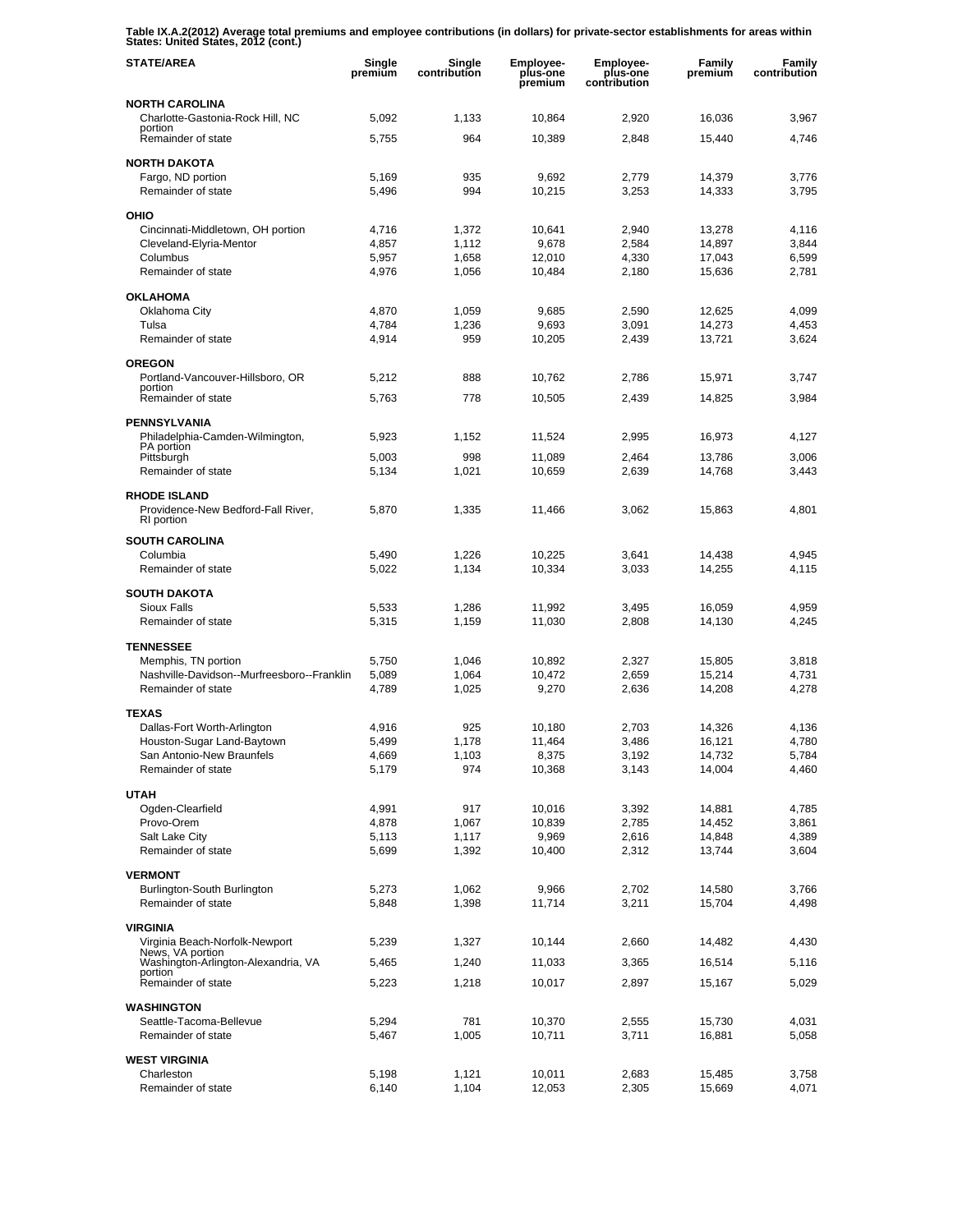**Table IX.A.2(2012) Average total premiums and employee contributions (in dollars) for private-sector establishments for areas within States: United States, 2012 (cont.)** 

| <b>STATE/AREA</b>                                                       | Single<br>premium | Single<br>contribution | Employee-<br>plus-one<br>premium | Employee-<br>plus-one<br>contribution | Family<br>premium | Family<br>contribution |
|-------------------------------------------------------------------------|-------------------|------------------------|----------------------------------|---------------------------------------|-------------------|------------------------|
| <b>NORTH CAROLINA</b>                                                   |                   |                        |                                  |                                       |                   |                        |
| Charlotte-Gastonia-Rock Hill, NC<br>portion                             | 5,092             | 1,133                  | 10,864                           | 2,920                                 | 16,036            | 3,967                  |
| Remainder of state                                                      | 5,755             | 964                    | 10,389                           | 2,848                                 | 15,440            | 4,746                  |
| <b>NORTH DAKOTA</b>                                                     |                   |                        |                                  |                                       |                   |                        |
| Fargo, ND portion<br>Remainder of state                                 | 5,169<br>5,496    | 935<br>994             | 9,692<br>10,215                  | 2,779<br>3,253                        | 14,379<br>14,333  | 3,776<br>3,795         |
|                                                                         |                   |                        |                                  |                                       |                   |                        |
| OHIO                                                                    |                   |                        |                                  |                                       |                   |                        |
| Cincinnati-Middletown, OH portion<br>Cleveland-Elyria-Mentor            | 4,716<br>4,857    | 1,372<br>1,112         | 10,641<br>9,678                  | 2,940<br>2,584                        | 13,278<br>14,897  | 4,116<br>3,844         |
| Columbus                                                                | 5,957             | 1,658                  | 12,010                           | 4,330                                 | 17,043            | 6,599                  |
| Remainder of state                                                      | 4,976             | 1,056                  | 10,484                           | 2,180                                 | 15,636            | 2,781                  |
| <b>OKLAHOMA</b>                                                         |                   |                        |                                  |                                       |                   |                        |
| Oklahoma City                                                           | 4,870             | 1,059                  | 9,685                            | 2,590                                 | 12,625            | 4,099                  |
| Tulsa                                                                   | 4,784             | 1,236                  | 9,693                            | 3,091                                 | 14,273            | 4,453                  |
| Remainder of state                                                      | 4,914             | 959                    | 10,205                           | 2,439                                 | 13,721            | 3,624                  |
| <b>OREGON</b>                                                           |                   |                        |                                  |                                       |                   |                        |
| Portland-Vancouver-Hillsboro, OR<br>portion                             | 5,212             | 888                    | 10,762                           | 2,786                                 | 15,971            | 3,747                  |
| Remainder of state                                                      | 5,763             | 778                    | 10,505                           | 2,439                                 | 14,825            | 3,984                  |
| <b>PENNSYLVANIA</b>                                                     |                   |                        |                                  |                                       |                   |                        |
| Philadelphia-Camden-Wilmington,<br>PA portion                           | 5,923             | 1,152                  | 11,524                           | 2.995                                 | 16,973            | 4,127                  |
| Pittsburgh                                                              | 5,003             | 998                    | 11,089                           | 2,464                                 | 13,786            | 3,006                  |
| Remainder of state                                                      | 5,134             | 1,021                  | 10,659                           | 2,639                                 | 14,768            | 3,443                  |
| <b>RHODE ISLAND</b><br>Providence-New Bedford-Fall River,<br>RI portion | 5,870             | 1,335                  | 11,466                           | 3,062                                 | 15,863            | 4,801                  |
| <b>SOUTH CAROLINA</b>                                                   |                   |                        |                                  |                                       |                   |                        |
| Columbia                                                                | 5,490             | 1,226                  | 10,225                           | 3,641                                 | 14,438            | 4,945                  |
| Remainder of state                                                      | 5,022             | 1,134                  | 10,334                           | 3,033                                 | 14,255            | 4,115                  |
| <b>SOUTH DAKOTA</b>                                                     |                   |                        |                                  |                                       |                   |                        |
| Sioux Falls                                                             | 5,533             | 1,286                  | 11,992                           | 3,495                                 | 16,059            | 4,959                  |
| Remainder of state                                                      | 5,315             | 1,159                  | 11,030                           | 2,808                                 | 14,130            | 4,245                  |
| <b>TENNESSEE</b>                                                        |                   |                        |                                  |                                       |                   |                        |
| Memphis, TN portion                                                     | 5,750             | 1,046                  | 10,892                           | 2,327                                 | 15,805            | 3,818                  |
| Nashville-Davidson--Murfreesboro--Franklin<br>Remainder of state        | 5,089<br>4,789    | 1,064<br>1,025         | 10,472<br>9,270                  | 2,659<br>2,636                        | 15,214<br>14,208  | 4,731<br>4,278         |
|                                                                         |                   |                        |                                  |                                       |                   |                        |
| <b>TEXAS</b><br>Dallas-Fort Worth-Arlington                             | 4.916             | 925                    | 10,180                           | 2.703                                 | 14,326            | 4,136                  |
| Houston-Sugar Land-Baytown                                              | 5,499             | 1,178                  | 11,464                           | 3,486                                 | 16,121            | 4,780                  |
| San Antonio-New Braunfels                                               | 4,669             | 1,103                  | 8,375                            | 3,192                                 | 14,732            | 5,784                  |
| Remainder of state                                                      | 5,179             | 974                    | 10,368                           | 3,143                                 | 14,004            | 4,460                  |
| <b>UTAH</b>                                                             |                   |                        |                                  |                                       |                   |                        |
| Ogden-Clearfield                                                        | 4,991             | 917                    | 10,016                           | 3,392                                 | 14,881            | 4,785                  |
| Provo-Orem                                                              | 4,878             | 1,067                  | 10,839                           | 2,785                                 | 14,452            | 3,861                  |
| Salt Lake City<br>Remainder of state                                    | 5,113<br>5,699    | 1,117<br>1,392         | 9,969<br>10,400                  | 2,616<br>2,312                        | 14,848<br>13,744  | 4,389<br>3,604         |
|                                                                         |                   |                        |                                  |                                       |                   |                        |
| <b>VERMONT</b><br>Burlington-South Burlington                           | 5,273             | 1,062                  | 9,966                            | 2,702                                 | 14,580            | 3,766                  |
| Remainder of state                                                      | 5,848             | 1,398                  | 11,714                           | 3,211                                 | 15,704            | 4,498                  |
| <b>VIRGINIA</b>                                                         |                   |                        |                                  |                                       |                   |                        |
| Virginia Beach-Norfolk-Newport                                          | 5,239             | 1,327                  | 10,144                           | 2,660                                 | 14,482            | 4,430                  |
| News, VA portion<br>Washington-Arlington-Alexandria, VA                 | 5,465             | 1,240                  | 11,033                           | 3,365                                 | 16,514            | 5,116                  |
| portion<br>Remainder of state                                           | 5,223             | 1,218                  | 10,017                           | 2,897                                 | 15,167            | 5,029                  |
|                                                                         |                   |                        |                                  |                                       |                   |                        |
| <b>WASHINGTON</b><br>Seattle-Tacoma-Bellevue                            | 5,294             | 781                    | 10,370                           | 2,555                                 | 15,730            | 4,031                  |
| Remainder of state                                                      | 5,467             | 1,005                  | 10,711                           | 3,711                                 | 16,881            | 5,058                  |
| <b>WEST VIRGINIA</b>                                                    |                   |                        |                                  |                                       |                   |                        |
| Charleston                                                              | 5,198             | 1,121                  | 10,011                           | 2,683                                 | 15,485            | 3,758                  |
| Remainder of state                                                      | 6,140             | 1,104                  | 12,053                           | 2,305                                 | 15,669            | 4,071                  |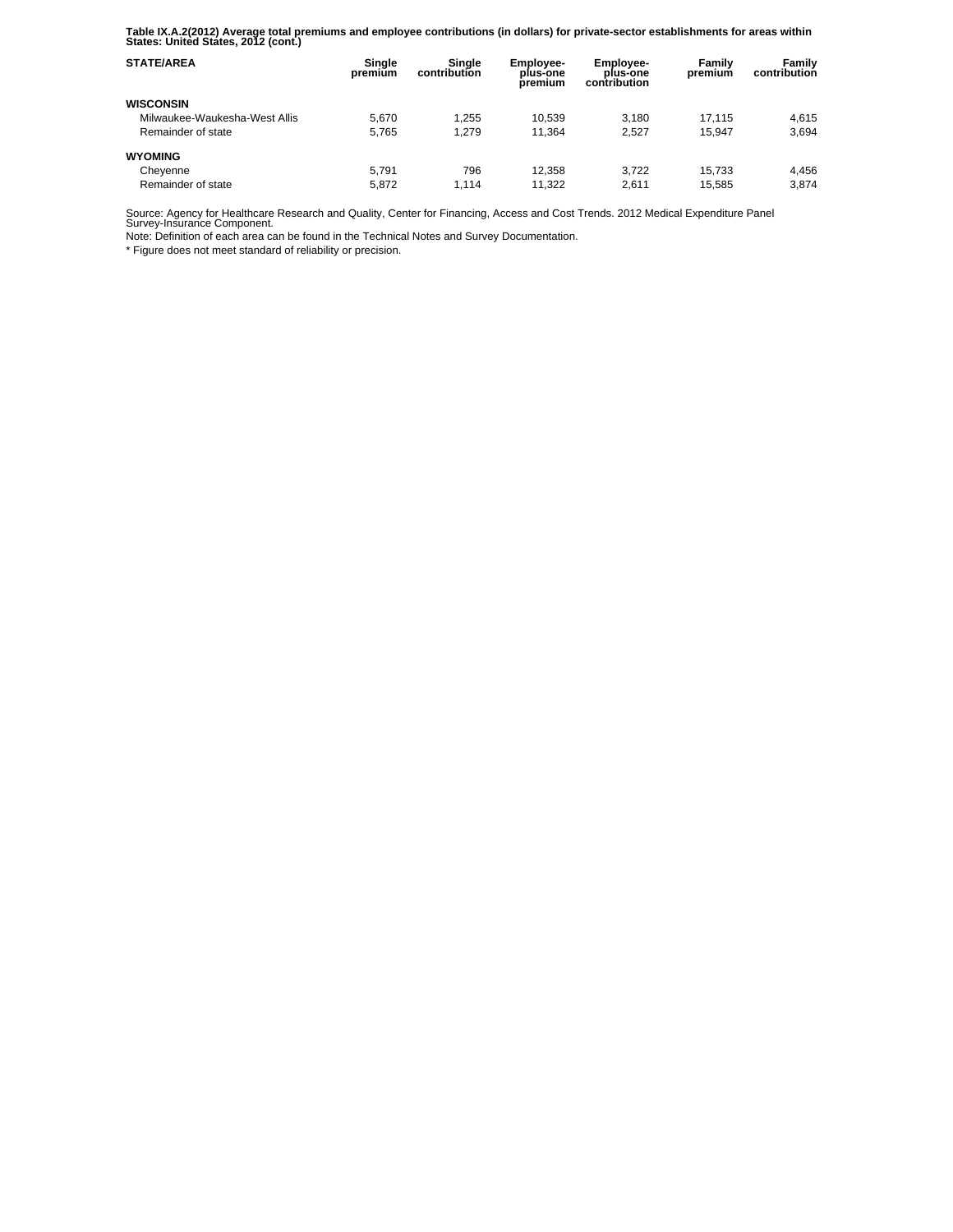**Table IX.A.2(2012) Average total premiums and employee contributions (in dollars) for private-sector establishments for areas within States: United States, 2012 (cont.)** 

| <b>STATE/AREA</b>             | Single<br>premium | Sinale<br>contribution | <b>Employee-</b><br>plus-one<br>premium | <b>Employee-</b><br>plus-one<br>contribution | Family<br>premium | Family<br>contribution |
|-------------------------------|-------------------|------------------------|-----------------------------------------|----------------------------------------------|-------------------|------------------------|
| <b>WISCONSIN</b>              |                   |                        |                                         |                                              |                   |                        |
| Milwaukee-Waukesha-West Allis | 5.670             | 1,255                  | 10.539                                  | 3.180                                        | 17.115            | 4.615                  |
| Remainder of state            | 5.765             | 1.279                  | 11.364                                  | 2.527                                        | 15.947            | 3.694                  |
| <b>WYOMING</b>                |                   |                        |                                         |                                              |                   |                        |
| Cheyenne                      | 5.791             | 796                    | 12.358                                  | 3.722                                        | 15.733            | 4.456                  |
| Remainder of state            | 5.872             | 1.114                  | 11.322                                  | 2.611                                        | 15.585            | 3.874                  |

Source: Agency for Healthcare Research and Quality, Center for Financing, Access and Cost Trends. 2012 Medical Expenditure Panel Survey-Insurance Component.

Note: Definition of each area can be found in the Technical Notes and Survey Documentation.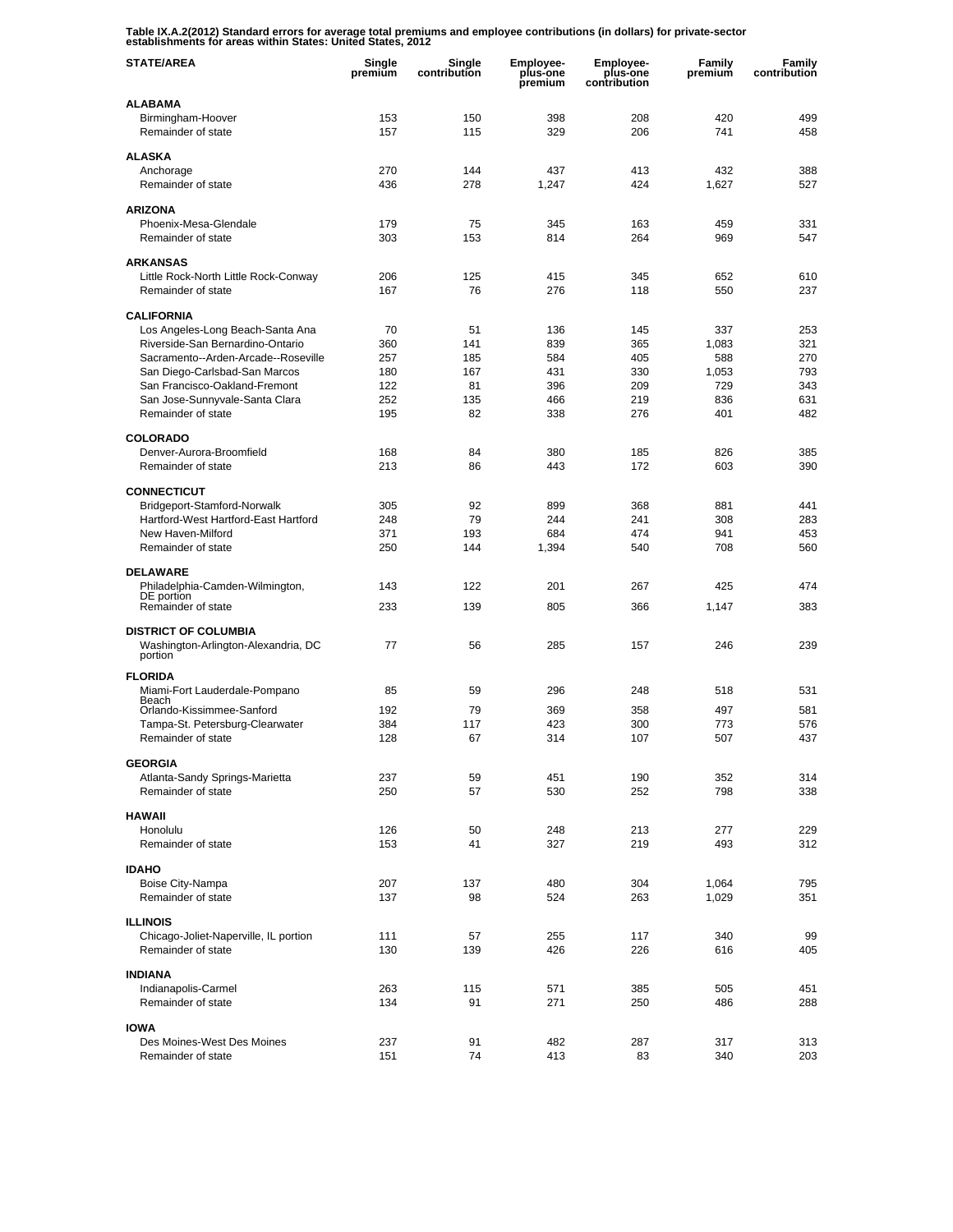**Table IX.A.2(2012) Standard errors for average total premiums and employee contributions (in dollars) for private-sector establishments for areas within States: United States, 2012** 

| <b>STATE/AREA</b>                                     | Single<br>premium | Single<br>contribution | <b>Employee-</b><br>plus-one<br>premium | <b>Employee-</b><br>plus-one<br>contribution | Family<br>premium | Family<br>contribution |
|-------------------------------------------------------|-------------------|------------------------|-----------------------------------------|----------------------------------------------|-------------------|------------------------|
| <b>ALABAMA</b>                                        |                   |                        |                                         |                                              |                   |                        |
| Birmingham-Hoover                                     | 153               | 150                    | 398                                     | 208                                          | 420               | 499                    |
| Remainder of state                                    | 157               | 115                    | 329                                     | 206                                          | 741               | 458                    |
| <b>ALASKA</b>                                         |                   |                        |                                         |                                              |                   |                        |
| Anchorage                                             | 270               | 144                    | 437                                     | 413                                          | 432               | 388                    |
| Remainder of state                                    | 436               | 278                    | 1,247                                   | 424                                          | 1,627             | 527                    |
| <b>ARIZONA</b>                                        |                   |                        |                                         |                                              |                   |                        |
| Phoenix-Mesa-Glendale                                 | 179               | 75                     | 345                                     | 163                                          | 459               | 331                    |
| Remainder of state                                    | 303               | 153                    | 814                                     | 264                                          | 969               | 547                    |
| <b>ARKANSAS</b>                                       |                   |                        |                                         |                                              |                   |                        |
| Little Rock-North Little Rock-Conway                  | 206               | 125                    | 415                                     | 345                                          | 652               | 610                    |
| Remainder of state                                    | 167               | 76                     | 276                                     | 118                                          | 550               | 237                    |
|                                                       |                   |                        |                                         |                                              |                   |                        |
| <b>CALIFORNIA</b><br>Los Angeles-Long Beach-Santa Ana | 70                | 51                     | 136                                     | 145                                          | 337               | 253                    |
| Riverside-San Bernardino-Ontario                      | 360               | 141                    | 839                                     | 365                                          | 1,083             | 321                    |
| Sacramento--Arden-Arcade--Roseville                   | 257               | 185                    | 584                                     | 405                                          | 588               | 270                    |
| San Diego-Carlsbad-San Marcos                         | 180               | 167                    | 431                                     | 330                                          | 1.053             | 793                    |
| San Francisco-Oakland-Fremont                         | 122               | 81                     | 396                                     | 209                                          | 729               | 343                    |
| San Jose-Sunnyvale-Santa Clara                        | 252               | 135                    | 466                                     | 219                                          | 836               | 631                    |
| Remainder of state                                    | 195               | 82                     | 338                                     | 276                                          | 401               | 482                    |
| <b>COLORADO</b>                                       |                   |                        |                                         |                                              |                   |                        |
| Denver-Aurora-Broomfield                              | 168               | 84                     | 380                                     | 185                                          | 826               | 385                    |
| Remainder of state                                    | 213               | 86                     | 443                                     | 172                                          | 603               | 390                    |
|                                                       |                   |                        |                                         |                                              |                   |                        |
| <b>CONNECTICUT</b><br>Bridgeport-Stamford-Norwalk     | 305               | 92                     | 899                                     | 368                                          | 881               | 441                    |
| Hartford-West Hartford-East Hartford                  | 248               | 79                     | 244                                     | 241                                          | 308               | 283                    |
| New Haven-Milford                                     | 371               | 193                    | 684                                     | 474                                          | 941               | 453                    |
| Remainder of state                                    | 250               | 144                    | 1,394                                   | 540                                          | 708               | 560                    |
|                                                       |                   |                        |                                         |                                              |                   |                        |
| <b>DELAWARE</b><br>Philadelphia-Camden-Wilmington,    | 143               | 122                    | 201                                     | 267                                          | 425               | 474                    |
| DE portion                                            |                   |                        |                                         |                                              |                   |                        |
| Remainder of state                                    | 233               | 139                    | 805                                     | 366                                          | 1,147             | 383                    |
| <b>DISTRICT OF COLUMBIA</b>                           |                   |                        |                                         |                                              |                   |                        |
| Washington-Arlington-Alexandria, DC                   | 77                | 56                     | 285                                     | 157                                          | 246               | 239                    |
| portion                                               |                   |                        |                                         |                                              |                   |                        |
| <b>FLORIDA</b>                                        |                   |                        |                                         |                                              |                   |                        |
| Miami-Fort Lauderdale-Pompano<br>Beach                | 85                | 59                     | 296                                     | 248                                          | 518               | 531                    |
| Orlando-Kissimmee-Sanford                             | 192               | 79                     | 369                                     | 358                                          | 497               | 581                    |
| Tampa-St. Petersburg-Clearwater                       | 384               | 117                    | 423                                     | 300                                          | 773               | 576                    |
| Remainder of state                                    | 128               | 67                     | 314                                     | 107                                          | 507               | 437                    |
| <b>GEORGIA</b>                                        |                   |                        |                                         |                                              |                   |                        |
| Atlanta-Sandy Springs-Marietta                        | 237               | 59                     | 451                                     | 190                                          | 352               | 314                    |
| Remainder of state                                    | 250               | 57                     | 530                                     | 252                                          | 798               | 338                    |
| <b>HAWAII</b>                                         |                   |                        |                                         |                                              |                   |                        |
| Honolulu                                              | 126               | 50                     | 248                                     | 213                                          | 277               | 229                    |
| Remainder of state                                    | 153               | 41                     | 327                                     | 219                                          | 493               | 312                    |
|                                                       |                   |                        |                                         |                                              |                   |                        |
| <b>IDAHO</b>                                          |                   |                        |                                         |                                              |                   |                        |
| Boise City-Nampa                                      | 207               | 137                    | 480                                     | 304                                          | 1,064             | 795                    |
| Remainder of state                                    | 137               | 98                     | 524                                     | 263                                          | 1,029             | 351                    |
| <b>ILLINOIS</b>                                       |                   |                        |                                         |                                              |                   |                        |
| Chicago-Joliet-Naperville, IL portion                 | 111               | 57                     | 255                                     | 117                                          | 340               | 99                     |
| Remainder of state                                    | 130               | 139                    | 426                                     | 226                                          | 616               | 405                    |
| <b>INDIANA</b>                                        |                   |                        |                                         |                                              |                   |                        |
| Indianapolis-Carmel                                   | 263               | 115                    | 571                                     | 385                                          | 505               | 451                    |
| Remainder of state                                    | 134               | 91                     | 271                                     | 250                                          | 486               | 288                    |
|                                                       |                   |                        |                                         |                                              |                   |                        |
| <b>IOWA</b><br>Des Moines-West Des Moines             | 237               | 91                     | 482                                     | 287                                          | 317               | 313                    |
| Remainder of state                                    | 151               | 74                     | 413                                     | 83                                           | 340               | 203                    |
|                                                       |                   |                        |                                         |                                              |                   |                        |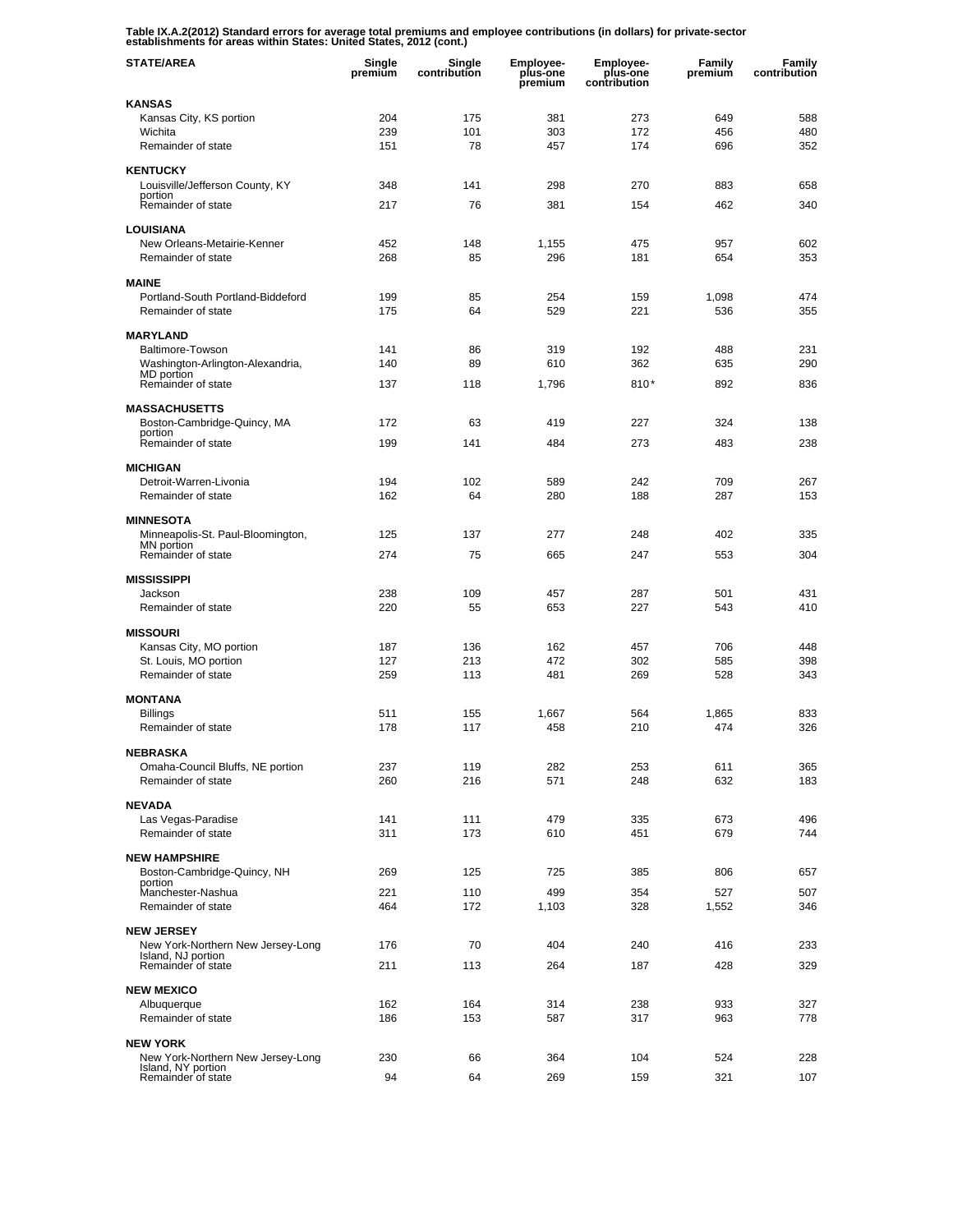**Table IX.A.2(2012) Standard errors for average total premiums and employee contributions (in dollars) for private-sector establishments for areas within States: United States, 2012 (cont.)** 

| <b>STATE/AREA</b>                                      | Single<br>premium | Single<br>contribution | <b>Employee-</b><br>plus-one<br>premium | <b>Employee-</b><br>plus-one<br>contribution | <b>Family</b><br>premium | Family<br>contribution |
|--------------------------------------------------------|-------------------|------------------------|-----------------------------------------|----------------------------------------------|--------------------------|------------------------|
| <b>KANSAS</b>                                          |                   |                        |                                         |                                              |                          |                        |
| Kansas City, KS portion                                | 204               | 175                    | 381                                     | 273                                          | 649                      | 588                    |
| Wichita<br>Remainder of state                          | 239<br>151        | 101<br>78              | 303<br>457                              | 172<br>174                                   | 456<br>696               | 480<br>352             |
| <b>KENTUCKY</b>                                        |                   |                        |                                         |                                              |                          |                        |
| Louisville/Jefferson County, KY                        | 348               | 141                    | 298                                     | 270                                          | 883                      | 658                    |
| portion<br>Remainder of state                          | 217               | 76                     | 381                                     | 154                                          | 462                      | 340                    |
| <b>LOUISIANA</b>                                       |                   |                        |                                         |                                              |                          |                        |
| New Orleans-Metairie-Kenner                            | 452               | 148                    | 1,155                                   | 475                                          | 957                      | 602                    |
| Remainder of state                                     | 268               | 85                     | 296                                     | 181                                          | 654                      | 353                    |
| <b>MAINE</b>                                           |                   |                        |                                         |                                              |                          |                        |
| Portland-South Portland-Biddeford                      | 199               | 85                     | 254                                     | 159                                          | 1,098                    | 474                    |
| Remainder of state                                     | 175               | 64                     | 529                                     | 221                                          | 536                      | 355                    |
| <b>MARYLAND</b>                                        |                   |                        |                                         |                                              |                          |                        |
| Baltimore-Towson                                       | 141               | 86                     | 319                                     | 192                                          | 488                      | 231                    |
| Washington-Arlington-Alexandria,<br>MD portion         | 140               | 89                     | 610                                     | 362                                          | 635                      | 290                    |
| Remainder of state                                     | 137               | 118                    | 1,796                                   | 810*                                         | 892                      | 836                    |
| <b>MASSACHUSETTS</b>                                   |                   |                        |                                         |                                              |                          |                        |
| Boston-Cambridge-Quincy, MA                            | 172               | 63                     | 419                                     | 227                                          | 324                      | 138                    |
| portion<br>Remainder of state                          | 199               | 141                    | 484                                     | 273                                          | 483                      | 238                    |
| <b>MICHIGAN</b>                                        |                   |                        |                                         |                                              |                          |                        |
| Detroit-Warren-Livonia                                 | 194               | 102                    | 589                                     | 242                                          | 709                      | 267                    |
| Remainder of state                                     | 162               | 64                     | 280                                     | 188                                          | 287                      | 153                    |
| <b>MINNESOTA</b>                                       |                   |                        |                                         |                                              |                          |                        |
| Minneapolis-St. Paul-Bloomington,                      | 125               | 137                    | 277                                     | 248                                          | 402                      | 335                    |
| MN portion<br>Remainder of state                       | 274               | 75                     | 665                                     | 247                                          | 553                      | 304                    |
| <b>MISSISSIPPI</b>                                     |                   |                        |                                         |                                              |                          |                        |
| Jackson                                                | 238               | 109                    | 457                                     | 287                                          | 501                      | 431                    |
| Remainder of state                                     | 220               | 55                     | 653                                     | 227                                          | 543                      | 410                    |
| <b>MISSOURI</b>                                        |                   |                        |                                         |                                              |                          |                        |
| Kansas City, MO portion                                | 187               | 136                    | 162                                     | 457                                          | 706                      | 448                    |
| St. Louis, MO portion                                  | 127               | 213                    | 472                                     | 302                                          | 585                      | 398                    |
| Remainder of state                                     | 259               | 113                    | 481                                     | 269                                          | 528                      | 343                    |
| <b>MONTANA</b>                                         |                   |                        |                                         |                                              |                          |                        |
| <b>Billings</b>                                        | 511               | 155                    | 1,667                                   | 564                                          | 1,865                    | 833                    |
| Remainder of state                                     | 178               | 117                    | 458                                     | 210                                          | 474                      | 326                    |
| <b>NEBRASKA</b>                                        |                   |                        |                                         |                                              |                          |                        |
| Omaha-Council Bluffs, NE portion<br>Remainder of state | 237<br>260        | 119<br>216             | 282<br>571                              | 253<br>248                                   | 611<br>632               | 365<br>183             |
|                                                        |                   |                        |                                         |                                              |                          |                        |
| <b>NEVADA</b>                                          |                   |                        |                                         |                                              |                          |                        |
| Las Vegas-Paradise<br>Remainder of state               | 141<br>311        | 111<br>173             | 479<br>610                              | 335<br>451                                   | 673<br>679               | 496<br>744             |
|                                                        |                   |                        |                                         |                                              |                          |                        |
| <b>NEW HAMPSHIRE</b><br>Boston-Cambridge-Quincy, NH    | 269               | 125                    | 725                                     | 385                                          | 806                      | 657                    |
| portion                                                |                   |                        |                                         |                                              |                          |                        |
| Manchester-Nashua<br>Remainder of state                | 221<br>464        | 110<br>172             | 499<br>1,103                            | 354<br>328                                   | 527<br>1,552             | 507<br>346             |
|                                                        |                   |                        |                                         |                                              |                          |                        |
| <b>NEW JERSEY</b><br>New York-Northern New Jersey-Long | 176               | 70                     | 404                                     | 240                                          | 416                      | 233                    |
| Island, NJ portion<br>Remainder of state               | 211               | 113                    | 264                                     | 187                                          | 428                      | 329                    |
|                                                        |                   |                        |                                         |                                              |                          |                        |
| <b>NEW MEXICO</b>                                      | 162               | 164                    | 314                                     | 238                                          | 933                      | 327                    |
| Albuquerque<br>Remainder of state                      | 186               | 153                    | 587                                     | 317                                          | 963                      | 778                    |
|                                                        |                   |                        |                                         |                                              |                          |                        |
| <b>NEW YORK</b><br>New York-Northern New Jersey-Long   | 230               | 66                     | 364                                     | 104                                          | 524                      | 228                    |
| Island, NY portion                                     |                   |                        |                                         |                                              | 321                      |                        |
| Remainder of state                                     | 94                | 64                     | 269                                     | 159                                          |                          | 107                    |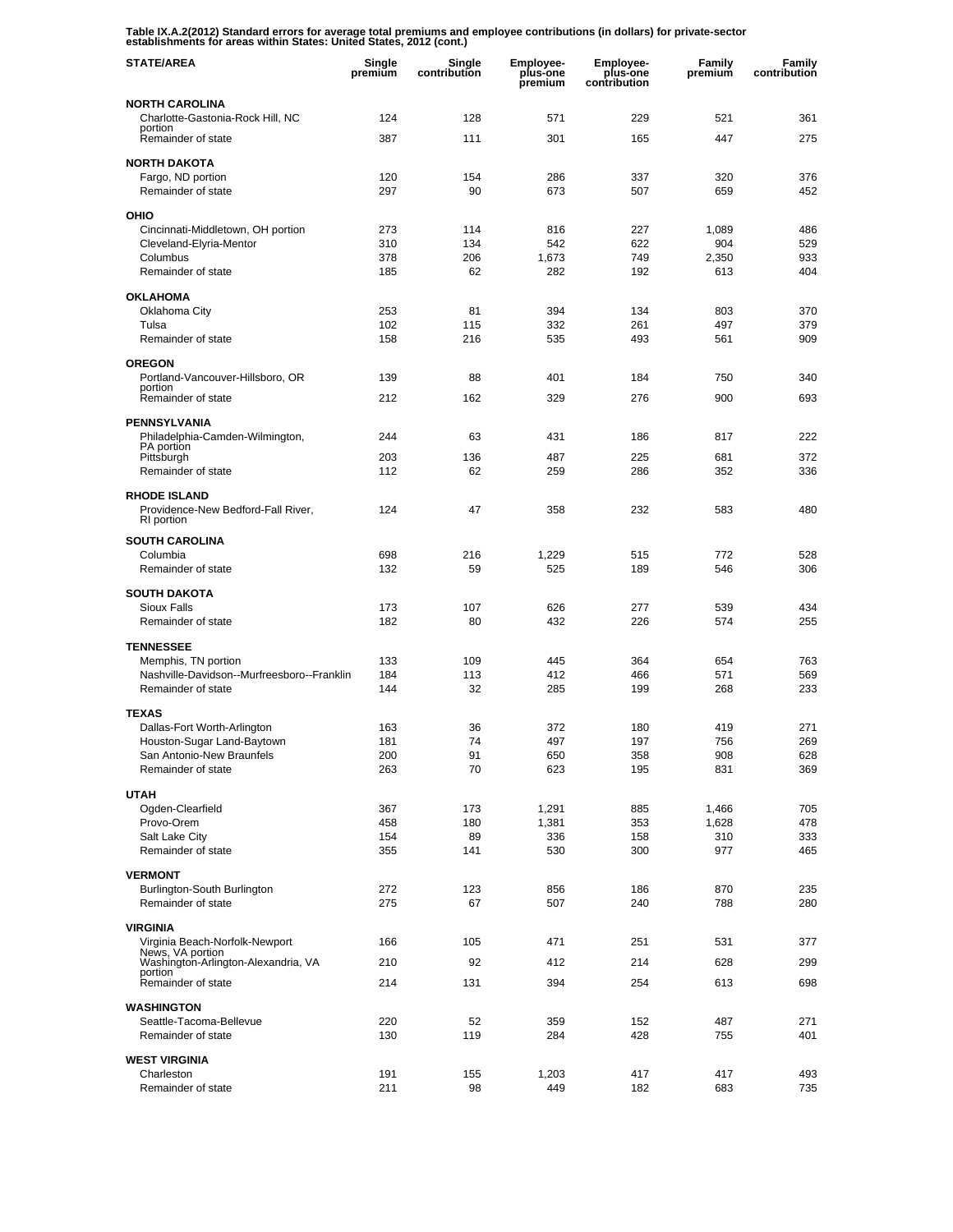**Table IX.A.2(2012) Standard errors for average total premiums and employee contributions (in dollars) for private-sector establishments for areas within States: United States, 2012 (cont.)** 

| <b>STATE/AREA</b>                                       | Single<br>premium | Single<br>contribution | <b>Employee-</b><br>plus-one<br>premium | <b>Employee-</b><br>plus-one<br>contribution | Family<br>premium | Family<br>contribution |
|---------------------------------------------------------|-------------------|------------------------|-----------------------------------------|----------------------------------------------|-------------------|------------------------|
| <b>NORTH CAROLINA</b>                                   |                   |                        |                                         |                                              |                   |                        |
| Charlotte-Gastonia-Rock Hill, NC<br>portion             | 124               | 128                    | 571                                     | 229                                          | 521               | 361                    |
| Remainder of state                                      | 387               | 111                    | 301                                     | 165                                          | 447               | 275                    |
| <b>NORTH DAKOTA</b>                                     |                   |                        |                                         |                                              |                   |                        |
| Fargo, ND portion                                       | 120               | 154                    | 286                                     | 337                                          | 320               | 376                    |
| Remainder of state                                      | 297               | 90                     | 673                                     | 507                                          | 659               | 452                    |
| OHIO                                                    |                   |                        |                                         |                                              |                   |                        |
| Cincinnati-Middletown, OH portion                       | 273               | 114                    | 816                                     | 227                                          | 1,089             | 486                    |
| Cleveland-Elyria-Mentor                                 | 310               | 134                    | 542                                     | 622                                          | 904               | 529                    |
| Columbus<br>Remainder of state                          | 378<br>185        | 206<br>62              | 1.673<br>282                            | 749<br>192                                   | 2,350<br>613      | 933<br>404             |
|                                                         |                   |                        |                                         |                                              |                   |                        |
| <b>OKLAHOMA</b>                                         |                   |                        |                                         |                                              |                   |                        |
| Oklahoma City<br>Tulsa                                  | 253<br>102        | 81<br>115              | 394<br>332                              | 134<br>261                                   | 803<br>497        | 370<br>379             |
| Remainder of state                                      | 158               | 216                    | 535                                     | 493                                          | 561               | 909                    |
|                                                         |                   |                        |                                         |                                              |                   |                        |
| <b>OREGON</b>                                           |                   | 88                     | 401                                     |                                              | 750               | 340                    |
| Portland-Vancouver-Hillsboro, OR<br>portion             | 139               |                        |                                         | 184                                          |                   |                        |
| Remainder of state                                      | 212               | 162                    | 329                                     | 276                                          | 900               | 693                    |
| PENNSYLVANIA                                            |                   |                        |                                         |                                              |                   |                        |
| Philadelphia-Camden-Wilmington,                         | 244               | 63                     | 431                                     | 186                                          | 817               | 222                    |
| PA portion<br>Pittsburgh                                | 203               | 136                    | 487                                     | 225                                          | 681               | 372                    |
| Remainder of state                                      | 112               | 62                     | 259                                     | 286                                          | 352               | 336                    |
| <b>RHODE ISLAND</b>                                     |                   |                        |                                         |                                              |                   |                        |
| Providence-New Bedford-Fall River,<br>RI portion        | 124               | 47                     | 358                                     | 232                                          | 583               | 480                    |
| <b>SOUTH CAROLINA</b>                                   |                   |                        |                                         |                                              |                   |                        |
| Columbia                                                | 698               | 216                    | 1,229                                   | 515                                          | 772               | 528                    |
| Remainder of state                                      | 132               | 59                     | 525                                     | 189                                          | 546               | 306                    |
| <b>SOUTH DAKOTA</b>                                     |                   |                        |                                         |                                              |                   |                        |
| <b>Sioux Falls</b>                                      | 173               | 107                    | 626                                     | 277                                          | 539               | 434                    |
| Remainder of state                                      | 182               | 80                     | 432                                     | 226                                          | 574               | 255                    |
| <b>TENNESSEE</b>                                        |                   |                        |                                         |                                              |                   |                        |
| Memphis, TN portion                                     | 133               | 109                    | 445                                     | 364                                          | 654               | 763                    |
| Nashville-Davidson--Murfreesboro--Franklin              | 184               | 113                    | 412                                     | 466                                          | 571               | 569                    |
| Remainder of state                                      | 144               | 32                     | 285                                     | 199                                          | 268               | 233                    |
| <b>TEXAS</b>                                            |                   |                        |                                         |                                              |                   |                        |
| Dallas-Fort Worth-Arlington                             | 163               | 36                     | 372                                     | 180                                          | 419               | 271                    |
| Houston-Sugar Land-Baytown                              | 181<br>200        | 74<br>91               | 497                                     | 197                                          | 756<br>908        | 269<br>628             |
| San Antonio-New Braunfels<br>Remainder of state         | 263               | 70                     | 650<br>623                              | 358<br>195                                   | 831               | 369                    |
|                                                         |                   |                        |                                         |                                              |                   |                        |
| <b>UTAH</b>                                             |                   |                        |                                         |                                              |                   |                        |
| Ogden-Clearfield<br>Provo-Orem                          | 367<br>458        | 173<br>180             | 1,291<br>1,381                          | 885<br>353                                   | 1,466<br>1,628    | 705<br>478             |
| Salt Lake City                                          | 154               | 89                     | 336                                     | 158                                          | 310               | 333                    |
| Remainder of state                                      | 355               | 141                    | 530                                     | 300                                          | 977               | 465                    |
| <b>VERMONT</b>                                          |                   |                        |                                         |                                              |                   |                        |
| Burlington-South Burlington                             | 272               | 123                    | 856                                     | 186                                          | 870               | 235                    |
| Remainder of state                                      | 275               | 67                     | 507                                     | 240                                          | 788               | 280                    |
| <b>VIRGINIA</b>                                         |                   |                        |                                         |                                              |                   |                        |
| Virginia Beach-Norfolk-Newport                          | 166               | 105                    | 471                                     | 251                                          | 531               | 377                    |
| News, VA portion<br>Washington-Arlington-Alexandria, VA | 210               | 92                     | 412                                     | 214                                          | 628               | 299                    |
| portion                                                 |                   |                        |                                         |                                              |                   |                        |
| Remainder of state                                      | 214               | 131                    | 394                                     | 254                                          | 613               | 698                    |
| <b>WASHINGTON</b>                                       |                   |                        |                                         |                                              |                   |                        |
| Seattle-Tacoma-Bellevue                                 | 220               | 52                     | 359                                     | 152                                          | 487               | 271                    |
| Remainder of state                                      | 130               | 119                    | 284                                     | 428                                          | 755               | 401                    |
| <b>WEST VIRGINIA</b>                                    |                   |                        |                                         |                                              |                   |                        |
| Charleston                                              | 191               | 155                    | 1,203                                   | 417                                          | 417               | 493                    |
| Remainder of state                                      | 211               | 98                     | 449                                     | 182                                          | 683               | 735                    |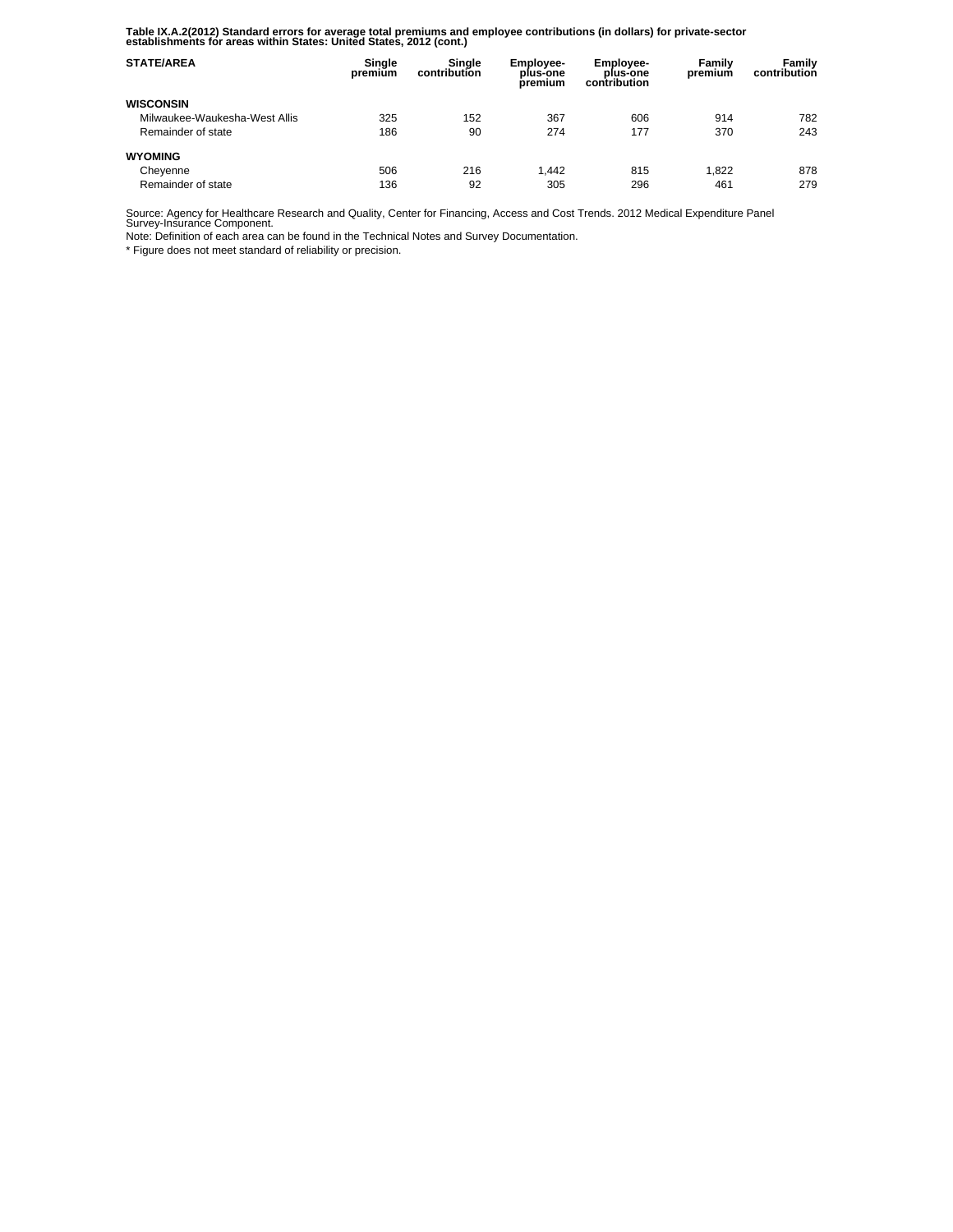**Table IX.A.2(2012) Standard errors for average total premiums and employee contributions (in dollars) for private-sector establishments for areas within States: United States, 2012 (cont.)** 

| <b>STATE/AREA</b>             | Single<br>premium | Single<br>contribution | <b>Employee-</b><br>plus-one<br>premium | Employee-<br>plus-one<br>contribution | Family<br>premium | Family<br>contribution |
|-------------------------------|-------------------|------------------------|-----------------------------------------|---------------------------------------|-------------------|------------------------|
| <b>WISCONSIN</b>              |                   |                        |                                         |                                       |                   |                        |
| Milwaukee-Waukesha-West Allis | 325               | 152                    | 367                                     | 606                                   | 914               | 782                    |
| Remainder of state            | 186               | 90                     | 274                                     | 177                                   | 370               | 243                    |
| <b>WYOMING</b>                |                   |                        |                                         |                                       |                   |                        |
| Cheyenne                      | 506               | 216                    | 1.442                                   | 815                                   | 1.822             | 878                    |
| Remainder of state            | 136               | 92                     | 305                                     | 296                                   | 461               | 279                    |

Source: Agency for Healthcare Research and Quality, Center for Financing, Access and Cost Trends. 2012 Medical Expenditure Panel Survey-Insurance Component.

Note: Definition of each area can be found in the Technical Notes and Survey Documentation.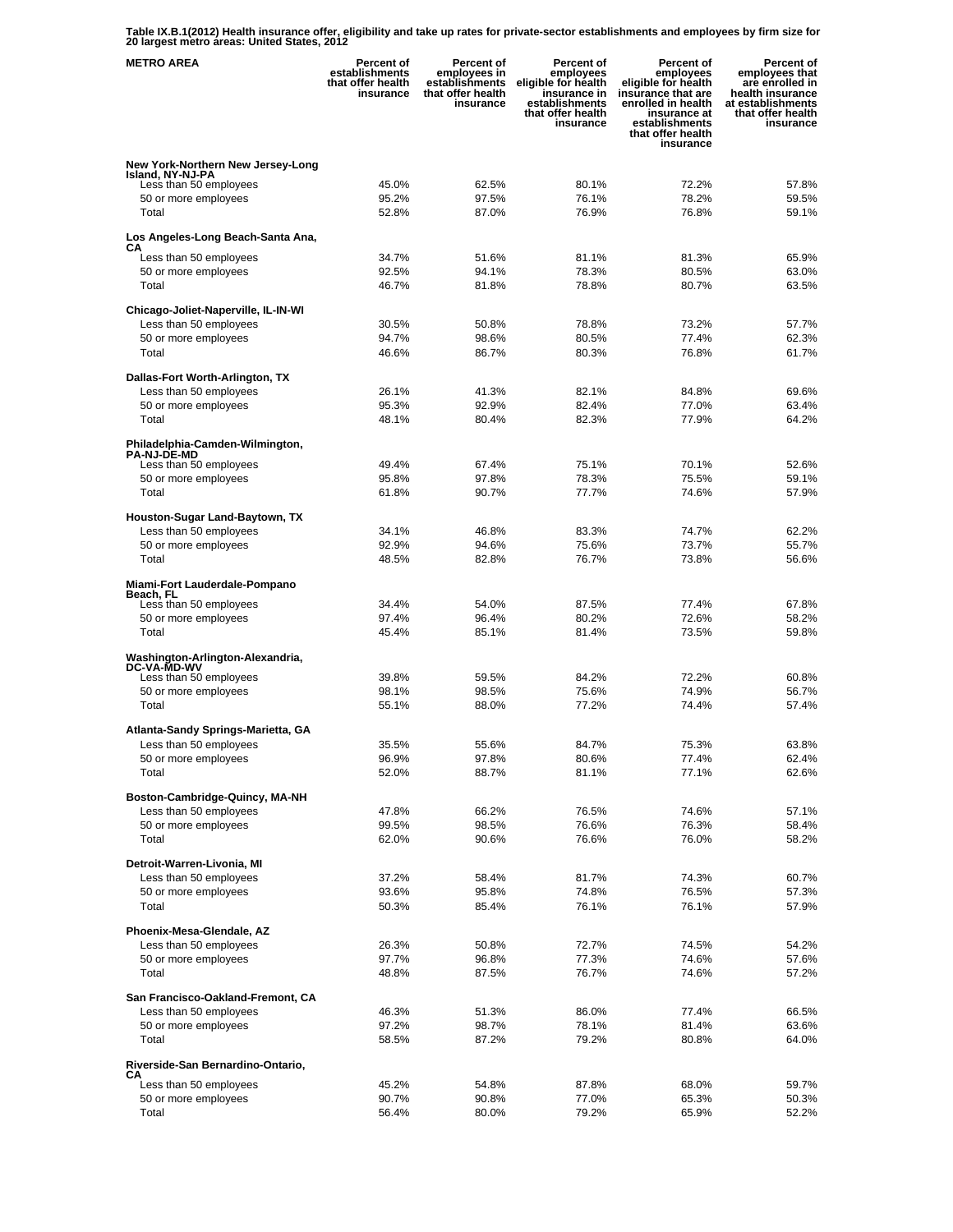**Table IX.B.1(2012) Health insurance offer, eligibility and take up rates for private-sector establishments and employees by firm size for 20 largest metro areas: United States, 2012** 

| <b>METRO AREA</b>                                         | <b>Percent of</b><br>establishments<br>that offer health<br>insurance | <b>Percent of</b><br>employees in<br>establishments<br>that offer health<br>insurance | Percent of<br>employees<br>eligible for health<br>insurance in<br>establishments<br>that offer health<br>insurance | <b>Percent of</b><br>employees<br>eligible for health<br>insurance that are<br>enrolled in health<br>insurance at<br>establishments<br>that offer health<br>insurance | Percent of<br>employees that<br>are enrolled in<br>health insurance<br>at establishments<br>that offer health<br>insurance |
|-----------------------------------------------------------|-----------------------------------------------------------------------|---------------------------------------------------------------------------------------|--------------------------------------------------------------------------------------------------------------------|-----------------------------------------------------------------------------------------------------------------------------------------------------------------------|----------------------------------------------------------------------------------------------------------------------------|
| New York-Northern New Jersey-Long                         |                                                                       |                                                                                       |                                                                                                                    |                                                                                                                                                                       |                                                                                                                            |
| Island, NY-NJ-PA<br>Less than 50 employees                | 45.0%                                                                 | 62.5%                                                                                 | 80.1%                                                                                                              | 72.2%                                                                                                                                                                 | 57.8%                                                                                                                      |
| 50 or more employees                                      | 95.2%                                                                 | 97.5%                                                                                 | 76.1%                                                                                                              | 78.2%                                                                                                                                                                 | 59.5%                                                                                                                      |
| Total                                                     | 52.8%                                                                 | 87.0%                                                                                 | 76.9%                                                                                                              | 76.8%                                                                                                                                                                 | 59.1%                                                                                                                      |
| Los Angeles-Long Beach-Santa Ana,<br>CА                   |                                                                       |                                                                                       |                                                                                                                    |                                                                                                                                                                       |                                                                                                                            |
| Less than 50 employees                                    | 34.7%                                                                 | 51.6%                                                                                 | 81.1%                                                                                                              | 81.3%                                                                                                                                                                 | 65.9%                                                                                                                      |
| 50 or more employees                                      | 92.5%                                                                 | 94.1%                                                                                 | 78.3%                                                                                                              | 80.5%                                                                                                                                                                 | 63.0%                                                                                                                      |
| Total                                                     | 46.7%                                                                 | 81.8%                                                                                 | 78.8%                                                                                                              | 80.7%                                                                                                                                                                 | 63.5%                                                                                                                      |
| Chicago-Joliet-Naperville, IL-IN-WI                       |                                                                       |                                                                                       |                                                                                                                    |                                                                                                                                                                       |                                                                                                                            |
| Less than 50 employees<br>50 or more employees            | 30.5%<br>94.7%                                                        | 50.8%<br>98.6%                                                                        | 78.8%<br>80.5%                                                                                                     | 73.2%<br>77.4%                                                                                                                                                        | 57.7%<br>62.3%                                                                                                             |
| Total                                                     | 46.6%                                                                 | 86.7%                                                                                 | 80.3%                                                                                                              | 76.8%                                                                                                                                                                 | 61.7%                                                                                                                      |
|                                                           |                                                                       |                                                                                       |                                                                                                                    |                                                                                                                                                                       |                                                                                                                            |
| Dallas-Fort Worth-Arlington, TX<br>Less than 50 employees | 26.1%                                                                 | 41.3%                                                                                 | 82.1%                                                                                                              | 84.8%                                                                                                                                                                 | 69.6%                                                                                                                      |
| 50 or more employees                                      | 95.3%                                                                 | 92.9%                                                                                 | 82.4%                                                                                                              | 77.0%                                                                                                                                                                 | 63.4%                                                                                                                      |
| Total                                                     | 48.1%                                                                 | 80.4%                                                                                 | 82.3%                                                                                                              | 77.9%                                                                                                                                                                 | 64.2%                                                                                                                      |
| Philadelphia-Camden-Wilmington,                           |                                                                       |                                                                                       |                                                                                                                    |                                                                                                                                                                       |                                                                                                                            |
| <b>PA-NJ-DE-MD</b><br>Less than 50 employees              | 49.4%                                                                 | 67.4%                                                                                 | 75.1%                                                                                                              | 70.1%                                                                                                                                                                 | 52.6%                                                                                                                      |
| 50 or more employees                                      | 95.8%                                                                 | 97.8%                                                                                 | 78.3%                                                                                                              | 75.5%                                                                                                                                                                 | 59.1%                                                                                                                      |
| Total                                                     | 61.8%                                                                 | 90.7%                                                                                 | 77.7%                                                                                                              | 74.6%                                                                                                                                                                 | 57.9%                                                                                                                      |
| Houston-Sugar Land-Baytown, TX                            |                                                                       |                                                                                       |                                                                                                                    |                                                                                                                                                                       |                                                                                                                            |
| Less than 50 employees                                    | 34.1%                                                                 | 46.8%                                                                                 | 83.3%                                                                                                              | 74.7%                                                                                                                                                                 | 62.2%                                                                                                                      |
| 50 or more employees                                      | 92.9%                                                                 | 94.6%                                                                                 | 75.6%                                                                                                              | 73.7%                                                                                                                                                                 | 55.7%                                                                                                                      |
| Total                                                     | 48.5%                                                                 | 82.8%                                                                                 | 76.7%                                                                                                              | 73.8%                                                                                                                                                                 | 56.6%                                                                                                                      |
| Miami-Fort Lauderdale-Pompano<br>Beach, FL                |                                                                       |                                                                                       |                                                                                                                    |                                                                                                                                                                       |                                                                                                                            |
| Less than 50 employees                                    | 34.4%                                                                 | 54.0%                                                                                 | 87.5%                                                                                                              | 77.4%                                                                                                                                                                 | 67.8%                                                                                                                      |
| 50 or more employees                                      | 97.4%                                                                 | 96.4%                                                                                 | 80.2%                                                                                                              | 72.6%                                                                                                                                                                 | 58.2%                                                                                                                      |
| Total                                                     | 45.4%                                                                 | 85.1%                                                                                 | 81.4%                                                                                                              | 73.5%                                                                                                                                                                 | 59.8%                                                                                                                      |
| Washington-Arlington-Alexandria,<br><b>DC-VA-MD-WV</b>    |                                                                       |                                                                                       |                                                                                                                    |                                                                                                                                                                       |                                                                                                                            |
| Less than 50 employees                                    | 39.8%                                                                 | 59.5%                                                                                 | 84.2%                                                                                                              | 72.2%                                                                                                                                                                 | 60.8%                                                                                                                      |
| 50 or more employees                                      | 98.1%                                                                 | 98.5%                                                                                 | 75.6%                                                                                                              | 74.9%                                                                                                                                                                 | 56.7%                                                                                                                      |
| Total                                                     | 55.1%                                                                 | 88.0%                                                                                 | 77.2%                                                                                                              | 74.4%                                                                                                                                                                 | 57.4%                                                                                                                      |
| Atlanta-Sandy Springs-Marietta, GA                        |                                                                       |                                                                                       |                                                                                                                    |                                                                                                                                                                       |                                                                                                                            |
| Less than 50 employees<br>50 or more employees            | 35.5%<br>96.9%                                                        | 55.6%<br>97.8%                                                                        | 84.7%<br>80.6%                                                                                                     | 75.3%<br>77.4%                                                                                                                                                        | 63.8%<br>62.4%                                                                                                             |
| Total                                                     | 52.0%                                                                 | 88.7%                                                                                 | 81.1%                                                                                                              | 77.1%                                                                                                                                                                 | 62.6%                                                                                                                      |
|                                                           |                                                                       |                                                                                       |                                                                                                                    |                                                                                                                                                                       |                                                                                                                            |
| Boston-Cambridge-Quincy, MA-NH<br>Less than 50 employees  | 47.8%                                                                 | 66.2%                                                                                 | 76.5%                                                                                                              | 74.6%                                                                                                                                                                 | 57.1%                                                                                                                      |
| 50 or more employees                                      | 99.5%                                                                 | 98.5%                                                                                 | 76.6%                                                                                                              | 76.3%                                                                                                                                                                 | 58.4%                                                                                                                      |
| Total                                                     | 62.0%                                                                 | 90.6%                                                                                 | 76.6%                                                                                                              | 76.0%                                                                                                                                                                 | 58.2%                                                                                                                      |
| Detroit-Warren-Livonia, MI                                |                                                                       |                                                                                       |                                                                                                                    |                                                                                                                                                                       |                                                                                                                            |
| Less than 50 employees                                    | 37.2%                                                                 | 58.4%                                                                                 | 81.7%                                                                                                              | 74.3%                                                                                                                                                                 | 60.7%                                                                                                                      |
| 50 or more employees<br>Total                             | 93.6%<br>50.3%                                                        | 95.8%<br>85.4%                                                                        | 74.8%<br>76.1%                                                                                                     | 76.5%<br>76.1%                                                                                                                                                        | 57.3%<br>57.9%                                                                                                             |
|                                                           |                                                                       |                                                                                       |                                                                                                                    |                                                                                                                                                                       |                                                                                                                            |
| Phoenix-Mesa-Glendale, AZ                                 |                                                                       |                                                                                       |                                                                                                                    |                                                                                                                                                                       |                                                                                                                            |
| Less than 50 employees<br>50 or more employees            | 26.3%<br>97.7%                                                        | 50.8%<br>96.8%                                                                        | 72.7%<br>77.3%                                                                                                     | 74.5%<br>74.6%                                                                                                                                                        | 54.2%<br>57.6%                                                                                                             |
| Total                                                     | 48.8%                                                                 | 87.5%                                                                                 | 76.7%                                                                                                              | 74.6%                                                                                                                                                                 | 57.2%                                                                                                                      |
| San Francisco-Oakland-Fremont, CA                         |                                                                       |                                                                                       |                                                                                                                    |                                                                                                                                                                       |                                                                                                                            |
| Less than 50 employees                                    | 46.3%                                                                 | 51.3%                                                                                 | 86.0%                                                                                                              | 77.4%                                                                                                                                                                 | 66.5%                                                                                                                      |
| 50 or more employees                                      | 97.2%                                                                 | 98.7%                                                                                 | 78.1%                                                                                                              | 81.4%                                                                                                                                                                 | 63.6%                                                                                                                      |
| Total                                                     | 58.5%                                                                 | 87.2%                                                                                 | 79.2%                                                                                                              | 80.8%                                                                                                                                                                 | 64.0%                                                                                                                      |
| Riverside-San Bernardino-Ontario,                         |                                                                       |                                                                                       |                                                                                                                    |                                                                                                                                                                       |                                                                                                                            |
| CА<br>Less than 50 employees                              | 45.2%                                                                 | 54.8%                                                                                 | 87.8%                                                                                                              | 68.0%                                                                                                                                                                 | 59.7%                                                                                                                      |
| 50 or more employees                                      | 90.7%                                                                 | 90.8%                                                                                 | 77.0%                                                                                                              | 65.3%                                                                                                                                                                 | 50.3%                                                                                                                      |
| Total                                                     | 56.4%                                                                 | 80.0%                                                                                 | 79.2%                                                                                                              | 65.9%                                                                                                                                                                 | 52.2%                                                                                                                      |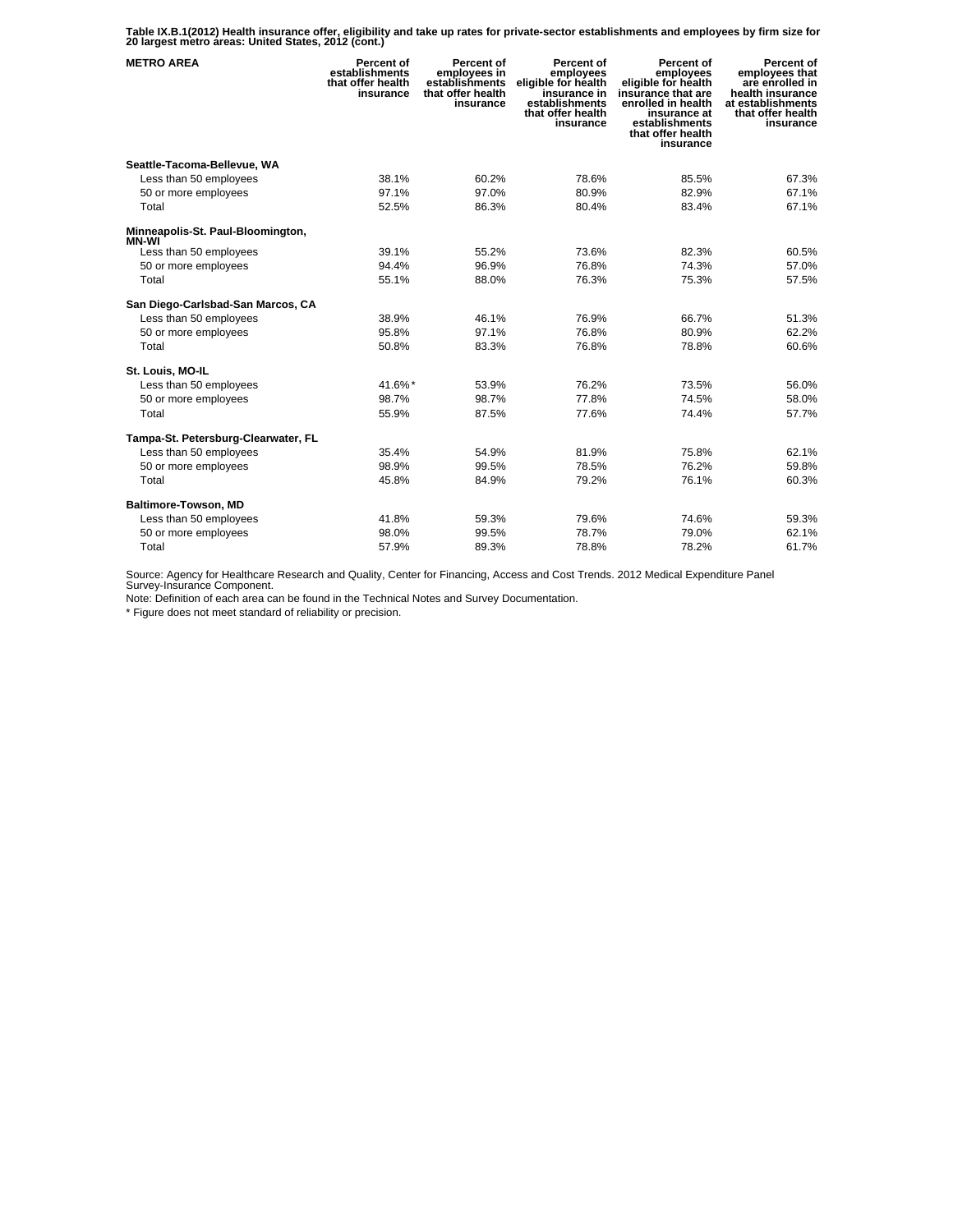**Table IX.B.1(2012) Health insurance offer, eligibility and take up rates for private-sector establishments and employees by firm size for 20 largest metro areas: United States, 2012 (cont.)** 

| <b>METRO AREA</b>                      | Percent of<br>establishments<br>that offer health<br>insurance | Percent of<br>employees in<br>establishments<br>that offer health<br>insurance | Percent of<br>employees<br>eligible for health<br>insurance in<br>establishments<br>that offer health<br>insurance | Percent of<br>employees<br>eligible for health<br>insurance that are<br>enrolled in health<br>insurance at<br>establishments<br>that offer health<br>insurance | Percent of<br>employees that<br>are enrolled in<br>health insurance<br>at establishments<br>that offer health<br>insurance |
|----------------------------------------|----------------------------------------------------------------|--------------------------------------------------------------------------------|--------------------------------------------------------------------------------------------------------------------|----------------------------------------------------------------------------------------------------------------------------------------------------------------|----------------------------------------------------------------------------------------------------------------------------|
| Seattle-Tacoma-Bellevue, WA            |                                                                |                                                                                |                                                                                                                    |                                                                                                                                                                |                                                                                                                            |
| Less than 50 employees                 | 38.1%                                                          | 60.2%                                                                          | 78.6%                                                                                                              | 85.5%                                                                                                                                                          | 67.3%                                                                                                                      |
| 50 or more employees                   | 97.1%                                                          | 97.0%                                                                          | 80.9%                                                                                                              | 82.9%                                                                                                                                                          | 67.1%                                                                                                                      |
| Total                                  | 52.5%                                                          | 86.3%                                                                          | 80.4%                                                                                                              | 83.4%                                                                                                                                                          | 67.1%                                                                                                                      |
| Minneapolis-St. Paul-Bloomington,      |                                                                |                                                                                |                                                                                                                    |                                                                                                                                                                |                                                                                                                            |
| <b>MN-WI</b><br>Less than 50 employees | 39.1%                                                          | 55.2%                                                                          | 73.6%                                                                                                              | 82.3%                                                                                                                                                          | 60.5%                                                                                                                      |
| 50 or more employees                   | 94.4%                                                          | 96.9%                                                                          | 76.8%                                                                                                              | 74.3%                                                                                                                                                          | 57.0%                                                                                                                      |
| Total                                  | 55.1%                                                          | 88.0%                                                                          | 76.3%                                                                                                              | 75.3%                                                                                                                                                          | 57.5%                                                                                                                      |
| San Diego-Carlsbad-San Marcos, CA      |                                                                |                                                                                |                                                                                                                    |                                                                                                                                                                |                                                                                                                            |
| Less than 50 employees                 | 38.9%                                                          | 46.1%                                                                          | 76.9%                                                                                                              | 66.7%                                                                                                                                                          | 51.3%                                                                                                                      |
| 50 or more employees                   | 95.8%                                                          | 97.1%                                                                          | 76.8%                                                                                                              | 80.9%                                                                                                                                                          | 62.2%                                                                                                                      |
| Total                                  | 50.8%                                                          | 83.3%                                                                          | 76.8%                                                                                                              | 78.8%                                                                                                                                                          | 60.6%                                                                                                                      |
| St. Louis, MO-IL                       |                                                                |                                                                                |                                                                                                                    |                                                                                                                                                                |                                                                                                                            |
| Less than 50 employees                 | 41.6%*                                                         | 53.9%                                                                          | 76.2%                                                                                                              | 73.5%                                                                                                                                                          | 56.0%                                                                                                                      |
| 50 or more employees                   | 98.7%                                                          | 98.7%                                                                          | 77.8%                                                                                                              | 74.5%                                                                                                                                                          | 58.0%                                                                                                                      |
| Total                                  | 55.9%                                                          | 87.5%                                                                          | 77.6%                                                                                                              | 74.4%                                                                                                                                                          | 57.7%                                                                                                                      |
| Tampa-St. Petersburg-Clearwater, FL    |                                                                |                                                                                |                                                                                                                    |                                                                                                                                                                |                                                                                                                            |
| Less than 50 employees                 | 35.4%                                                          | 54.9%                                                                          | 81.9%                                                                                                              | 75.8%                                                                                                                                                          | 62.1%                                                                                                                      |
| 50 or more employees                   | 98.9%                                                          | 99.5%                                                                          | 78.5%                                                                                                              | 76.2%                                                                                                                                                          | 59.8%                                                                                                                      |
| Total                                  | 45.8%                                                          | 84.9%                                                                          | 79.2%                                                                                                              | 76.1%                                                                                                                                                          | 60.3%                                                                                                                      |
| Baltimore-Towson, MD                   |                                                                |                                                                                |                                                                                                                    |                                                                                                                                                                |                                                                                                                            |
| Less than 50 employees                 | 41.8%                                                          | 59.3%                                                                          | 79.6%                                                                                                              | 74.6%                                                                                                                                                          | 59.3%                                                                                                                      |
| 50 or more employees                   | 98.0%                                                          | 99.5%                                                                          | 78.7%                                                                                                              | 79.0%                                                                                                                                                          | 62.1%                                                                                                                      |
| Total                                  | 57.9%                                                          | 89.3%                                                                          | 78.8%                                                                                                              | 78.2%                                                                                                                                                          | 61.7%                                                                                                                      |

Source: Agency for Healthcare Research and Quality, Center for Financing, Access and Cost Trends. 2012 Medical Expenditure Panel Survey-Insurance Component.

Note: Definition of each area can be found in the Technical Notes and Survey Documentation.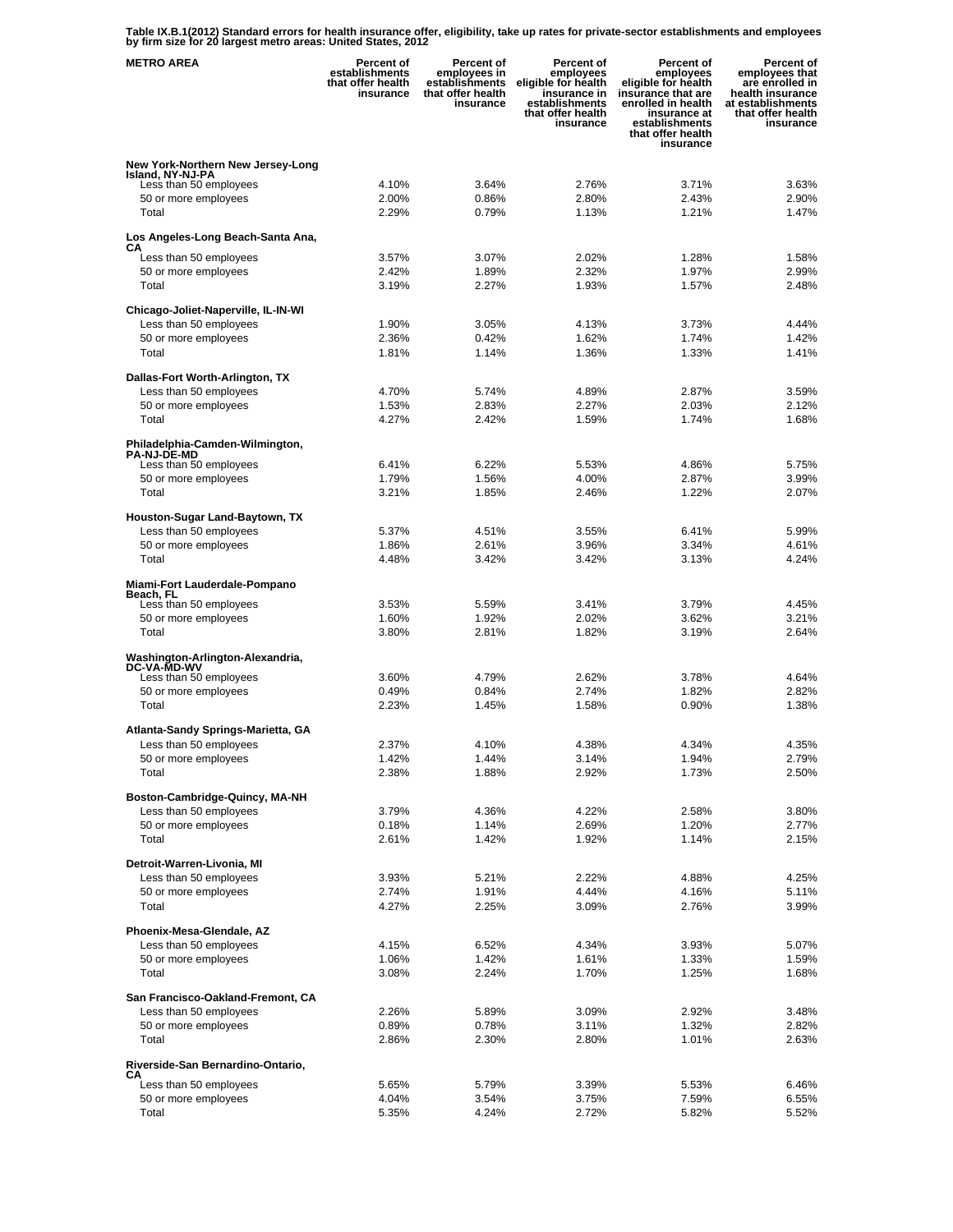**Table IX.B.1(2012) Standard errors for health insurance offer, eligibility, take up rates for private-sector establishments and employees by firm size for 20 largest metro areas: United States, 2012** 

| <b>METRO AREA</b>                                            | <b>Percent of</b><br>establishments<br>that offer health<br>insurance | <b>Percent of</b><br>employees in<br>establishments<br>that offer health<br>insurance | Percent of<br>employees<br>eligible for health<br>insurance in<br>establishments<br>that offer health<br>insurance | Percent of<br>employees<br>eligible for health<br>insurance that are<br>enrolled in health<br>insurance at<br>establishments<br>that offer health<br>insurance | Percent of<br>employees that<br>are enrolled in<br>health insurance<br>at establishments<br>that offer health<br>insurance |
|--------------------------------------------------------------|-----------------------------------------------------------------------|---------------------------------------------------------------------------------------|--------------------------------------------------------------------------------------------------------------------|----------------------------------------------------------------------------------------------------------------------------------------------------------------|----------------------------------------------------------------------------------------------------------------------------|
| New York-Northern New Jersey-Long                            |                                                                       |                                                                                       |                                                                                                                    |                                                                                                                                                                |                                                                                                                            |
| Island, NY-NJ-PA<br>Less than 50 employees                   | 4.10%                                                                 | 3.64%                                                                                 | 2.76%                                                                                                              | 3.71%                                                                                                                                                          | 3.63%                                                                                                                      |
| 50 or more employees                                         | 2.00%                                                                 | 0.86%                                                                                 | 2.80%                                                                                                              | 2.43%                                                                                                                                                          | 2.90%                                                                                                                      |
| Total                                                        | 2.29%                                                                 | 0.79%                                                                                 | 1.13%                                                                                                              | 1.21%                                                                                                                                                          | 1.47%                                                                                                                      |
| Los Angeles-Long Beach-Santa Ana,                            |                                                                       |                                                                                       |                                                                                                                    |                                                                                                                                                                |                                                                                                                            |
| СA<br>Less than 50 employees                                 | 3.57%                                                                 | 3.07%                                                                                 | 2.02%                                                                                                              | 1.28%                                                                                                                                                          | 1.58%                                                                                                                      |
| 50 or more employees                                         | 2.42%                                                                 | 1.89%                                                                                 | 2.32%                                                                                                              | 1.97%                                                                                                                                                          | 2.99%                                                                                                                      |
| Total                                                        | 3.19%                                                                 | 2.27%                                                                                 | 1.93%                                                                                                              | 1.57%                                                                                                                                                          | 2.48%                                                                                                                      |
| Chicago-Joliet-Naperville, IL-IN-WI                          |                                                                       |                                                                                       |                                                                                                                    |                                                                                                                                                                |                                                                                                                            |
| Less than 50 employees                                       | 1.90%                                                                 | 3.05%                                                                                 | 4.13%                                                                                                              | 3.73%                                                                                                                                                          | 4.44%                                                                                                                      |
| 50 or more employees                                         | 2.36%                                                                 | 0.42%                                                                                 | 1.62%                                                                                                              | 1.74%                                                                                                                                                          | 1.42%                                                                                                                      |
| Total                                                        | 1.81%                                                                 | 1.14%                                                                                 | 1.36%                                                                                                              | 1.33%                                                                                                                                                          | 1.41%                                                                                                                      |
| Dallas-Fort Worth-Arlington, TX                              |                                                                       |                                                                                       |                                                                                                                    |                                                                                                                                                                |                                                                                                                            |
| Less than 50 employees                                       | 4.70%                                                                 | 5.74%                                                                                 | 4.89%                                                                                                              | 2.87%                                                                                                                                                          | 3.59%                                                                                                                      |
| 50 or more employees                                         | 1.53%                                                                 | 2.83%                                                                                 | 2.27%                                                                                                              | 2.03%                                                                                                                                                          | 2.12%                                                                                                                      |
| Total                                                        | 4.27%                                                                 | 2.42%                                                                                 | 1.59%                                                                                                              | 1.74%                                                                                                                                                          | 1.68%                                                                                                                      |
| Philadelphia-Camden-Wilmington,                              |                                                                       |                                                                                       |                                                                                                                    |                                                                                                                                                                |                                                                                                                            |
| <b>PA-NJ-DE-MD</b><br>Less than 50 employees                 | 6.41%                                                                 | 6.22%                                                                                 | 5.53%                                                                                                              | 4.86%                                                                                                                                                          | 5.75%                                                                                                                      |
| 50 or more employees                                         | 1.79%                                                                 | 1.56%                                                                                 | 4.00%                                                                                                              | 2.87%                                                                                                                                                          | 3.99%                                                                                                                      |
| Total                                                        | 3.21%                                                                 | 1.85%                                                                                 | 2.46%                                                                                                              | 1.22%                                                                                                                                                          | 2.07%                                                                                                                      |
| Houston-Sugar Land-Baytown, TX                               |                                                                       |                                                                                       |                                                                                                                    |                                                                                                                                                                |                                                                                                                            |
| Less than 50 employees                                       | 5.37%                                                                 | 4.51%                                                                                 | 3.55%                                                                                                              | 6.41%                                                                                                                                                          | 5.99%                                                                                                                      |
| 50 or more employees                                         | 1.86%                                                                 | 2.61%                                                                                 | 3.96%                                                                                                              | 3.34%                                                                                                                                                          | 4.61%                                                                                                                      |
| Total                                                        | 4.48%                                                                 | 3.42%                                                                                 | 3.42%                                                                                                              | 3.13%                                                                                                                                                          | 4.24%                                                                                                                      |
| Miami-Fort Lauderdale-Pompano                                |                                                                       |                                                                                       |                                                                                                                    |                                                                                                                                                                |                                                                                                                            |
| Beach, FL<br>Less than 50 employees                          | 3.53%                                                                 | 5.59%                                                                                 | 3.41%                                                                                                              | 3.79%                                                                                                                                                          | 4.45%                                                                                                                      |
| 50 or more employees                                         | 1.60%                                                                 | 1.92%                                                                                 | 2.02%                                                                                                              | 3.62%                                                                                                                                                          | 3.21%                                                                                                                      |
| Total                                                        | 3.80%                                                                 | 2.81%                                                                                 | 1.82%                                                                                                              | 3.19%                                                                                                                                                          | 2.64%                                                                                                                      |
| Washington-Arlington-Alexandria,                             |                                                                       |                                                                                       |                                                                                                                    |                                                                                                                                                                |                                                                                                                            |
| <b>DC-VA-MD-WV</b><br>Less than 50 employees                 | 3.60%                                                                 | 4.79%                                                                                 | 2.62%                                                                                                              | 3.78%                                                                                                                                                          | 4.64%                                                                                                                      |
| 50 or more employees                                         | 0.49%                                                                 | 0.84%                                                                                 | 2.74%                                                                                                              | 1.82%                                                                                                                                                          | 2.82%                                                                                                                      |
| Total                                                        | 2.23%                                                                 | 1.45%                                                                                 | 1.58%                                                                                                              | 0.90%                                                                                                                                                          | 1.38%                                                                                                                      |
|                                                              |                                                                       |                                                                                       |                                                                                                                    |                                                                                                                                                                |                                                                                                                            |
| Atlanta-Sandy Springs-Marietta, GA<br>Less than 50 employees | 2.37%                                                                 | 4.10%                                                                                 | 4.38%                                                                                                              | 4.34%                                                                                                                                                          | 4.35%                                                                                                                      |
| 50 or more employees                                         | 1.42%                                                                 | 1.44%                                                                                 | 3.14%                                                                                                              | 1.94%                                                                                                                                                          | 2.79%                                                                                                                      |
| Total                                                        | 2.38%                                                                 | 1.88%                                                                                 | 2.92%                                                                                                              | 1.73%                                                                                                                                                          | 2.50%                                                                                                                      |
| Boston-Cambridge-Quincy, MA-NH                               |                                                                       |                                                                                       |                                                                                                                    |                                                                                                                                                                |                                                                                                                            |
| Less than 50 employees                                       | 3.79%                                                                 | 4.36%                                                                                 | 4.22%                                                                                                              | 2.58%                                                                                                                                                          | 3.80%                                                                                                                      |
| 50 or more employees                                         | 0.18%                                                                 | 1.14%                                                                                 | 2.69%                                                                                                              | 1.20%                                                                                                                                                          | 2.77%                                                                                                                      |
| Total                                                        | 2.61%                                                                 | 1.42%                                                                                 | 1.92%                                                                                                              | 1.14%                                                                                                                                                          | 2.15%                                                                                                                      |
| Detroit-Warren-Livonia, MI                                   |                                                                       |                                                                                       |                                                                                                                    |                                                                                                                                                                |                                                                                                                            |
| Less than 50 employees                                       | 3.93%                                                                 | 5.21%                                                                                 | 2.22%                                                                                                              | 4.88%                                                                                                                                                          | 4.25%                                                                                                                      |
| 50 or more employees                                         | 2.74%                                                                 | 1.91%                                                                                 | 4.44%                                                                                                              | 4.16%                                                                                                                                                          | 5.11%                                                                                                                      |
| Total                                                        | 4.27%                                                                 | 2.25%                                                                                 | 3.09%                                                                                                              | 2.76%                                                                                                                                                          | 3.99%                                                                                                                      |
| Phoenix-Mesa-Glendale, AZ                                    |                                                                       |                                                                                       |                                                                                                                    |                                                                                                                                                                |                                                                                                                            |
| Less than 50 employees                                       | 4.15%                                                                 | 6.52%                                                                                 | 4.34%                                                                                                              | 3.93%                                                                                                                                                          | 5.07%                                                                                                                      |
| 50 or more employees<br>Total                                | 1.06%<br>3.08%                                                        | 1.42%<br>2.24%                                                                        | 1.61%<br>1.70%                                                                                                     | 1.33%<br>1.25%                                                                                                                                                 | 1.59%<br>1.68%                                                                                                             |
|                                                              |                                                                       |                                                                                       |                                                                                                                    |                                                                                                                                                                |                                                                                                                            |
| San Francisco-Oakland-Fremont, CA                            |                                                                       |                                                                                       |                                                                                                                    |                                                                                                                                                                |                                                                                                                            |
| Less than 50 employees<br>50 or more employees               | 2.26%<br>0.89%                                                        | 5.89%<br>0.78%                                                                        | 3.09%<br>3.11%                                                                                                     | 2.92%<br>1.32%                                                                                                                                                 | 3.48%<br>2.82%                                                                                                             |
| Total                                                        | 2.86%                                                                 | 2.30%                                                                                 | 2.80%                                                                                                              | 1.01%                                                                                                                                                          | 2.63%                                                                                                                      |
| Riverside-San Bernardino-Ontario,                            |                                                                       |                                                                                       |                                                                                                                    |                                                                                                                                                                |                                                                                                                            |
| CА                                                           |                                                                       |                                                                                       |                                                                                                                    |                                                                                                                                                                |                                                                                                                            |
| Less than 50 employees<br>50 or more employees               | 5.65%<br>4.04%                                                        | 5.79%<br>3.54%                                                                        | 3.39%<br>3.75%                                                                                                     | 5.53%<br>7.59%                                                                                                                                                 | 6.46%<br>6.55%                                                                                                             |
| Total                                                        | 5.35%                                                                 | 4.24%                                                                                 | 2.72%                                                                                                              | 5.82%                                                                                                                                                          | 5.52%                                                                                                                      |
|                                                              |                                                                       |                                                                                       |                                                                                                                    |                                                                                                                                                                |                                                                                                                            |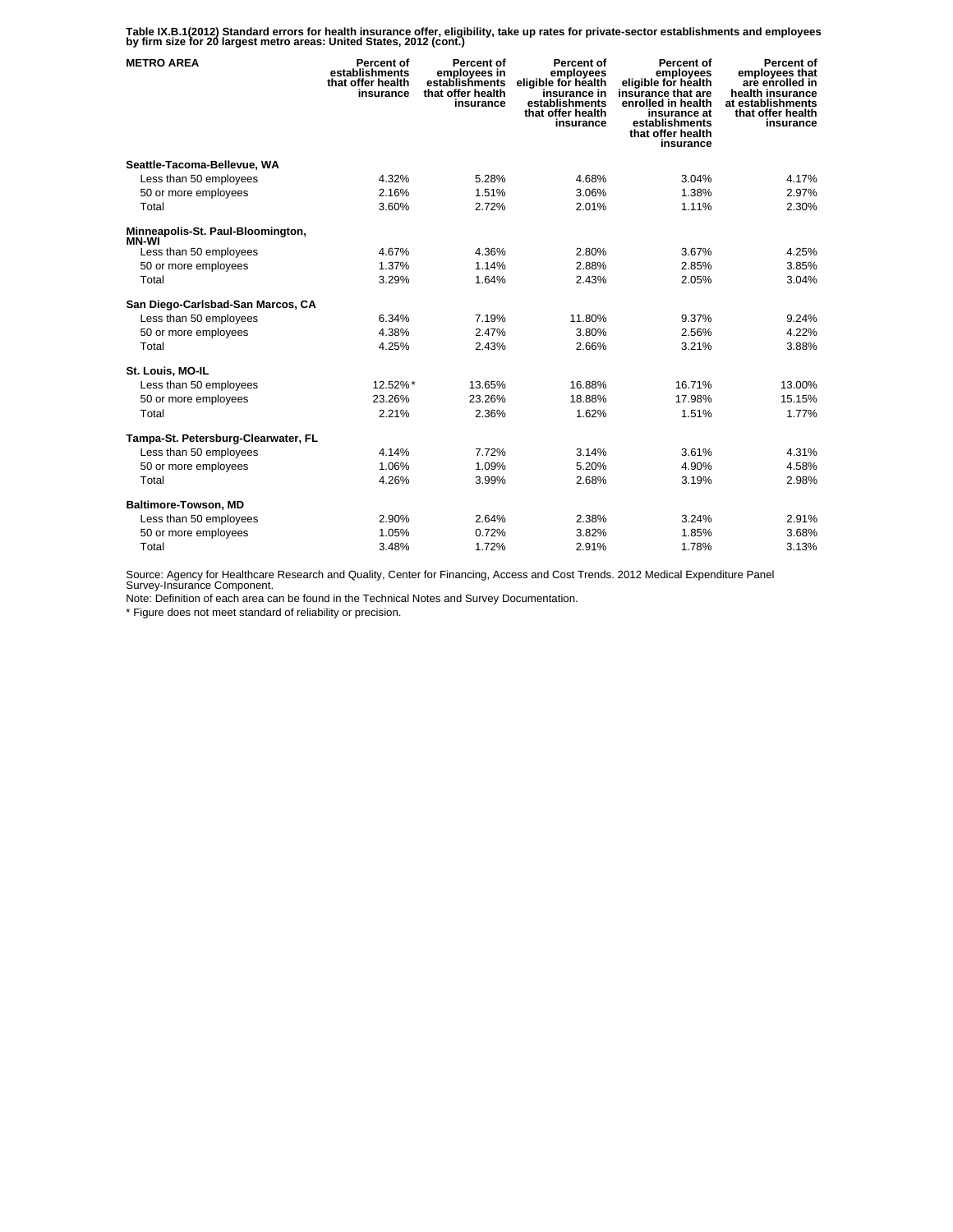**Table IX.B.1(2012) Standard errors for health insurance offer, eligibility, take up rates for private-sector establishments and employees by firm size for 20 largest metro areas: United States, 2012 (cont.)** 

| <b>METRO AREA</b>                      | Percent of<br>establishments<br>that offer health<br>insurance | Percent of<br>employees in<br>establishments<br>that offer health<br>insurance | Percent of<br>employees<br>eligible for health<br>insurance in<br>establishments<br>that offer health<br>insurance | Percent of<br>employees<br>eligible for health<br>insurance that are<br>enrolled in health<br>insurance at<br>establishments<br>that offer health<br>insurance | Percent of<br>employees that<br>are enrolled in<br>health insurance<br>at establishments<br>that offer health<br>insurance |
|----------------------------------------|----------------------------------------------------------------|--------------------------------------------------------------------------------|--------------------------------------------------------------------------------------------------------------------|----------------------------------------------------------------------------------------------------------------------------------------------------------------|----------------------------------------------------------------------------------------------------------------------------|
| Seattle-Tacoma-Bellevue, WA            |                                                                |                                                                                |                                                                                                                    |                                                                                                                                                                |                                                                                                                            |
| Less than 50 employees                 | 4.32%                                                          | 5.28%                                                                          | 4.68%                                                                                                              | 3.04%                                                                                                                                                          | 4.17%                                                                                                                      |
| 50 or more employees                   | 2.16%                                                          | 1.51%                                                                          | 3.06%                                                                                                              | 1.38%                                                                                                                                                          | 2.97%                                                                                                                      |
| Total                                  | 3.60%                                                          | 2.72%                                                                          | 2.01%                                                                                                              | 1.11%                                                                                                                                                          | 2.30%                                                                                                                      |
| Minneapolis-St. Paul-Bloomington,      |                                                                |                                                                                |                                                                                                                    |                                                                                                                                                                |                                                                                                                            |
| <b>MN-WI</b><br>Less than 50 employees | 4.67%                                                          | 4.36%                                                                          | 2.80%                                                                                                              | 3.67%                                                                                                                                                          | 4.25%                                                                                                                      |
| 50 or more employees                   | 1.37%                                                          | 1.14%                                                                          | 2.88%                                                                                                              | 2.85%                                                                                                                                                          | 3.85%                                                                                                                      |
| Total                                  | 3.29%                                                          | 1.64%                                                                          | 2.43%                                                                                                              | 2.05%                                                                                                                                                          | 3.04%                                                                                                                      |
|                                        |                                                                |                                                                                |                                                                                                                    |                                                                                                                                                                |                                                                                                                            |
| San Diego-Carlsbad-San Marcos, CA      |                                                                |                                                                                |                                                                                                                    |                                                                                                                                                                |                                                                                                                            |
| Less than 50 employees                 | 6.34%                                                          | 7.19%                                                                          | 11.80%                                                                                                             | 9.37%                                                                                                                                                          | 9.24%                                                                                                                      |
| 50 or more employees                   | 4.38%                                                          | 2.47%                                                                          | 3.80%                                                                                                              | 2.56%                                                                                                                                                          | 4.22%                                                                                                                      |
| Total                                  | 4.25%                                                          | 2.43%                                                                          | 2.66%                                                                                                              | 3.21%                                                                                                                                                          | 3.88%                                                                                                                      |
| St. Louis, MO-IL                       |                                                                |                                                                                |                                                                                                                    |                                                                                                                                                                |                                                                                                                            |
| Less than 50 employees                 | 12.52%*                                                        | 13.65%                                                                         | 16.88%                                                                                                             | 16.71%                                                                                                                                                         | 13.00%                                                                                                                     |
| 50 or more employees                   | 23.26%                                                         | 23.26%                                                                         | 18.88%                                                                                                             | 17.98%                                                                                                                                                         | 15.15%                                                                                                                     |
| Total                                  | 2.21%                                                          | 2.36%                                                                          | 1.62%                                                                                                              | 1.51%                                                                                                                                                          | 1.77%                                                                                                                      |
| Tampa-St. Petersburg-Clearwater, FL    |                                                                |                                                                                |                                                                                                                    |                                                                                                                                                                |                                                                                                                            |
| Less than 50 employees                 | 4.14%                                                          | 7.72%                                                                          | 3.14%                                                                                                              | 3.61%                                                                                                                                                          | 4.31%                                                                                                                      |
| 50 or more employees                   | 1.06%                                                          | 1.09%                                                                          | 5.20%                                                                                                              | 4.90%                                                                                                                                                          | 4.58%                                                                                                                      |
| Total                                  | 4.26%                                                          | 3.99%                                                                          | 2.68%                                                                                                              | 3.19%                                                                                                                                                          | 2.98%                                                                                                                      |
| Baltimore-Towson, MD                   |                                                                |                                                                                |                                                                                                                    |                                                                                                                                                                |                                                                                                                            |
| Less than 50 employees                 | 2.90%                                                          | 2.64%                                                                          | 2.38%                                                                                                              | 3.24%                                                                                                                                                          | 2.91%                                                                                                                      |
| 50 or more employees                   | 1.05%                                                          | 0.72%                                                                          | 3.82%                                                                                                              | 1.85%                                                                                                                                                          | 3.68%                                                                                                                      |
| Total                                  | 3.48%                                                          | 1.72%                                                                          | 2.91%                                                                                                              | 1.78%                                                                                                                                                          | 3.13%                                                                                                                      |

Source: Agency for Healthcare Research and Quality, Center for Financing, Access and Cost Trends. 2012 Medical Expenditure Panel Survey-Insurance Component.

Note: Definition of each area can be found in the Technical Notes and Survey Documentation.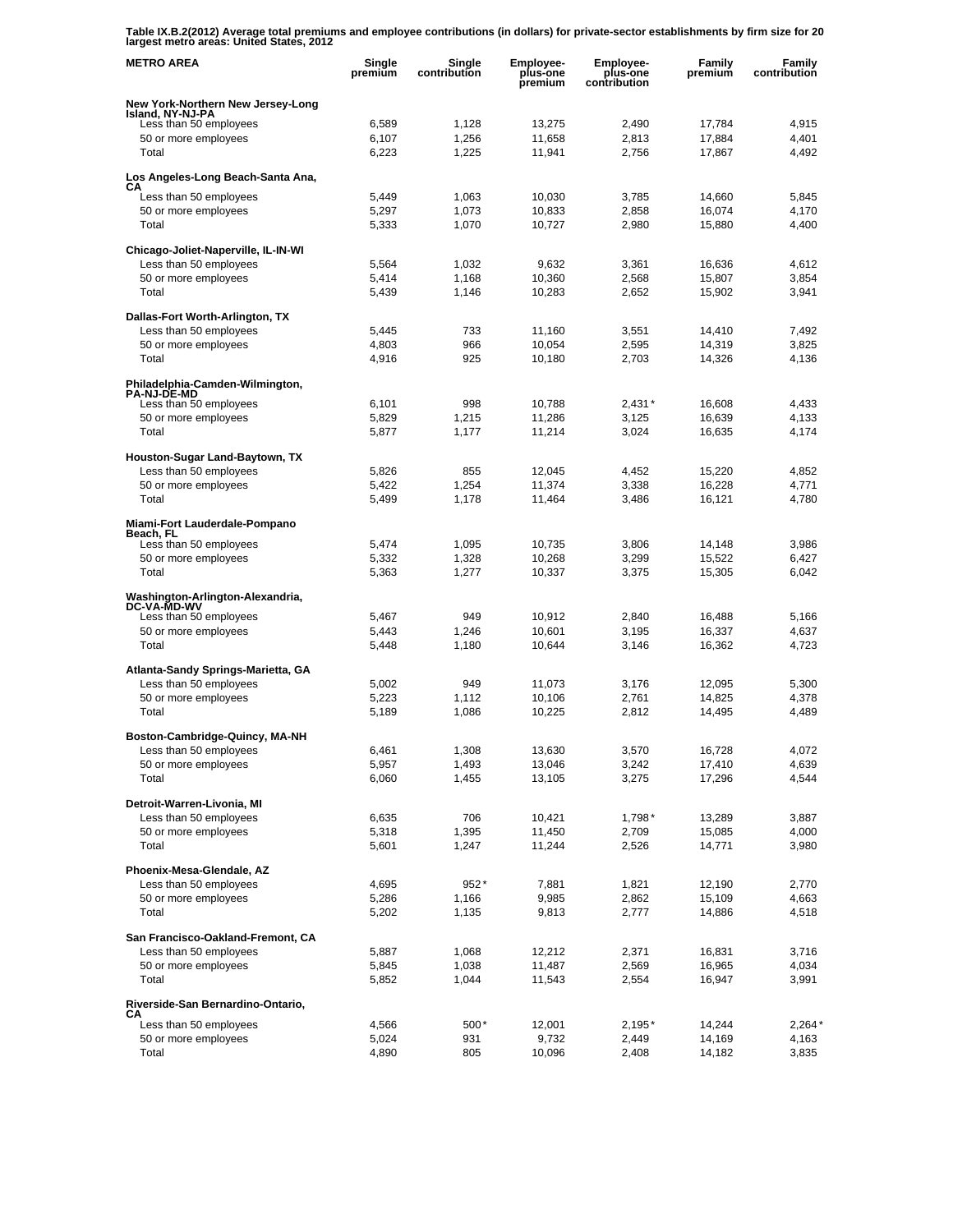**Table IX.B.2(2012) Average total premiums and employee contributions (in dollars) for private-sector establishments by firm size for 20 largest metro areas: United States, 2012** 

| <b>METRO AREA</b>                                     | Single<br>premium | Single<br>contribution | Employee-<br>plus-one<br>premium | Employee-<br>plus-one<br>contribution | Family<br>premium | Family<br>contribution |
|-------------------------------------------------------|-------------------|------------------------|----------------------------------|---------------------------------------|-------------------|------------------------|
| New York-Northern New Jersey-Long                     |                   |                        |                                  |                                       |                   |                        |
| Island, NY-NJ-PA<br>Less than 50 employees            | 6,589             | 1,128                  | 13,275                           | 2,490                                 | 17,784            | 4,915                  |
| 50 or more employees                                  | 6,107             | 1,256                  | 11,658                           | 2,813                                 | 17,884            | 4,401                  |
| Total                                                 | 6,223             | 1,225                  | 11,941                           | 2,756                                 | 17,867            | 4,492                  |
| Los Angeles-Long Beach-Santa Ana,                     |                   |                        |                                  |                                       |                   |                        |
| CА<br>Less than 50 employees                          | 5,449             | 1,063                  | 10,030                           | 3,785                                 | 14,660            | 5,845                  |
| 50 or more employees                                  | 5,297             | 1,073                  | 10,833                           | 2,858                                 | 16,074            | 4,170                  |
| Total                                                 | 5,333             | 1,070                  | 10,727                           | 2,980                                 | 15,880            | 4,400                  |
| Chicago-Joliet-Naperville, IL-IN-WI                   |                   |                        |                                  |                                       |                   |                        |
| Less than 50 employees                                | 5,564             | 1,032                  | 9.632                            | 3,361                                 | 16,636            | 4,612                  |
| 50 or more employees                                  | 5,414             | 1,168                  | 10,360                           | 2,568                                 | 15,807            | 3,854                  |
| Total                                                 | 5,439             | 1,146                  | 10,283                           | 2,652                                 | 15,902            | 3,941                  |
| Dallas-Fort Worth-Arlington, TX                       |                   |                        |                                  |                                       |                   |                        |
| Less than 50 employees                                | 5,445             | 733                    | 11,160                           | 3,551                                 | 14,410            | 7,492                  |
| 50 or more employees<br>Total                         | 4,803<br>4,916    | 966<br>925             | 10,054<br>10,180                 | 2,595                                 | 14,319            | 3,825                  |
|                                                       |                   |                        |                                  | 2,703                                 | 14,326            | 4,136                  |
| Philadelphia-Camden-Wilmington,<br><b>PA-NJ-DE-MD</b> |                   |                        |                                  |                                       |                   |                        |
| Less than 50 employees                                | 6.101             | 998                    | 10,788                           | $2,431*$                              | 16,608            | 4,433                  |
| 50 or more employees                                  | 5,829             | 1,215                  | 11,286                           | 3,125                                 | 16,639            | 4.133                  |
| Total                                                 | 5,877             | 1,177                  | 11,214                           | 3,024                                 | 16,635            | 4,174                  |
| Houston-Sugar Land-Baytown, TX                        |                   |                        |                                  |                                       |                   |                        |
| Less than 50 employees<br>50 or more employees        | 5,826<br>5,422    | 855<br>1,254           | 12,045<br>11,374                 | 4,452<br>3,338                        | 15,220<br>16,228  | 4,852<br>4,771         |
| Total                                                 | 5,499             | 1,178                  | 11,464                           | 3,486                                 | 16,121            | 4,780                  |
|                                                       |                   |                        |                                  |                                       |                   |                        |
| Miami-Fort Lauderdale-Pompano<br>Beach, FL            |                   |                        |                                  |                                       |                   |                        |
| Less than 50 employees                                | 5,474             | 1,095                  | 10,735                           | 3,806                                 | 14,148            | 3,986                  |
| 50 or more employees<br>Total                         | 5,332<br>5,363    | 1,328<br>1,277         | 10,268<br>10,337                 | 3,299<br>3,375                        | 15,522<br>15,305  | 6,427<br>6,042         |
|                                                       |                   |                        |                                  |                                       |                   |                        |
| Washington-Arlington-Alexandria,<br>DC-VA-MD-WV       |                   |                        |                                  |                                       |                   |                        |
| Less than 50 employees                                | 5,467             | 949                    | 10,912                           | 2,840                                 | 16,488            | 5,166                  |
| 50 or more employees<br>Total                         | 5,443             | 1,246                  | 10,601                           | 3,195                                 | 16,337            | 4,637                  |
|                                                       | 5,448             | 1,180                  | 10,644                           | 3,146                                 | 16,362            | 4,723                  |
| Atlanta-Sandy Springs-Marietta, GA                    |                   |                        |                                  |                                       |                   |                        |
| Less than 50 employees<br>50 or more employees        | 5,002<br>5,223    | 949<br>1,112           | 11,073<br>10,106                 | 3,176<br>2,761                        | 12,095<br>14,825  | 5,300<br>4,378         |
| Total                                                 | 5,189             | 1,086                  | 10,225                           | 2,812                                 | 14,495            | 4,489                  |
|                                                       |                   |                        |                                  |                                       |                   |                        |
| Boston-Cambridge-Quincy, MA-NH                        |                   |                        |                                  |                                       |                   |                        |
| Less than 50 employees<br>50 or more employees        | 6,461<br>5,957    | 1,308<br>1,493         | 13,630<br>13,046                 | 3,570<br>3,242                        | 16,728<br>17,410  | 4,072<br>4,639         |
| Total                                                 | 6,060             | 1,455                  | 13,105                           | 3,275                                 | 17,296            | 4,544                  |
|                                                       |                   |                        |                                  |                                       |                   |                        |
| Detroit-Warren-Livonia, MI<br>Less than 50 employees  | 6,635             | 706                    | 10,421                           | $1,798*$                              | 13,289            | 3,887                  |
| 50 or more employees                                  | 5,318             | 1,395                  | 11,450                           | 2,709                                 | 15,085            | 4,000                  |
| Total                                                 | 5,601             | 1,247                  | 11,244                           | 2,526                                 | 14,771            | 3,980                  |
| Phoenix-Mesa-Glendale, AZ                             |                   |                        |                                  |                                       |                   |                        |
| Less than 50 employees                                | 4,695             | $952*$                 | 7,881                            | 1,821                                 | 12,190            | 2,770                  |
| 50 or more employees                                  | 5,286             | 1,166                  | 9,985                            | 2,862                                 | 15,109            | 4,663                  |
| Total                                                 | 5,202             | 1,135                  | 9,813                            | 2,777                                 | 14,886            | 4,518                  |
| San Francisco-Oakland-Fremont, CA                     |                   |                        |                                  |                                       |                   |                        |
| Less than 50 employees                                | 5,887             | 1,068                  | 12,212                           | 2,371                                 | 16,831            | 3,716                  |
| 50 or more employees                                  | 5,845             | 1,038                  | 11,487                           | 2,569                                 | 16,965            | 4,034                  |
| Total                                                 | 5,852             | 1,044                  | 11,543                           | 2,554                                 | 16,947            | 3,991                  |
| Riverside-San Bernardino-Ontario,<br>CА               |                   |                        |                                  |                                       |                   |                        |
| Less than 50 employees                                | 4,566             | 500*                   | 12,001                           | $2,195*$                              | 14,244            | $2,264*$               |
| 50 or more employees                                  | 5,024             | 931                    | 9,732                            | 2,449                                 | 14,169            | 4,163                  |
| Total                                                 | 4,890             | 805                    | 10,096                           | 2,408                                 | 14,182            | 3,835                  |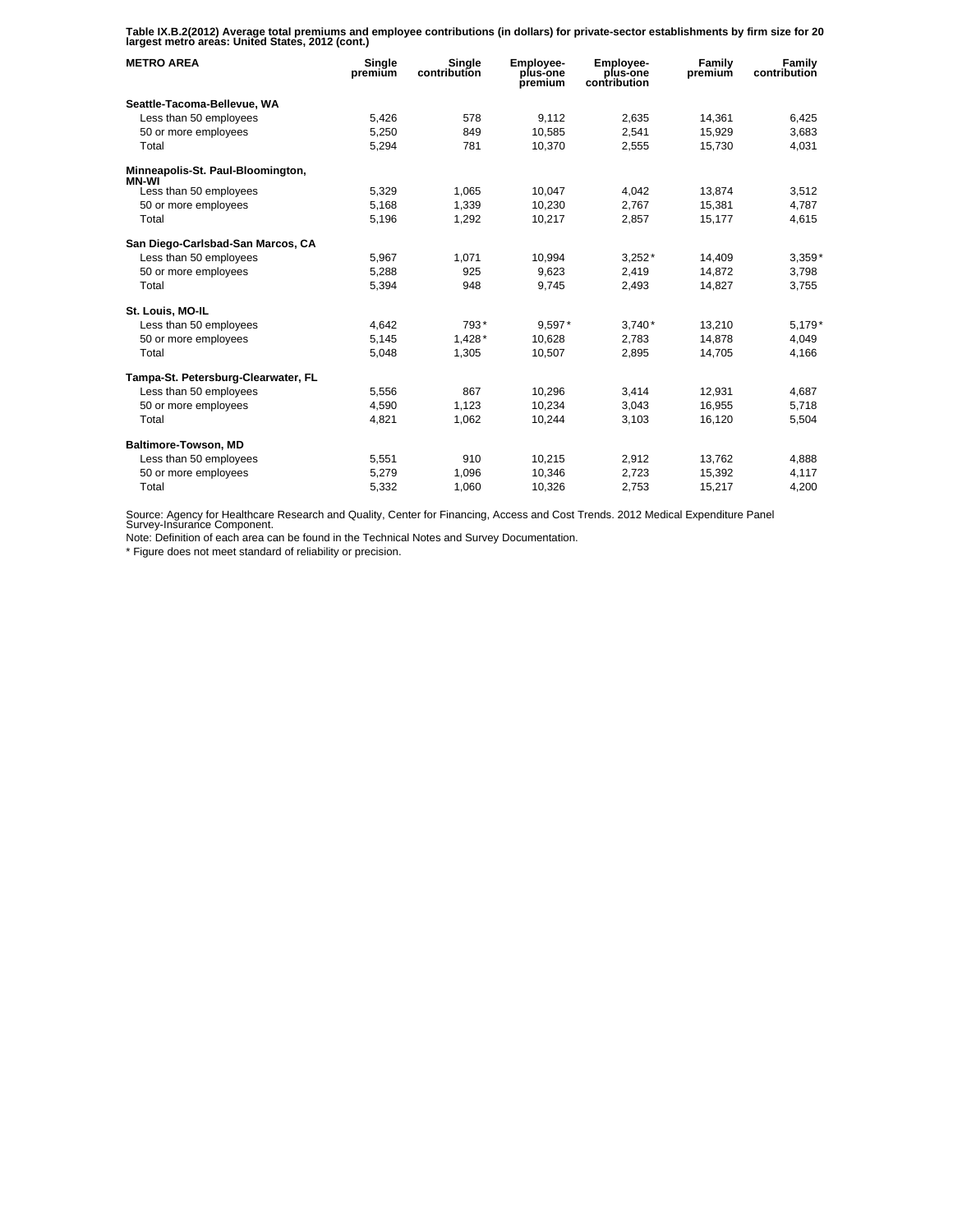**Table IX.B.2(2012) Average total premiums and employee contributions (in dollars) for private-sector establishments by firm size for 20 largest metro areas: United States, 2012 (cont.)** 

| <b>METRO AREA</b>                          | Single<br>premium | Single<br>contribution | Employee-<br>plus-one<br>premium | Employee-<br>plus-one<br>contribution | Family<br>premium | Family<br>contribution |
|--------------------------------------------|-------------------|------------------------|----------------------------------|---------------------------------------|-------------------|------------------------|
| Seattle-Tacoma-Bellevue, WA                |                   |                        |                                  |                                       |                   |                        |
| Less than 50 employees                     | 5,426             | 578                    | 9.112                            | 2.635                                 | 14,361            | 6,425                  |
| 50 or more employees                       | 5,250             | 849                    | 10,585                           | 2,541                                 | 15,929            | 3,683                  |
| Total                                      | 5,294             | 781                    | 10,370                           | 2,555                                 | 15,730            | 4,031                  |
| Minneapolis-St. Paul-Bloomington,<br>MN-WI |                   |                        |                                  |                                       |                   |                        |
| Less than 50 employees                     | 5,329             | 1,065                  | 10,047                           | 4.042                                 | 13,874            | 3,512                  |
| 50 or more employees                       | 5,168             | 1,339                  | 10,230                           | 2,767                                 | 15,381            | 4,787                  |
| Total                                      | 5,196             | 1,292                  | 10,217                           | 2,857                                 | 15,177            | 4,615                  |
| San Diego-Carlsbad-San Marcos, CA          |                   |                        |                                  |                                       |                   |                        |
| Less than 50 employees                     | 5,967             | 1.071                  | 10,994                           | $3,252*$                              | 14,409            | $3,359*$               |
| 50 or more employees                       | 5,288             | 925                    | 9.623                            | 2,419                                 | 14.872            | 3,798                  |
| Total                                      | 5,394             | 948                    | 9,745                            | 2,493                                 | 14,827            | 3,755                  |
| St. Louis, MO-IL                           |                   |                        |                                  |                                       |                   |                        |
| Less than 50 employees                     | 4.642             | 793*                   | 9.597*                           | $3.740*$                              | 13,210            | $5,179*$               |
| 50 or more employees                       | 5,145             | $1,428*$               | 10,628                           | 2,783                                 | 14,878            | 4,049                  |
| Total                                      | 5,048             | 1,305                  | 10,507                           | 2,895                                 | 14,705            | 4.166                  |
| Tampa-St. Petersburg-Clearwater, FL        |                   |                        |                                  |                                       |                   |                        |
| Less than 50 employees                     | 5,556             | 867                    | 10,296                           | 3,414                                 | 12,931            | 4,687                  |
| 50 or more employees                       | 4,590             | 1,123                  | 10,234                           | 3,043                                 | 16,955            | 5,718                  |
| Total                                      | 4,821             | 1,062                  | 10,244                           | 3,103                                 | 16,120            | 5,504                  |
| Baltimore-Towson, MD                       |                   |                        |                                  |                                       |                   |                        |
| Less than 50 employees                     | 5,551             | 910                    | 10,215                           | 2,912                                 | 13,762            | 4,888                  |
| 50 or more employees                       | 5,279             | 1,096                  | 10,346                           | 2,723                                 | 15,392            | 4,117                  |
| Total                                      | 5,332             | 1,060                  | 10,326                           | 2,753                                 | 15,217            | 4,200                  |

Source: Agency for Healthcare Research and Quality, Center for Financing, Access and Cost Trends. 2012 Medical Expenditure Panel Survey-Insurance Component.

Note: Definition of each area can be found in the Technical Notes and Survey Documentation.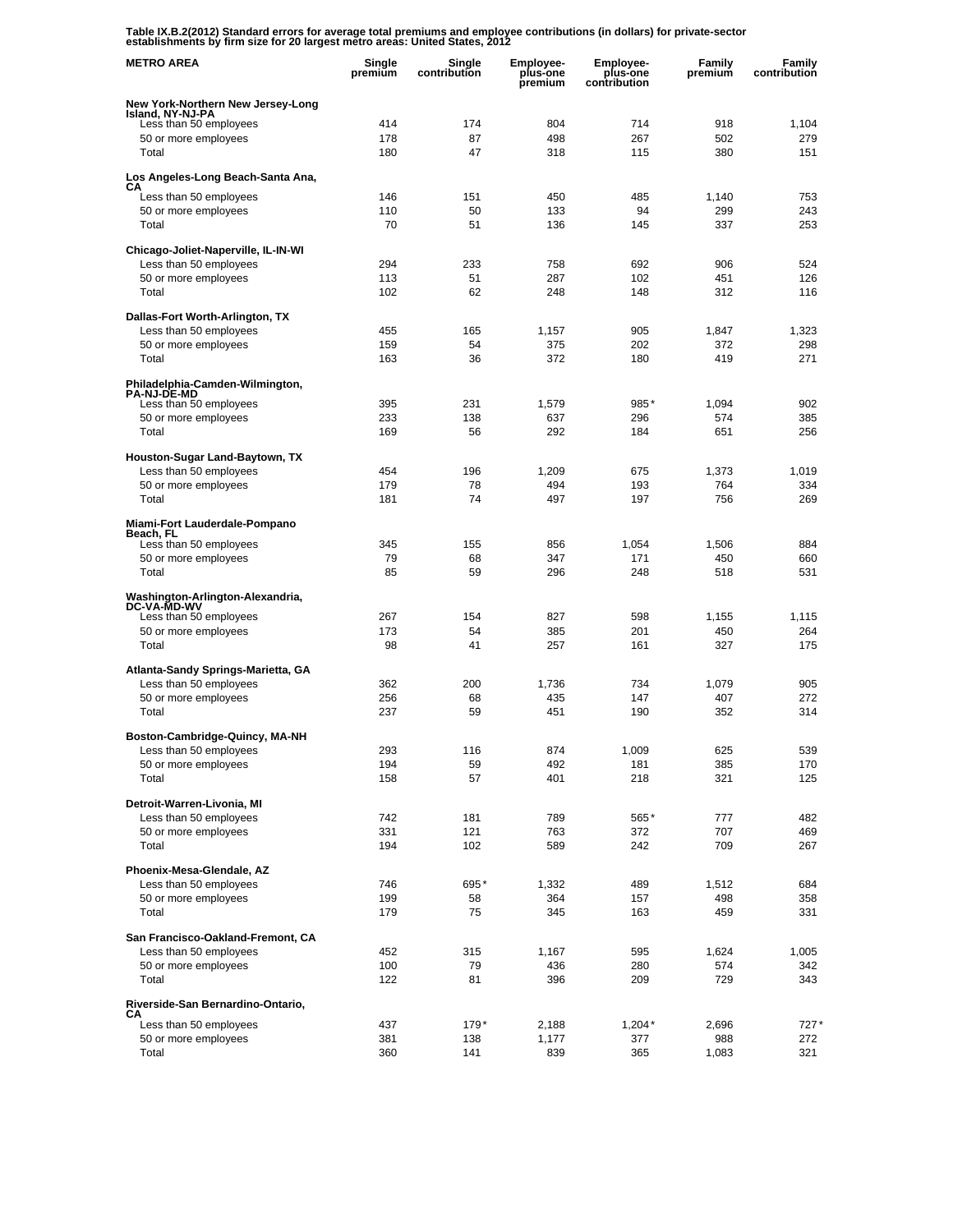**Table IX.B.2(2012) Standard errors for average total premiums and employee contributions (in dollars) for private-sector establishments by firm size for 20 largest metro areas: United States, 2012** 

| <b>METRO AREA</b>                                      | Single<br>premium | Single<br>contribution | <b>Employee-</b><br>plus-one<br>premium | <b>Employee-</b><br>plus-one<br>contribution | Family<br>premium | Family<br>contribution |
|--------------------------------------------------------|-------------------|------------------------|-----------------------------------------|----------------------------------------------|-------------------|------------------------|
| New York-Northern New Jersey-Long<br>Island, NY-NJ-PA  |                   |                        |                                         |                                              |                   |                        |
| Less than 50 employees                                 | 414               | 174                    | 804                                     | 714                                          | 918               | 1,104                  |
| 50 or more employees                                   | 178               | 87                     | 498                                     | 267                                          | 502               | 279                    |
| Total                                                  | 180               | 47                     | 318                                     | 115                                          | 380               | 151                    |
| Los Angeles-Long Beach-Santa Ana,                      |                   |                        |                                         |                                              |                   |                        |
| CА<br>Less than 50 employees                           | 146               | 151                    | 450                                     | 485                                          | 1,140             | 753                    |
| 50 or more employees                                   | 110               | 50                     | 133                                     | 94                                           | 299               | 243                    |
| Total                                                  | 70                | 51                     | 136                                     | 145                                          | 337               | 253                    |
| Chicago-Joliet-Naperville, IL-IN-WI                    |                   |                        |                                         |                                              |                   |                        |
| Less than 50 employees                                 | 294               | 233                    | 758                                     | 692                                          | 906               | 524                    |
| 50 or more employees                                   | 113               | 51                     | 287                                     | 102                                          | 451               | 126                    |
| Total                                                  | 102               | 62                     | 248                                     | 148                                          | 312               | 116                    |
| Dallas-Fort Worth-Arlington, TX                        |                   |                        |                                         |                                              |                   |                        |
| Less than 50 employees                                 | 455               | 165                    | 1,157                                   | 905                                          | 1,847             | 1,323                  |
| 50 or more employees                                   | 159               | 54                     | 375                                     | 202                                          | 372               | 298                    |
| Total                                                  | 163               | 36                     | 372                                     | 180                                          | 419               | 271                    |
| Philadelphia-Camden-Wilmington,<br><b>PA-NJ-DE-MD</b>  |                   |                        |                                         |                                              |                   |                        |
| Less than 50 employees                                 | 395               | 231                    | 1,579                                   | 985*                                         | 1,094             | 902                    |
| 50 or more employees<br>Total                          | 233               | 138<br>56              | 637                                     | 296                                          | 574               | 385                    |
|                                                        | 169               |                        | 292                                     | 184                                          | 651               | 256                    |
| Houston-Sugar Land-Baytown, TX                         |                   |                        |                                         |                                              |                   |                        |
| Less than 50 employees                                 | 454<br>179        | 196<br>78              | 1,209<br>494                            | 675<br>193                                   | 1,373<br>764      | 1,019<br>334           |
| 50 or more employees<br>Total                          | 181               | 74                     | 497                                     | 197                                          | 756               | 269                    |
|                                                        |                   |                        |                                         |                                              |                   |                        |
| Miami-Fort Lauderdale-Pompano<br>Beach, FL             |                   |                        |                                         |                                              |                   |                        |
| Less than 50 employees                                 | 345               | 155                    | 856                                     | 1,054                                        | 1,506             | 884                    |
| 50 or more employees                                   | 79                | 68                     | 347                                     | 171                                          | 450               | 660                    |
| Total                                                  | 85                | 59                     | 296                                     | 248                                          | 518               | 531                    |
| Washington-Arlington-Alexandria,<br><b>DC-VA-MD-WV</b> |                   |                        |                                         |                                              |                   |                        |
| Less than 50 employees                                 | 267               | 154                    | 827                                     | 598                                          | 1,155             | 1,115                  |
| 50 or more employees                                   | 173               | 54                     | 385                                     | 201                                          | 450               | 264                    |
| Total                                                  | 98                | 41                     | 257                                     | 161                                          | 327               | 175                    |
| Atlanta-Sandy Springs-Marietta, GA                     |                   |                        |                                         |                                              |                   |                        |
| Less than 50 employees                                 | 362               | 200                    | 1,736                                   | 734                                          | 1,079             | 905                    |
| 50 or more employees<br>Total                          | 256<br>237        | 68<br>59               | 435<br>451                              | 147<br>190                                   | 407<br>352        | 272<br>314             |
|                                                        |                   |                        |                                         |                                              |                   |                        |
| Boston-Cambridge-Quincy, MA-NH                         |                   |                        |                                         |                                              |                   |                        |
| Less than 50 employees<br>50 or more employees         | 293<br>194        | 116                    | 874<br>492                              | 1,009<br>181                                 | 625<br>385        | 539                    |
| Total                                                  | 158               | 59<br>57               | 401                                     | 218                                          | 321               | 170<br>125             |
|                                                        |                   |                        |                                         |                                              |                   |                        |
| Detroit-Warren-Livonia, MI                             |                   |                        |                                         |                                              |                   |                        |
| Less than 50 employees<br>50 or more employees         | 742<br>331        | 181<br>121             | 789<br>763                              | 565*<br>372                                  | 777<br>707        | 482<br>469             |
| Total                                                  | 194               | 102                    | 589                                     | 242                                          | 709               | 267                    |
|                                                        |                   |                        |                                         |                                              |                   |                        |
| Phoenix-Mesa-Glendale, AZ<br>Less than 50 employees    | 746               | 695*                   | 1,332                                   | 489                                          | 1,512             | 684                    |
| 50 or more employees                                   | 199               | 58                     | 364                                     | 157                                          | 498               | 358                    |
| Total                                                  | 179               | 75                     | 345                                     | 163                                          | 459               | 331                    |
| San Francisco-Oakland-Fremont, CA                      |                   |                        |                                         |                                              |                   |                        |
| Less than 50 employees                                 | 452               | 315                    | 1,167                                   | 595                                          | 1,624             | 1,005                  |
| 50 or more employees                                   | 100               | 79                     | 436                                     | 280                                          | 574               | 342                    |
| Total                                                  | 122               | 81                     | 396                                     | 209                                          | 729               | 343                    |
| Riverside-San Bernardino-Ontario,<br>CА                |                   |                        |                                         |                                              |                   |                        |
| Less than 50 employees                                 | 437               | 179*                   | 2,188                                   | $1,204*$                                     | 2,696             | $727*$                 |
| 50 or more employees                                   | 381               | 138                    | 1,177                                   | 377                                          | 988               | 272                    |
| Total                                                  | 360               | 141                    | 839                                     | 365                                          | 1,083             | 321                    |